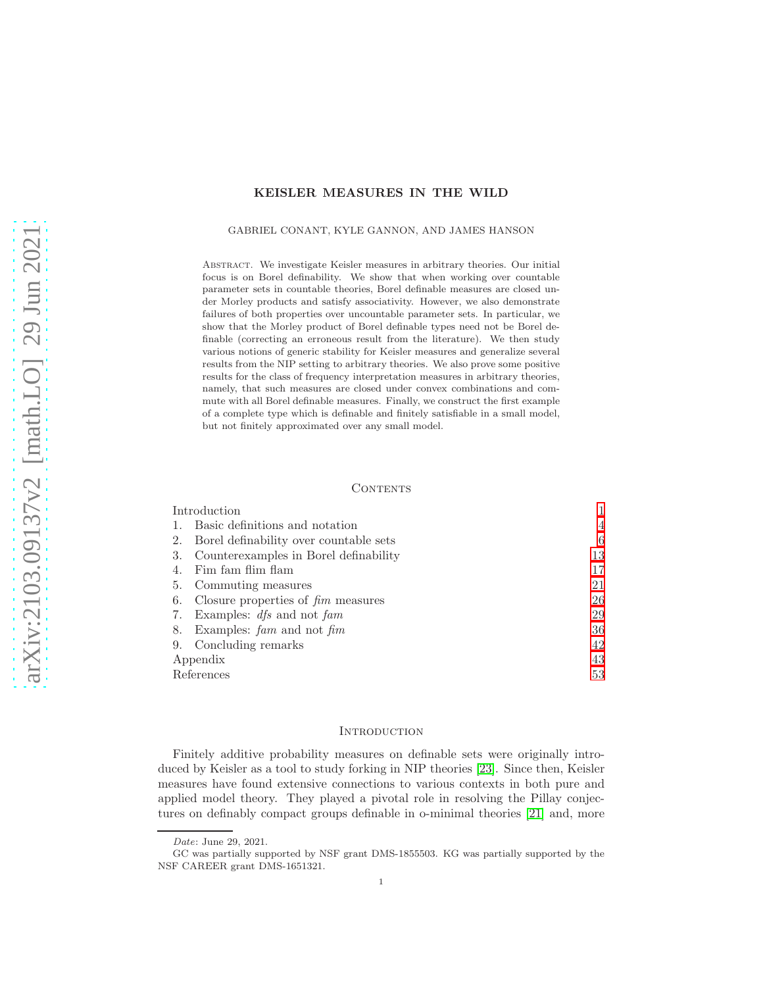## KEISLER MEASURES IN THE WILD

#### GABRIEL CONANT, KYLE GANNON, AND JAMES HANSON

Abstract. We investigate Keisler measures in arbitrary theories. Our initial focus is on Borel definability. We show that when working over countable parameter sets in countable theories, Borel definable measures are closed under Morley products and satisfy associativity. However, we also demonstrate failures of both properties over uncountable parameter sets. In particular, we show that the Morley product of Borel definable types need not be Borel definable (correcting an erroneous result from the literature). We then study various notions of generic stability for Keisler measures and generalize several results from the NIP setting to arbitrary theories. We also prove some positive results for the class of frequency interpretation measures in arbitrary theories, namely, that such measures are closed under convex combinations and commute with all Borel definable measures. Finally, we construct the first example of a complete type which is definable and finitely satisfiable in a small model, but not finitely approximated over any small model.

#### **CONTENTS**

| 4  |
|----|
| 6  |
| 13 |
| 17 |
| 21 |
| 26 |
| 29 |
| 36 |
| 42 |
| 43 |
| 53 |
|    |

### <span id="page-0-0"></span>**INTRODUCTION**

Finitely additive probability measures on definable sets were originally introduced by Keisler as a tool to study forking in NIP theories [\[23\]](#page-52-1). Since then, Keisler measures have found extensive connections to various contexts in both pure and applied model theory. They played a pivotal role in resolving the Pillay conjectures on definably compact groups definable in o-minimal theories [\[21\]](#page-52-2) and, more

Date: June 29, 2021.

GC was partially supported by NSF grant DMS-1855503. KG was partially supported by the NSF CAREER grant DMS-1651321.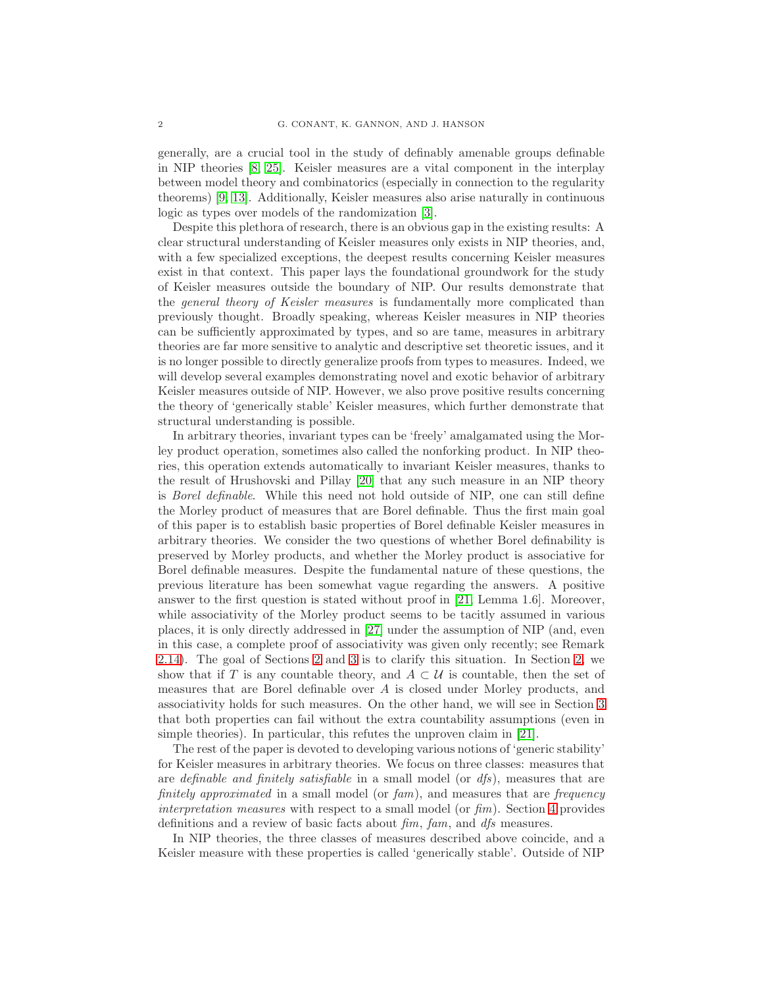generally, are a crucial tool in the study of definably amenable groups definable in NIP theories [\[8,](#page-52-3) [25\]](#page-52-4). Keisler measures are a vital component in the interplay between model theory and combinatorics (especially in connection to the regularity theorems) [\[9,](#page-52-5) [13\]](#page-52-6). Additionally, Keisler measures also arise naturally in continuous logic as types over models of the randomization [\[3\]](#page-52-7).

Despite this plethora of research, there is an obvious gap in the existing results: A clear structural understanding of Keisler measures only exists in NIP theories, and, with a few specialized exceptions, the deepest results concerning Keisler measures exist in that context. This paper lays the foundational groundwork for the study of Keisler measures outside the boundary of NIP. Our results demonstrate that the general theory of Keisler measures is fundamentally more complicated than previously thought. Broadly speaking, whereas Keisler measures in NIP theories can be sufficiently approximated by types, and so are tame, measures in arbitrary theories are far more sensitive to analytic and descriptive set theoretic issues, and it is no longer possible to directly generalize proofs from types to measures. Indeed, we will develop several examples demonstrating novel and exotic behavior of arbitrary Keisler measures outside of NIP. However, we also prove positive results concerning the theory of 'generically stable' Keisler measures, which further demonstrate that structural understanding is possible.

In arbitrary theories, invariant types can be 'freely' amalgamated using the Morley product operation, sometimes also called the nonforking product. In NIP theories, this operation extends automatically to invariant Keisler measures, thanks to the result of Hrushovski and Pillay [\[20\]](#page-52-8) that any such measure in an NIP theory is Borel definable. While this need not hold outside of NIP, one can still define the Morley product of measures that are Borel definable. Thus the first main goal of this paper is to establish basic properties of Borel definable Keisler measures in arbitrary theories. We consider the two questions of whether Borel definability is preserved by Morley products, and whether the Morley product is associative for Borel definable measures. Despite the fundamental nature of these questions, the previous literature has been somewhat vague regarding the answers. A positive answer to the first question is stated without proof in [\[21,](#page-52-2) Lemma 1.6]. Moreover, while associativity of the Morley product seems to be tacitly assumed in various places, it is only directly addressed in [\[27\]](#page-52-9) under the assumption of NIP (and, even in this case, a complete proof of associativity was given only recently; see Remark [2.14\)](#page-9-0). The goal of Sections [2](#page-5-0) and [3](#page-12-0) is to clarify this situation. In Section [2,](#page-5-0) we show that if T is any countable theory, and  $A \subset U$  is countable, then the set of measures that are Borel definable over A is closed under Morley products, and associativity holds for such measures. On the other hand, we will see in Section [3](#page-12-0) that both properties can fail without the extra countability assumptions (even in simple theories). In particular, this refutes the unproven claim in [\[21\]](#page-52-2).

The rest of the paper is devoted to developing various notions of 'generic stability' for Keisler measures in arbitrary theories. We focus on three classes: measures that are definable and finitely satisfiable in a small model (or  $dfs$ ), measures that are finitely approximated in a small model (or fam), and measures that are frequency interpretation measures with respect to a small model (or  $\lim$ ). Section [4](#page-16-0) provides definitions and a review of basic facts about  $\lim_{m \to \infty} \frac{d}{dx}$  measures.

In NIP theories, the three classes of measures described above coincide, and a Keisler measure with these properties is called 'generically stable'. Outside of NIP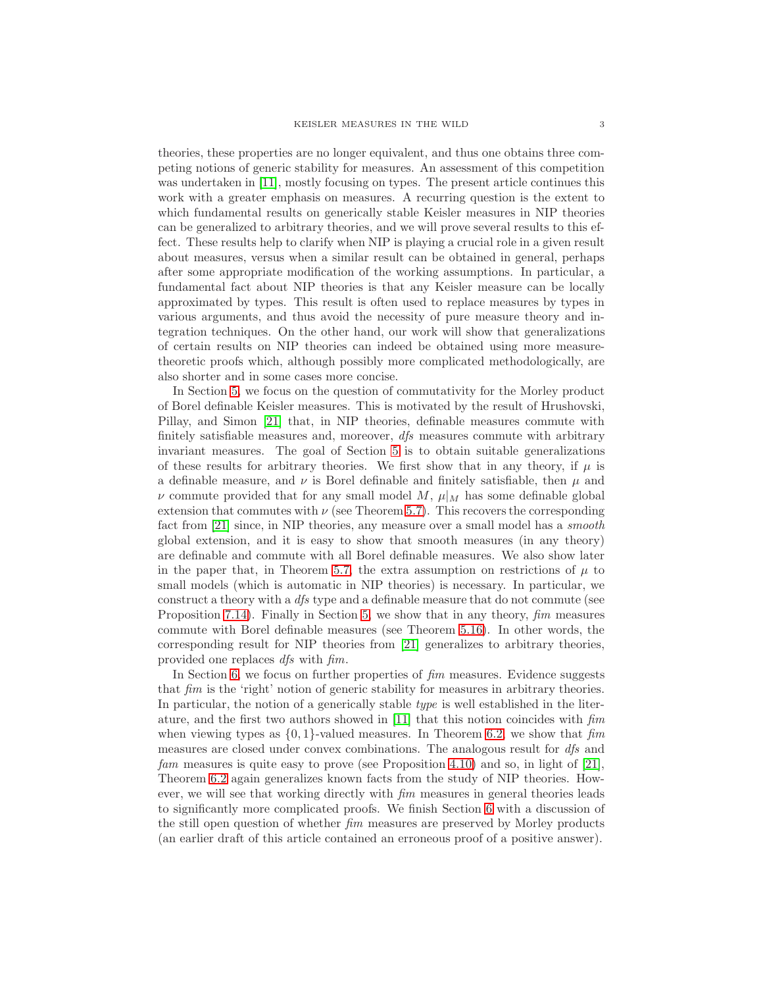theories, these properties are no longer equivalent, and thus one obtains three competing notions of generic stability for measures. An assessment of this competition was undertaken in [\[11\]](#page-52-10), mostly focusing on types. The present article continues this work with a greater emphasis on measures. A recurring question is the extent to which fundamental results on generically stable Keisler measures in NIP theories can be generalized to arbitrary theories, and we will prove several results to this effect. These results help to clarify when NIP is playing a crucial role in a given result about measures, versus when a similar result can be obtained in general, perhaps after some appropriate modification of the working assumptions. In particular, a fundamental fact about NIP theories is that any Keisler measure can be locally approximated by types. This result is often used to replace measures by types in various arguments, and thus avoid the necessity of pure measure theory and integration techniques. On the other hand, our work will show that generalizations of certain results on NIP theories can indeed be obtained using more measuretheoretic proofs which, although possibly more complicated methodologically, are also shorter and in some cases more concise.

In Section [5,](#page-20-0) we focus on the question of commutativity for the Morley product of Borel definable Keisler measures. This is motivated by the result of Hrushovski, Pillay, and Simon [\[21\]](#page-52-2) that, in NIP theories, definable measures commute with finitely satisfiable measures and, moreover, dfs measures commute with arbitrary invariant measures. The goal of Section [5](#page-20-0) is to obtain suitable generalizations of these results for arbitrary theories. We first show that in any theory, if  $\mu$  is a definable measure, and  $\nu$  is Borel definable and finitely satisfiable, then  $\mu$  and v commute provided that for any small model M,  $\mu|_M$  has some definable global extension that commutes with  $\nu$  (see Theorem [5.7\)](#page-22-0). This recovers the corresponding fact from [\[21\]](#page-52-2) since, in NIP theories, any measure over a small model has a *smooth* global extension, and it is easy to show that smooth measures (in any theory) are definable and commute with all Borel definable measures. We also show later in the paper that, in Theorem [5.7,](#page-22-0) the extra assumption on restrictions of  $\mu$  to small models (which is automatic in NIP theories) is necessary. In particular, we construct a theory with a dfs type and a definable measure that do not commute (see Proposition [7.14\)](#page-34-0). Finally in Section [5,](#page-20-0) we show that in any theory,  $\lim$  measures commute with Borel definable measures (see Theorem [5.16\)](#page-24-0). In other words, the corresponding result for NIP theories from [\[21\]](#page-52-2) generalizes to arbitrary theories, provided one replaces dfs with fim.

In Section [6,](#page-25-0) we focus on further properties of fim measures. Evidence suggests that fim is the 'right' notion of generic stability for measures in arbitrary theories. In particular, the notion of a generically stable type is well established in the literature, and the first two authors showed in [\[11\]](#page-52-10) that this notion coincides with fim when viewing types as  $\{0, 1\}$ -valued measures. In Theorem [6.2,](#page-26-0) we show that fim measures are closed under convex combinations. The analogous result for dfs and fam measures is quite easy to prove (see Proposition [4.10\)](#page-19-0) and so, in light of [\[21\]](#page-52-2), Theorem [6.2](#page-26-0) again generalizes known facts from the study of NIP theories. However, we will see that working directly with  $\lim$  measures in general theories leads to significantly more complicated proofs. We finish Section [6](#page-25-0) with a discussion of the still open question of whether fim measures are preserved by Morley products (an earlier draft of this article contained an erroneous proof of a positive answer).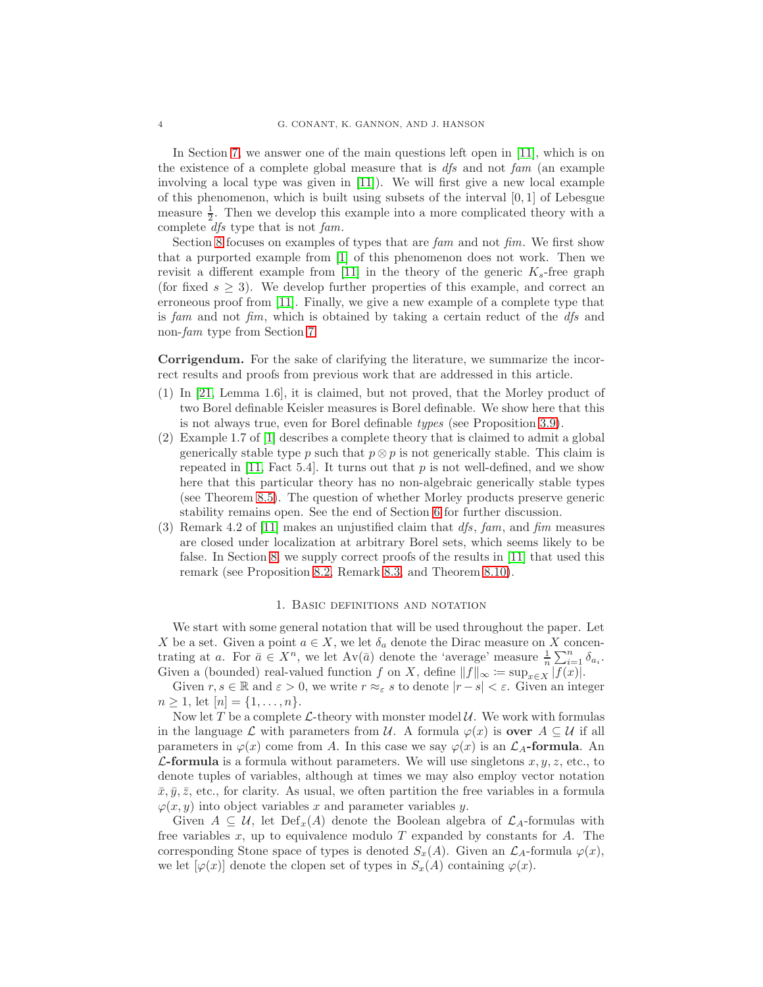In Section [7,](#page-28-0) we answer one of the main questions left open in [\[11\]](#page-52-10), which is on the existence of a complete global measure that is  $dfs$  and not fam (an example involving a local type was given in [\[11\]](#page-52-10)). We will first give a new local example of this phenomenon, which is built using subsets of the interval  $[0, 1]$  of Lebesgue measure  $\frac{1}{2}$ . Then we develop this example into a more complicated theory with a complete dfs type that is not fam.

Section [8](#page-35-0) focuses on examples of types that are  $f_{\alpha}$  and not  $f_{\alpha}$ . We first show that a purported example from [\[1\]](#page-52-11) of this phenomenon does not work. Then we revisit a different example from [\[11\]](#page-52-10) in the theory of the generic  $K_s$ -free graph (for fixed  $s \geq 3$ ). We develop further properties of this example, and correct an erroneous proof from [\[11\]](#page-52-10). Finally, we give a new example of a complete type that is fam and not fim, which is obtained by taking a certain reduct of the  $\frac{dfs}{dt}$  and non-fam type from Section [7.](#page-28-0)

Corrigendum. For the sake of clarifying the literature, we summarize the incorrect results and proofs from previous work that are addressed in this article.

- (1) In [\[21,](#page-52-2) Lemma 1.6], it is claimed, but not proved, that the Morley product of two Borel definable Keisler measures is Borel definable. We show here that this is not always true, even for Borel definable types (see Proposition [3.9\)](#page-14-0).
- (2) Example 1.7 of [\[1\]](#page-52-11) describes a complete theory that is claimed to admit a global generically stable type p such that  $p \otimes p$  is not generically stable. This claim is repeated in  $[11, Fact 5.4]$ . It turns out that p is not well-defined, and we show here that this particular theory has no non-algebraic generically stable types (see Theorem [8.5\)](#page-37-0). The question of whether Morley products preserve generic stability remains open. See the end of Section [6](#page-25-0) for further discussion.
- (3) Remark 4.2 of [\[11\]](#page-52-10) makes an unjustified claim that  $df_s$ , fam, and fim measures are closed under localization at arbitrary Borel sets, which seems likely to be false. In Section [8,](#page-35-0) we supply correct proofs of the results in [\[11\]](#page-52-10) that used this remark (see Proposition [8.2,](#page-36-0) Remark [8.3,](#page-36-1) and Theorem [8.10\)](#page-39-0).

### 1. Basic definitions and notation

<span id="page-3-0"></span>We start with some general notation that will be used throughout the paper. Let X be a set. Given a point  $a \in X$ , we let  $\delta_a$  denote the Dirac measure on X concentrating at a. For  $\bar{a} \in X^n$ , we let  $Av(\bar{a})$  denote the 'average' measure  $\frac{1}{n} \sum_{i=1}^n \delta_{a_i}$ . Given a (bounded) real-valued function f on X, define  $||f||_{\infty} := \sup_{x \in X} |f(x)|$ .

Given  $r, s \in \mathbb{R}$  and  $\varepsilon > 0$ , we write  $r \approx_{\varepsilon} s$  to denote  $|r - s| < \varepsilon$ . Given an integer  $n \geq 1$ , let  $[n] = \{1, \ldots, n\}$ .

Now let T be a complete  $\mathcal{L}\text{-theory}$  with monster model  $\mathcal{U}\text{.}$  We work with formulas in the language  $\mathcal L$  with parameters from  $\mathcal U$ . A formula  $\varphi(x)$  is **over**  $A \subseteq \mathcal U$  if all parameters in  $\varphi(x)$  come from A. In this case we say  $\varphi(x)$  is an  $\mathcal{L}_A$ -formula. An **L-formula** is a formula without parameters. We will use singletons  $x, y, z$ , etc., to denote tuples of variables, although at times we may also employ vector notation  $\bar{x}, \bar{y}, \bar{z}$ , etc., for clarity. As usual, we often partition the free variables in a formula  $\varphi(x, y)$  into object variables x and parameter variables y.

Given  $A \subseteq U$ , let  $Def_x(A)$  denote the Boolean algebra of  $\mathcal{L}_A$ -formulas with free variables  $x$ , up to equivalence modulo  $T$  expanded by constants for  $A$ . The corresponding Stone space of types is denoted  $S_x(A)$ . Given an  $\mathcal{L}_A$ -formula  $\varphi(x)$ , we let  $[\varphi(x)]$  denote the clopen set of types in  $S_x(A)$  containing  $\varphi(x)$ .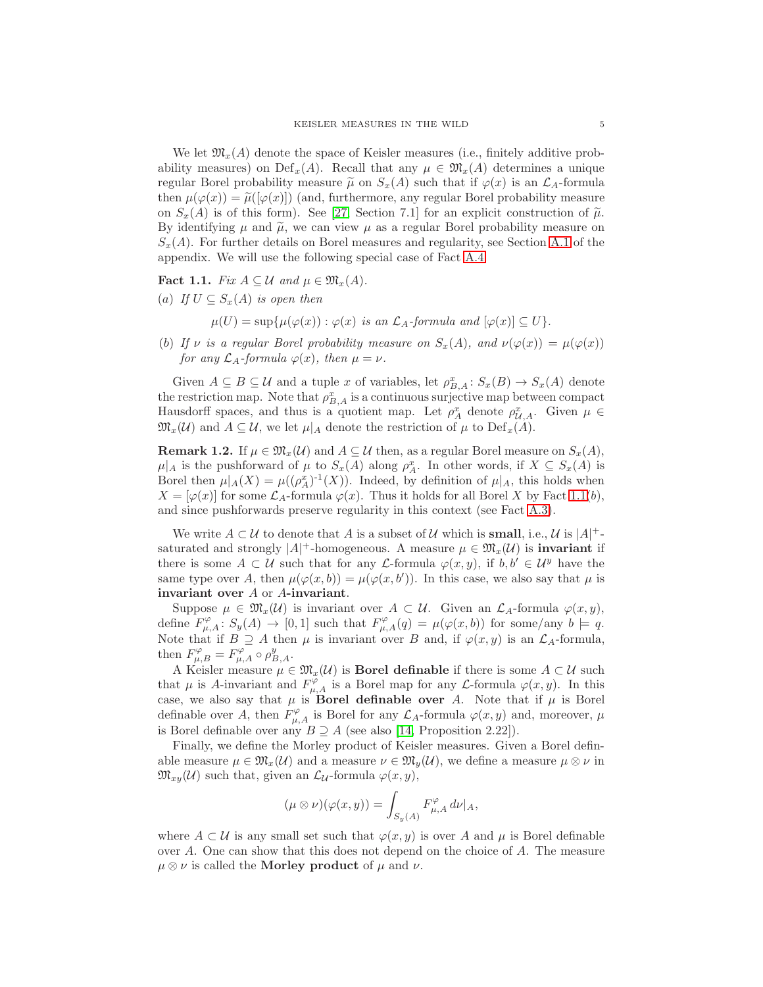We let  $\mathfrak{M}_{x}(A)$  denote the space of Keisler measures (i.e., finitely additive probability measures) on  $\mathrm{Def}_x(A)$ . Recall that any  $\mu \in \mathfrak{M}_x(A)$  determines a unique regular Borel probability measure  $\tilde{\mu}$  on  $S_x(A)$  such that if  $\varphi(x)$  is an  $\mathcal{L}_A$ -formula then  $\mu(\varphi(x)) = \tilde{\mu}([\varphi(x)])$  (and, furthermore, any regular Borel probability measure on  $S_x(A)$  is of this form). See [\[27,](#page-52-9) Section 7.1] for an explicit construction of  $\tilde{\mu}$ . By identifying  $\mu$  and  $\tilde{\mu}$ , we can view  $\mu$  as a regular Borel probability measure on  $S<sub>x</sub>(A)$ . For further details on Borel measures and regularity, see Section [A.1](#page-42-1) of the appendix. We will use the following special case of Fact [A.4.](#page-43-0)

## <span id="page-4-0"></span>Fact 1.1. Fix  $A \subseteq \mathcal{U}$  and  $\mu \in \mathfrak{M}_x(A)$ .

- (a) If  $U \subseteq S_x(A)$  is open then
	- $\mu(U) = \sup \{ \mu(\varphi(x)) : \varphi(x) \text{ is an } \mathcal{L}_A \text{-formula and } [\varphi(x)] \subseteq U \}.$
- (b) If v is a regular Borel probability measure on  $S_x(A)$ , and  $\nu(\varphi(x)) = \mu(\varphi(x))$ for any  $\mathcal{L}_A$ -formula  $\varphi(x)$ , then  $\mu = \nu$ .

Given  $A \subseteq B \subseteq U$  and a tuple x of variables, let  $\rho_{B,A}^x \colon S_x(B) \to S_x(A)$  denote the restriction map. Note that  $\rho_{B,A}^x$  is a continuous surjective map between compact Hausdorff spaces, and thus is a quotient map. Let  $\rho_A^x$  denote  $\rho_{\mathcal{U},A}^x$ . Given  $\mu \in$  $\mathfrak{M}_x(\mathcal{U})$  and  $A \subseteq \mathcal{U}$ , we let  $\mu|_A$  denote the restriction of  $\mu$  to  $\mathrm{Def}_x(A)$ .

<span id="page-4-1"></span>**Remark 1.2.** If  $\mu \in \mathfrak{M}_x(\mathcal{U})$  and  $A \subseteq \mathcal{U}$  then, as a regular Borel measure on  $S_x(A)$ ,  $\mu|_A$  is the pushforward of  $\mu$  to  $S_x(A)$  along  $\rho_A^x$ . In other words, if  $X \subseteq S_x(A)$  is Borel then  $\mu|_A(X) = \mu((\rho_A^x)^{-1}(X))$ . Indeed, by definition of  $\mu|_A$ , this holds when  $X = [\varphi(x)]$  for some  $\mathcal{L}_A$ -formula  $\varphi(x)$ . Thus it holds for all Borel X by Fact [1.1\(](#page-4-0)b), and since pushforwards preserve regularity in this context (see Fact [A.3\)](#page-43-1).

We write  $A \subset \mathcal{U}$  to denote that A is a subset of  $\mathcal{U}$  which is **small**, i.e.,  $\mathcal{U}$  is  $|A|$ <sup>+</sup>saturated and strongly  $|A|$ <sup>+</sup>-homogeneous. A measure  $\mu \in \mathfrak{M}_x(\mathcal{U})$  is **invariant** if there is some  $A \subset U$  such that for any *L*-formula  $\varphi(x, y)$ , if  $b, b' \in U^y$  have the same type over A, then  $\mu(\varphi(x,b)) = \mu(\varphi(x,b'))$ . In this case, we also say that  $\mu$  is invariant over A or A-invariant.

Suppose  $\mu \in \mathfrak{M}_x(\mathcal{U})$  is invariant over  $A \subset \mathcal{U}$ . Given an  $\mathcal{L}_A$ -formula  $\varphi(x, y)$ , define  $F^{\varphi}_{\mu,A}: S_y(A) \to [0,1]$  such that  $F^{\varphi}_{\mu,A}(q) = \mu(\varphi(x,b))$  for some/any  $b \models q$ . Note that if  $B \supseteq A$  then  $\mu$  is invariant over B and, if  $\varphi(x, y)$  is an  $\mathcal{L}_A$ -formula, then  $F^{\varphi}_{\mu,B} = F^{\varphi}_{\mu,A} \circ \rho^y_{B,A}.$ 

A Keisler measure  $\mu \in \mathfrak{M}_x(\mathcal{U})$  is **Borel definable** if there is some  $A \subset \mathcal{U}$  such that  $\mu$  is A-invariant and  $F^{\varphi}_{\mu,A}$  is a Borel map for any  $\mathcal L$ -formula  $\varphi(x,y)$ . In this case, we also say that  $\mu$  is **Borel definable over** A. Note that if  $\mu$  is Borel definable over A, then  $F^{\varphi}_{\mu,A}$  is Borel for any  $\mathcal{L}_A$ -formula  $\varphi(x,y)$  and, moreover,  $\mu$ is Borel definable over any  $B \supseteq A$  (see also [\[14,](#page-52-12) Proposition 2.22]).

Finally, we define the Morley product of Keisler measures. Given a Borel definable measure  $\mu \in \mathfrak{M}_x(\mathcal{U})$  and a measure  $\nu \in \mathfrak{M}_y(\mathcal{U})$ , we define a measure  $\mu \otimes \nu$  in  $\mathfrak{M}_{xy}(\mathcal{U})$  such that, given an  $\mathcal{L}_{\mathcal{U}}$ -formula  $\varphi(x, y)$ ,

$$
(\mu \otimes \nu)(\varphi(x,y)) = \int_{S_y(A)} F_{\mu,A}^{\varphi} d\nu|_A,
$$

where  $A \subset U$  is any small set such that  $\varphi(x, y)$  is over A and  $\mu$  is Borel definable over A. One can show that this does not depend on the choice of A. The measure  $\mu \otimes \nu$  is called the **Morley product** of  $\mu$  and  $\nu$ .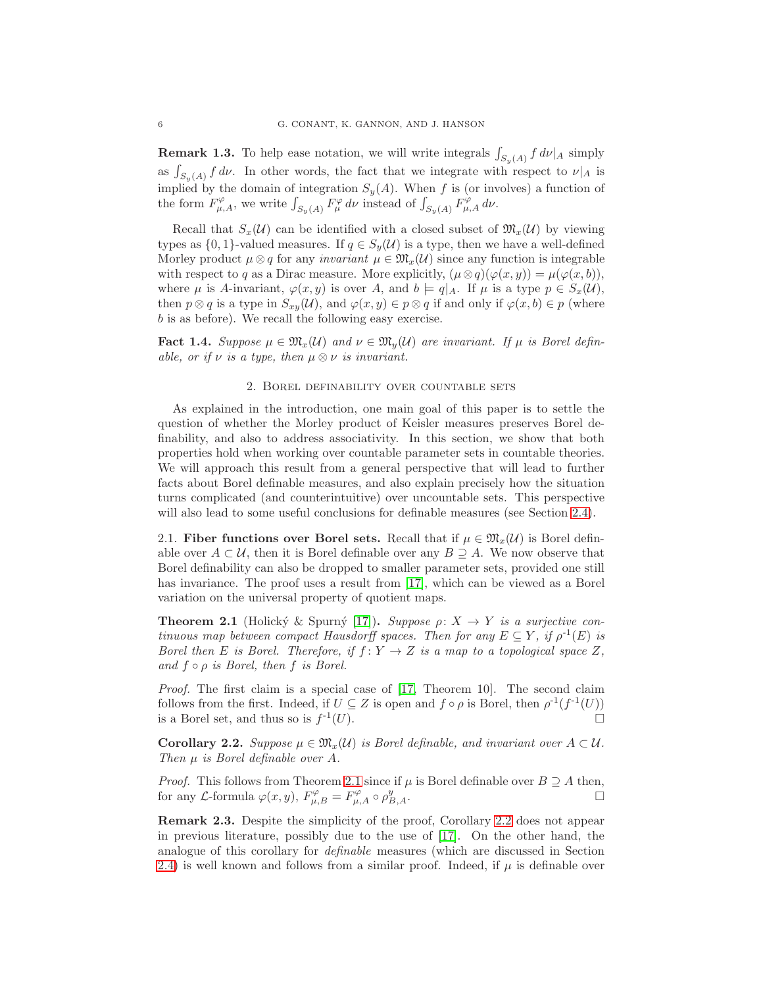**Remark 1.3.** To help ease notation, we will write integrals  $\int_{S_y(A)} f d\nu|_A$  simply as  $\int_{S_y(A)} f \, d\nu$ . In other words, the fact that we integrate with respect to  $\nu|_A$  is implied by the domain of integration  $S_y(A)$ . When f is (or involves) a function of the form  $F^{\varphi}_{\mu,A}$ , we write  $\int_{S_y(A)} F^{\varphi}_{\mu} d\nu$  instead of  $\int_{S_y(A)} F^{\varphi}_{\mu,A} d\nu$ .

Recall that  $S_x(\mathcal{U})$  can be identified with a closed subset of  $\mathfrak{M}_x(\mathcal{U})$  by viewing types as  $\{0, 1\}$ -valued measures. If  $q \in S_q(\mathcal{U})$  is a type, then we have a well-defined Morley product  $\mu \otimes q$  for any *invariant*  $\mu \in \mathfrak{M}_x(\mathcal{U})$  since any function is integrable with respect to q as a Dirac measure. More explicitly,  $(\mu \otimes q)(\varphi(x, y)) = \mu(\varphi(x, b)),$ where  $\mu$  is A-invariant,  $\varphi(x, y)$  is over A, and  $b \models q|_A$ . If  $\mu$  is a type  $p \in S_x(\mathcal{U})$ , then  $p \otimes q$  is a type in  $S_{xy}(\mathcal{U})$ , and  $\varphi(x, y) \in p \otimes q$  if and only if  $\varphi(x, b) \in p$  (where b is as before). We recall the following easy exercise.

<span id="page-5-3"></span><span id="page-5-0"></span>**Fact 1.4.** Suppose  $\mu \in \mathfrak{M}_x(\mathcal{U})$  and  $\nu \in \mathfrak{M}_y(\mathcal{U})$  are invariant. If  $\mu$  is Borel definable, or if  $\nu$  is a type, then  $\mu \otimes \nu$  is invariant.

#### 2. Borel definability over countable sets

As explained in the introduction, one main goal of this paper is to settle the question of whether the Morley product of Keisler measures preserves Borel definability, and also to address associativity. In this section, we show that both properties hold when working over countable parameter sets in countable theories. We will approach this result from a general perspective that will lead to further facts about Borel definable measures, and also explain precisely how the situation turns complicated (and counterintuitive) over uncountable sets. This perspective will also lead to some useful conclusions for definable measures (see Section [2.4\)](#page-9-1).

2.1. Fiber functions over Borel sets. Recall that if  $\mu \in \mathfrak{M}_{r}(\mathcal{U})$  is Borel definable over  $A \subset U$ , then it is Borel definable over any  $B \supseteq A$ . We now observe that Borel definability can also be dropped to smaller parameter sets, provided one still has invariance. The proof uses a result from [\[17\]](#page-52-13), which can be viewed as a Borel variation on the universal property of quotient maps.

<span id="page-5-1"></span>**Theorem 2.1** (Holický & Spurný [\[17\]](#page-52-13)). Suppose  $\rho: X \to Y$  is a surjective continuous map between compact Hausdorff spaces. Then for any  $E \subseteq Y$ , if  $\rho^{-1}(E)$  is Borel then E is Borel. Therefore, if  $f: Y \to Z$  is a map to a topological space Z, and  $f \circ \rho$  is Borel, then  $f$  is Borel.

Proof. The first claim is a special case of [\[17,](#page-52-13) Theorem 10]. The second claim follows from the first. Indeed, if  $U \subseteq Z$  is open and  $f \circ \rho$  is Borel, then  $\rho^{-1}(f^{-1}(U))$ is a Borel set, and thus so is  $f^{-1}(U)$ .  $\overline{1}(U).$ 

<span id="page-5-2"></span>**Corollary 2.2.** Suppose  $\mu \in \mathfrak{M}_x(\mathcal{U})$  is Borel definable, and invariant over  $A \subset \mathcal{U}$ . Then  $\mu$  is Borel definable over A.

*Proof.* This follows from Theorem [2.1](#page-5-1) since if  $\mu$  is Borel definable over  $B \supseteq A$  then, for any *L*-formula  $\varphi(x, y)$ ,  $F^{\varphi}_{\mu, B} = F^{\varphi}_{\mu, A} \circ \rho^y_B$  $B,A$ .

<span id="page-5-4"></span>Remark 2.3. Despite the simplicity of the proof, Corollary [2.2](#page-5-2) does not appear in previous literature, possibly due to the use of [\[17\]](#page-52-13). On the other hand, the analogue of this corollary for definable measures (which are discussed in Section [2.4\)](#page-9-1) is well known and follows from a similar proof. Indeed, if  $\mu$  is definable over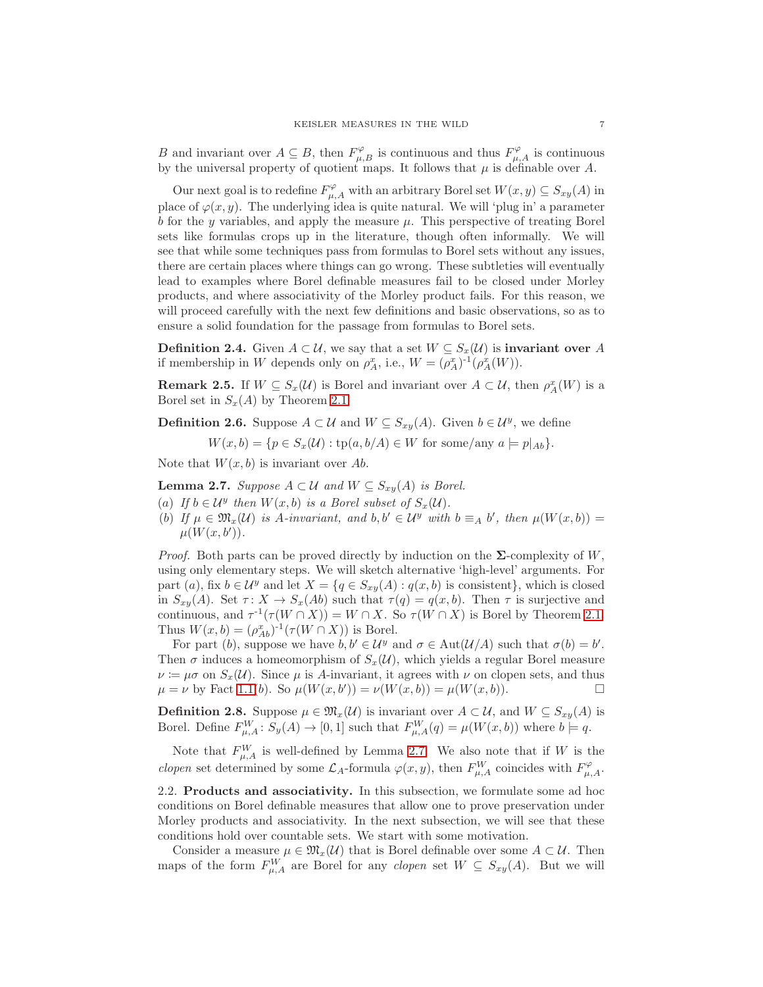B and invariant over  $A \subseteq B$ , then  $F^{\varphi}_{\mu,B}$  is continuous and thus  $F^{\varphi}_{\mu,A}$  is continuous by the universal property of quotient maps. It follows that  $\mu$  is definable over A.

Our next goal is to redefine  $F^{\varphi}_{\mu,A}$  with an arbitrary Borel set  $W(x,y) \subseteq S_{xy}(A)$  in place of  $\varphi(x, y)$ . The underlying idea is quite natural. We will 'plug in' a parameter  $b$  for the  $y$  variables, and apply the measure  $\mu$ . This perspective of treating Borel sets like formulas crops up in the literature, though often informally. We will see that while some techniques pass from formulas to Borel sets without any issues, there are certain places where things can go wrong. These subtleties will eventually lead to examples where Borel definable measures fail to be closed under Morley products, and where associativity of the Morley product fails. For this reason, we will proceed carefully with the next few definitions and basic observations, so as to ensure a solid foundation for the passage from formulas to Borel sets.

**Definition 2.4.** Given  $A \subset \mathcal{U}$ , we say that a set  $W \subseteq S_x(\mathcal{U})$  is **invariant over** A if membership in W depends only on  $\rho_A^x$ , i.e.,  $W = (\rho_A^x)^{-1}(\rho_A^x(W))$ .

<span id="page-6-1"></span>**Remark 2.5.** If  $W \subseteq S_x(\mathcal{U})$  is Borel and invariant over  $A \subset \mathcal{U}$ , then  $\rho_A^x(W)$  is a Borel set in  $S_x(A)$  by Theorem [2.1.](#page-5-1)

**Definition 2.6.** Suppose  $A \subset \mathcal{U}$  and  $W \subseteq S_{xy}(A)$ . Given  $b \in \mathcal{U}^y$ , we define

 $W(x, b) = \{p \in S_x(\mathcal{U}) : \text{tp}(a, b/A) \in W \text{ for some/any } a \models p|_{Ab}\}.$ 

Note that  $W(x, b)$  is invariant over Ab.

<span id="page-6-0"></span>**Lemma 2.7.** Suppose  $A \subset \mathcal{U}$  and  $W \subseteq S_{xy}(A)$  is Borel.

- (a) If  $b \in \mathcal{U}^y$  then  $W(x, b)$  is a Borel subset of  $S_x(\mathcal{U})$ .
- (b) If  $\mu \in \mathfrak{M}_x(\mathcal{U})$  is A-invariant, and  $b, b' \in \mathcal{U}^y$  with  $b \equiv_A b'$ , then  $\mu(W(x, b)) =$  $\mu(W(x, b'))$ .

*Proof.* Both parts can be proved directly by induction on the  $\Sigma$ -complexity of W, using only elementary steps. We will sketch alternative 'high-level' arguments. For part (a), fix  $b \in \mathcal{U}^y$  and let  $X = \{q \in S_{xy}(A) : q(x, b)$  is consistent}, which is closed in  $S_{xy}(A)$ . Set  $\tau: X \to S_x(Ab)$  such that  $\tau(q) = q(x, b)$ . Then  $\tau$  is surjective and continuous, and  $\tau^{-1}(\tau(W \cap X)) = W \cap X$ . So  $\tau(W \cap X)$  is Borel by Theorem [2.1.](#page-5-1) Thus  $W(x, b) = (\rho_{Ab}^x)^{-1}(\tau(W \cap X))$  is Borel.

For part (b), suppose we have  $b, b' \in \mathcal{U}^y$  and  $\sigma \in \text{Aut}(\mathcal{U}/A)$  such that  $\sigma(b) = b'$ . Then  $\sigma$  induces a homeomorphism of  $S_x(\mathcal{U})$ , which yields a regular Borel measure  $\nu := \mu \sigma$  on  $S_x(\mathcal{U})$ . Since  $\mu$  is A-invariant, it agrees with  $\nu$  on clopen sets, and thus  $\mu = \nu$  by Fact [1.1\(](#page-4-0)b). So  $\mu(W(x, b')) = \nu(W(x, b)) = \mu(W(x, b)).$ 

**Definition 2.8.** Suppose  $\mu \in \mathfrak{M}_x(\mathcal{U})$  is invariant over  $A \subset \mathcal{U}$ , and  $W \subseteq S_{xy}(A)$  is Borel. Define  $F_{\mu,A}^W: S_y(A) \to [0,1]$  such that  $F_{\mu,A}^W(q) = \mu(W(x,b))$  where  $b \models q$ .

Note that  $F_{\mu,A}^W$  is well-defined by Lemma [2.7.](#page-6-0) We also note that if W is the *clopen* set determined by some  $\mathcal{L}_A$ -formula  $\varphi(x, y)$ , then  $F^W_{\mu, A}$  coincides with  $F^{\varphi}_{\mu, A}$ .

2.2. Products and associativity. In this subsection, we formulate some ad hoc conditions on Borel definable measures that allow one to prove preservation under Morley products and associativity. In the next subsection, we will see that these conditions hold over countable sets. We start with some motivation.

Consider a measure  $\mu \in \mathfrak{M}_{x}(\mathcal{U})$  that is Borel definable over some  $A \subset \mathcal{U}$ . Then maps of the form  $F_{\mu,A}^W$  are Borel for any *clopen* set  $W \subseteq S_{xy}(A)$ . But we will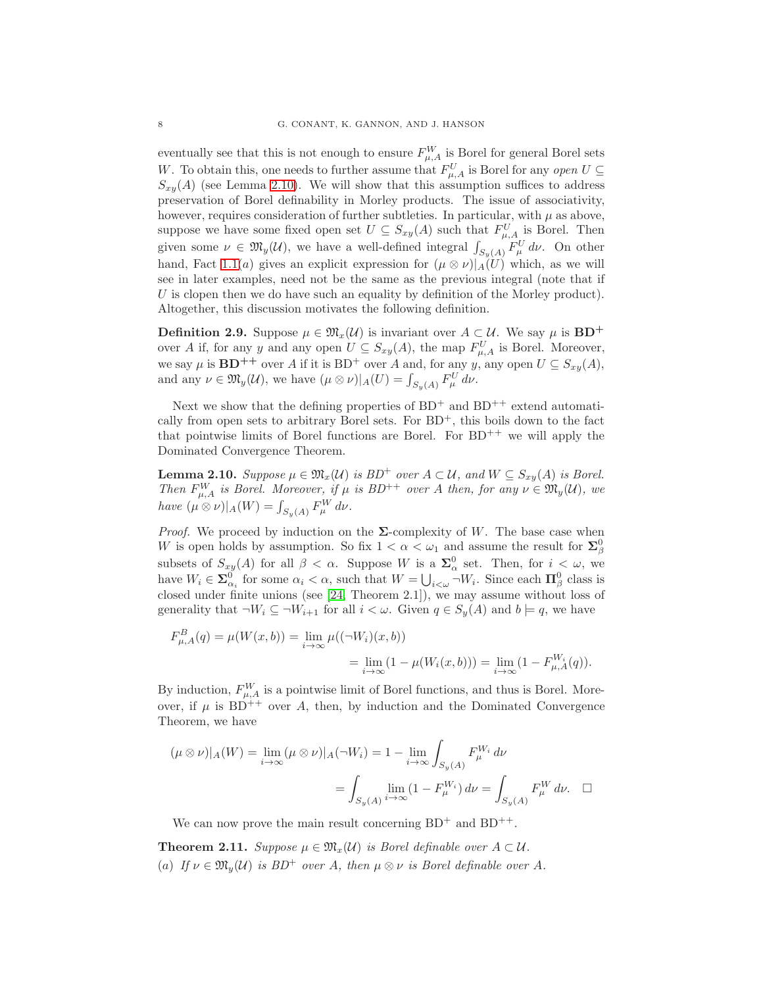eventually see that this is not enough to ensure  $F_{\mu,A}^W$  is Borel for general Borel sets W. To obtain this, one needs to further assume that  $F_{\mu,A}^U$  is Borel for any open  $U \subseteq$  $S_{xy}(A)$  (see Lemma [2.10\)](#page-7-0). We will show that this assumption suffices to address preservation of Borel definability in Morley products. The issue of associativity, however, requires consideration of further subtleties. In particular, with  $\mu$  as above, suppose we have some fixed open set  $U \subseteq S_{xy}(A)$  such that  $F_{\mu,A}^U$  is Borel. Then given some  $\nu \in \mathfrak{M}_y(\mathcal{U})$ , we have a well-defined integral  $\int_{S_y(A)} F^U_\mu d\nu$ . On other hand, Fact [1.1\(](#page-4-0)a) gives an explicit expression for  $(\mu \otimes \nu)|_A(U)$  which, as we will see in later examples, need not be the same as the previous integral (note that if  $U$  is clopen then we do have such an equality by definition of the Morley product). Altogether, this discussion motivates the following definition.

**Definition 2.9.** Suppose  $\mu \in \mathfrak{M}_x(\mathcal{U})$  is invariant over  $A \subset \mathcal{U}$ . We say  $\mu$  is  $BD^+$ over A if, for any y and any open  $U \subseteq S_{xy}(A)$ , the map  $F_{\mu,A}^U$  is Borel. Moreover, we say  $\mu$  is  $\mathbf{BD}^{++}$  over A if it is  $\mathbf{BD}^+$  over A and, for any y, any open  $U \subseteq S_{xy}(A)$ , and any  $\nu \in \mathfrak{M}_y(\mathcal{U}),$  we have  $(\mu \otimes \nu)|_A(U) = \int_{S_y(A)} F^U_\mu d\nu.$ 

Next we show that the defining properties of  $BD^+$  and  $BD^{++}$  extend automatically from open sets to arbitrary Borel sets. For  $BD^+$ , this boils down to the fact that pointwise limits of Borel functions are Borel. For  $BD^{++}$  we will apply the Dominated Convergence Theorem.

<span id="page-7-0"></span>**Lemma 2.10.** Suppose  $\mu \in \mathfrak{M}_x(\mathcal{U})$  is  $BD^+$  over  $A \subset \mathcal{U}$ , and  $W \subseteq S_{xy}(A)$  is Borel. Then  $F_{\mu,A}^W$  is Borel. Moreover, if  $\mu$  is  $BD^{++}$  over A then, for any  $\nu \in \mathfrak{M}_y(\mathcal{U})$ , we have  $(\mu \otimes \nu)|_A(W) = \int_{S_y(A)} F_\mu^W d\nu.$ 

*Proof.* We proceed by induction on the  $\Sigma$ -complexity of W. The base case when W is open holds by assumption. So fix  $1 < \alpha < \omega_1$  and assume the result for  $\Sigma^0_\beta$ subsets of  $S_{xy}(A)$  for all  $\beta < \alpha$ . Suppose W is a  $\Sigma^0_\alpha$  set. Then, for  $i < \omega$ , we have  $W_i \in \mathbf{\Sigma}_{\alpha_i}^0$  for some  $\alpha_i < \alpha$ , such that  $W = \bigcup_{i < \omega} \neg W_i$ . Since each  $\mathbf{\Pi}_{\beta}^0$  class is closed under finite unions (see [\[24,](#page-52-14) Theorem 2.1]), we may assume without loss of generality that  $\neg W_i \subseteq \neg W_{i+1}$  for all  $i < \omega$ . Given  $q \in S_y(A)$  and  $b \models q$ , we have

$$
F_{\mu,A}^B(q) = \mu(W(x,b)) = \lim_{i \to \infty} \mu((\neg W_i)(x,b))
$$
  
= 
$$
\lim_{i \to \infty} (1 - \mu(W_i(x,b))) = \lim_{i \to \infty} (1 - F_{\mu,A}^{W_i}(q)).
$$

By induction,  $F_{\mu,A}^W$  is a pointwise limit of Borel functions, and thus is Borel. Moreover, if  $\mu$  is BD<sup>++</sup> over A, then, by induction and the Dominated Convergence Theorem, we have

$$
(\mu \otimes \nu)|_A(W) = \lim_{i \to \infty} (\mu \otimes \nu)|_A(\neg W_i) = 1 - \lim_{i \to \infty} \int_{S_y(A)} F_{\mu}^{W_i} d\nu
$$

$$
= \int_{S_y(A)} \lim_{i \to \infty} (1 - F_{\mu}^{W_i}) d\nu = \int_{S_y(A)} F_{\mu}^{W} d\nu. \quad \Box
$$

We can now prove the main result concerning  $BD^+$  and  $BD^{++}$ .

<span id="page-7-1"></span>**Theorem 2.11.** Suppose  $\mu \in \mathfrak{M}_x(\mathcal{U})$  is Borel definable over  $A \subset \mathcal{U}$ . (a) If  $\nu \in \mathfrak{M}_v(\mathcal{U})$  is  $BD^+$  over A, then  $\mu \otimes \nu$  is Borel definable over A.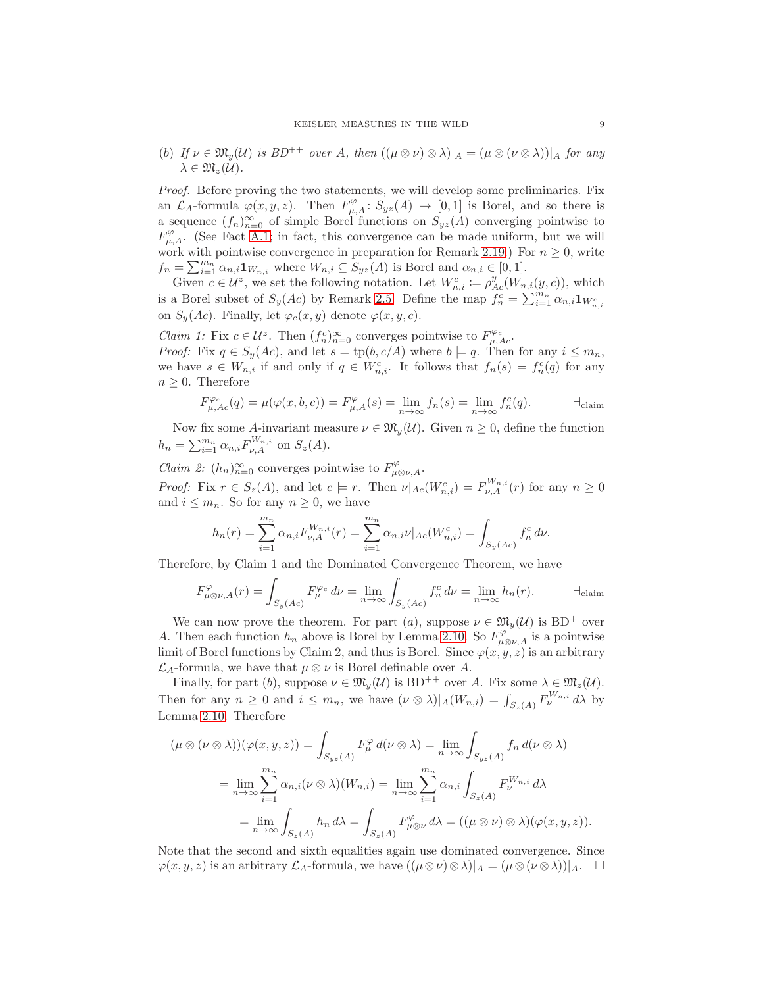(b) If  $\nu \in \mathfrak{M}_v(\mathcal{U})$  is  $BD^{++}$  over A, then  $((\mu \otimes \nu) \otimes \lambda)|_A = (\mu \otimes (\nu \otimes \lambda))|_A$  for any  $\lambda \in \mathfrak{M}_{z}(\mathcal{U}).$ 

Proof. Before proving the two statements, we will develop some preliminaries. Fix an  $\mathcal{L}_A$ -formula  $\varphi(x,y,z)$ . Then  $F_{\mu,A}^{\varphi}$ :  $S_{yz}(A) \to [0,1]$  is Borel, and so there is a sequence  $(f_n)_{n=0}^{\infty}$  of simple Borel functions on  $S_{yz}(A)$  converging pointwise to  $F^{\varphi}_{\mu,A}$ . (See Fact [A.1;](#page-42-2) in fact, this convergence can be made uniform, but we will work with pointwise convergence in preparation for Remark [2.19.](#page-11-0)) For  $n \geq 0$ , write  $f_n = \sum_{i=1}^{m_n} \alpha_{n,i} \mathbf{1}_{W_{n,i}}$  where  $W_{n,i} \subseteq S_{yz}(A)$  is Borel and  $\alpha_{n,i} \in [0,1]$ .

Given  $c \in \mathcal{U}^z$ , we set the following notation. Let  $W_{n,i}^c := \rho_{Ac}^y(W_{n,i}(y, c))$ , which is a Borel subset of  $S_y(Ac)$  by Remark [2.5.](#page-6-1) Define the map  $f_n^c = \sum_{i=1}^{m_n} \alpha_{n,i} \mathbf{1}_{W_{n,i}^c}$ on  $S_y(Ac)$ . Finally, let  $\varphi_c(x, y)$  denote  $\varphi(x, y, c)$ .

*Claim 1:* Fix  $c \in \mathcal{U}^z$ . Then  $(f_n^c)_{n=0}^{\infty}$  converges pointwise to  $F_{\mu,Ac}^{\varphi_c}$ . *Proof:* Fix  $q \in S_y(Ac)$ , and let  $s = \text{tp}(b, c/A)$  where  $b \models q$ . Then for any  $i \leq m_n$ , we have  $s \in W_{n,i}$  if and only if  $q \in W_{n,i}^c$ . It follows that  $f_n(s) = f_n^c(q)$  for any  $n \geq 0$ . Therefore

F ϕ<sup>c</sup> µ,Ac(q) = µ(ϕ(x, b, c)) = F ϕ µ,A(s) = limn→∞ <sup>f</sup>n(s) = limn→∞ f c n (q). ⊣claim

Now fix some A-invariant measure  $\nu \in \mathfrak{M}_n(\mathcal{U})$ . Given  $n \geq 0$ , define the function  $h_n = \sum_{i=1}^{m_n} \alpha_{n,i} F_{\nu,A}^{W_{n,i}}$  on  $S_z(A)$ .

*Claim 2:*  $(h_n)_{n=0}^{\infty}$  converges pointwise to  $F^{\varphi}_{\mu\otimes\nu,A}$ . *Proof:* Fix  $r \in S_z(A)$ , and let  $c \models r$ . Then  $\nu|_{Ac}(W_{n,i}^c) = F_{\nu,A}^{W_{n,i}}(r)$  for any  $n \geq 0$ and  $i \leq m_n$ . So for any  $n \geq 0$ , we have

$$
h_n(r) = \sum_{i=1}^{m_n} \alpha_{n,i} F_{\nu,A}^{W_{n,i}}(r) = \sum_{i=1}^{m_n} \alpha_{n,i} \nu |_{Ac}(W_{n,i}^c) = \int_{S_y(Ac)} f_n^c d\nu.
$$

Therefore, by Claim 1 and the Dominated Convergence Theorem, we have

$$
F^{\varphi}_{\mu\otimes\nu,A}(r) = \int_{S_y(Ac)} F^{\varphi_c}_{\mu} d\nu = \lim_{n \to \infty} \int_{S_y(Ac)} f^c_n d\nu = \lim_{n \to \infty} h_n(r).
$$

We can now prove the theorem. For part (a), suppose  $\nu \in \mathfrak{M}_y(\mathcal{U})$  is BD<sup>+</sup> over A. Then each function  $h_n$  above is Borel by Lemma [2.10.](#page-7-0) So  $F^{\varphi}_{\mu\otimes\nu,A}$  is a pointwise limit of Borel functions by Claim 2, and thus is Borel. Since  $\varphi(x, y, z)$  is an arbitrary  $\mathcal{L}_A$ -formula, we have that  $\mu \otimes \nu$  is Borel definable over A.

Finally, for part (b), suppose  $\nu \in \mathfrak{M}_v(\mathcal{U})$  is  $BD^{++}$  over A. Fix some  $\lambda \in \mathfrak{M}_z(\mathcal{U})$ . Then for any  $n \geq 0$  and  $i \leq m_n$ , we have  $(\nu \otimes \lambda)|_A(W_{n,i}) = \int_{S_z(A)} F_{\nu}^{W_{n,i}} d\lambda$  by Lemma [2.10.](#page-7-0) Therefore

$$
(\mu \otimes (\nu \otimes \lambda))(\varphi(x, y, z)) = \int_{S_{yz}(A)} F_{\mu}^{\varphi} d(\nu \otimes \lambda) = \lim_{n \to \infty} \int_{S_{yz}(A)} f_n d(\nu \otimes \lambda)
$$
  

$$
= \lim_{n \to \infty} \sum_{i=1}^{m_n} \alpha_{n,i} (\nu \otimes \lambda)(W_{n,i}) = \lim_{n \to \infty} \sum_{i=1}^{m_n} \alpha_{n,i} \int_{S_z(A)} F_{\nu}^{W_{n,i}} d\lambda
$$
  

$$
= \lim_{n \to \infty} \int_{S_z(A)} h_n d\lambda = \int_{S_z(A)} F_{\mu \otimes \nu}^{\varphi} d\lambda = ((\mu \otimes \nu) \otimes \lambda)(\varphi(x, y, z)).
$$

Note that the second and sixth equalities again use dominated convergence. Since  $\varphi(x, y, z)$  is an arbitrary  $\mathcal{L}_A$ -formula, we have  $((\mu \otimes \nu) \otimes \lambda)|_A = (\mu \otimes (\nu \otimes \lambda))|_A$ .  $\Box$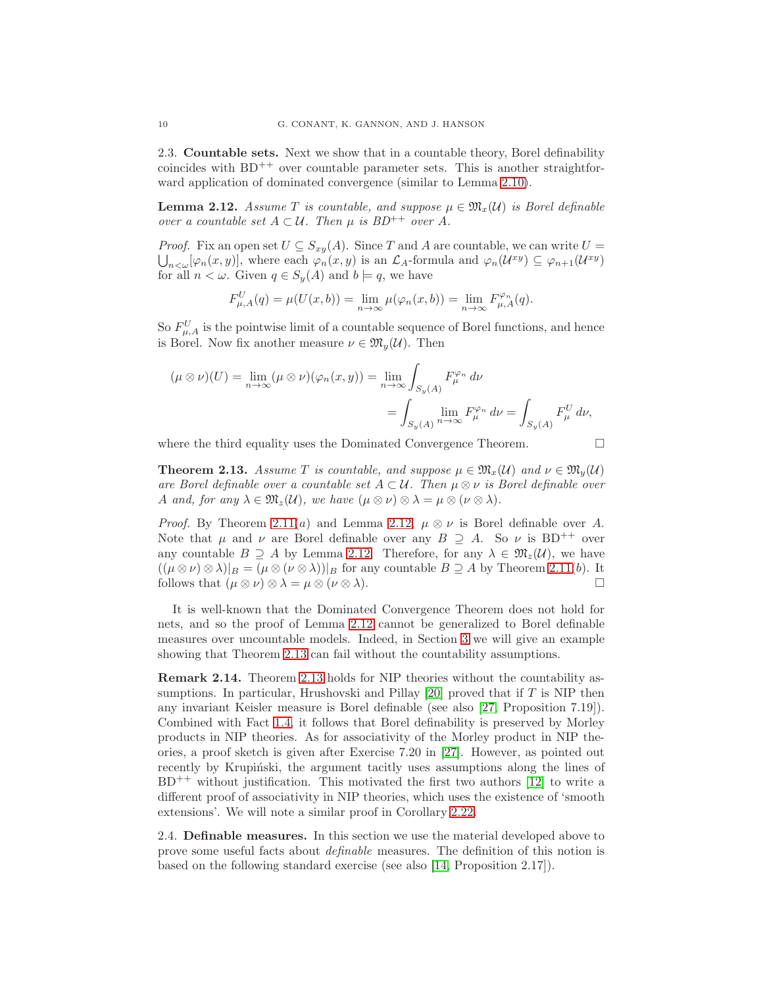2.3. Countable sets. Next we show that in a countable theory, Borel definability coincides with  $BD^{++}$  over countable parameter sets. This is another straightforward application of dominated convergence (similar to Lemma [2.10\)](#page-7-0).

<span id="page-9-2"></span>**Lemma 2.12.** Assume T is countable, and suppose  $\mu \in \mathfrak{M}_x(\mathcal{U})$  is Borel definable over a countable set  $A \subset \mathcal{U}$ . Then  $\mu$  is  $BD^{++}$  over A.

*Proof.* Fix an open set  $U \subseteq S_{xy}(A)$ . Since T and A are countable, we can write  $U =$  $_{n<\omega}[\varphi_n(x,y)]$ , where each  $\varphi_n(x,y)$  is an  $\mathcal{L}_A$ -formula and  $\varphi_n(\mathcal{U}^{xy}) \subseteq \varphi_{n+1}(\mathcal{U}^{xy})$ for all  $n < \omega$ . Given  $q \in S_y(A)$  and  $b \models q$ , we have

$$
F_{\mu,A}^U(q)=\mu(U(x,b))=\lim_{n\to\infty}\mu(\varphi_n(x,b))=\lim_{n\to\infty}F_{\mu,A}^{\varphi_n}(q).
$$

So  $F_{\mu,A}^U$  is the pointwise limit of a countable sequence of Borel functions, and hence is Borel. Now fix another measure  $\nu \in \mathfrak{M}_u(\mathcal{U})$ . Then

$$
(\mu \otimes \nu)(U) = \lim_{n \to \infty} (\mu \otimes \nu)(\varphi_n(x, y)) = \lim_{n \to \infty} \int_{S_y(A)} F_{\mu}^{\varphi_n} d\nu
$$
  
= 
$$
\int_{S_y(A)} \lim_{n \to \infty} F_{\mu}^{\varphi_n} d\nu = \int_{S_y(A)} F_{\mu}^U d\nu,
$$

where the third equality uses the Dominated Convergence Theorem.

<span id="page-9-3"></span>**Theorem 2.13.** Assume T is countable, and suppose  $\mu \in \mathfrak{M}_r(\mathcal{U})$  and  $\nu \in \mathfrak{M}_n(\mathcal{U})$ are Borel definable over a countable set  $A \subset \mathcal{U}$ . Then  $\mu \otimes \nu$  is Borel definable over A and, for any  $\lambda \in \mathfrak{M}_z(\mathcal{U})$ , we have  $(\mu \otimes \nu) \otimes \lambda = \mu \otimes (\nu \otimes \lambda)$ .

*Proof.* By Theorem [2.11\(](#page-7-1)a) and Lemma [2.12,](#page-9-2)  $\mu \otimes \nu$  is Borel definable over A. Note that  $\mu$  and  $\nu$  are Borel definable over any  $B \supseteq A$ . So  $\nu$  is BD<sup>++</sup> over any countable  $B \supseteq A$  by Lemma [2.12.](#page-9-2) Therefore, for any  $\lambda \in \mathfrak{M}_z(\mathcal{U})$ , we have  $((\mu \otimes \nu) \otimes \lambda)|_B = (\mu \otimes (\nu \otimes \lambda))|_B$  for any countable  $B \supseteq A$  by Theorem [2.11\(](#page-7-1)b). It follows that  $(\mu \otimes \nu) \otimes \lambda = \mu \otimes (\nu \otimes \lambda)$ .

It is well-known that the Dominated Convergence Theorem does not hold for nets, and so the proof of Lemma [2.12](#page-9-2) cannot be generalized to Borel definable measures over uncountable models. Indeed, in Section [3](#page-12-0) we will give an example showing that Theorem [2.13](#page-9-3) can fail without the countability assumptions.

<span id="page-9-0"></span>Remark 2.14. Theorem [2.13](#page-9-3) holds for NIP theories without the countability assumptions. In particular, Hrushovski and Pillay [\[20\]](#page-52-8) proved that if T is NIP then any invariant Keisler measure is Borel definable (see also [\[27,](#page-52-9) Proposition 7.19]). Combined with Fact [1.4,](#page-5-3) it follows that Borel definability is preserved by Morley products in NIP theories. As for associativity of the Morley product in NIP theories, a proof sketch is given after Exercise 7.20 in [\[27\]](#page-52-9). However, as pointed out recently by Krupiński, the argument tacitly uses assumptions along the lines of  $BD^{++}$  without justification. This motivated the first two authors [\[12\]](#page-52-15) to write a different proof of associativity in NIP theories, which uses the existence of 'smooth extensions'. We will note a similar proof in Corollary [2.22.](#page-12-1)

<span id="page-9-1"></span>2.4. Definable measures. In this section we use the material developed above to prove some useful facts about definable measures. The definition of this notion is based on the following standard exercise (see also [\[14,](#page-52-12) Proposition 2.17]).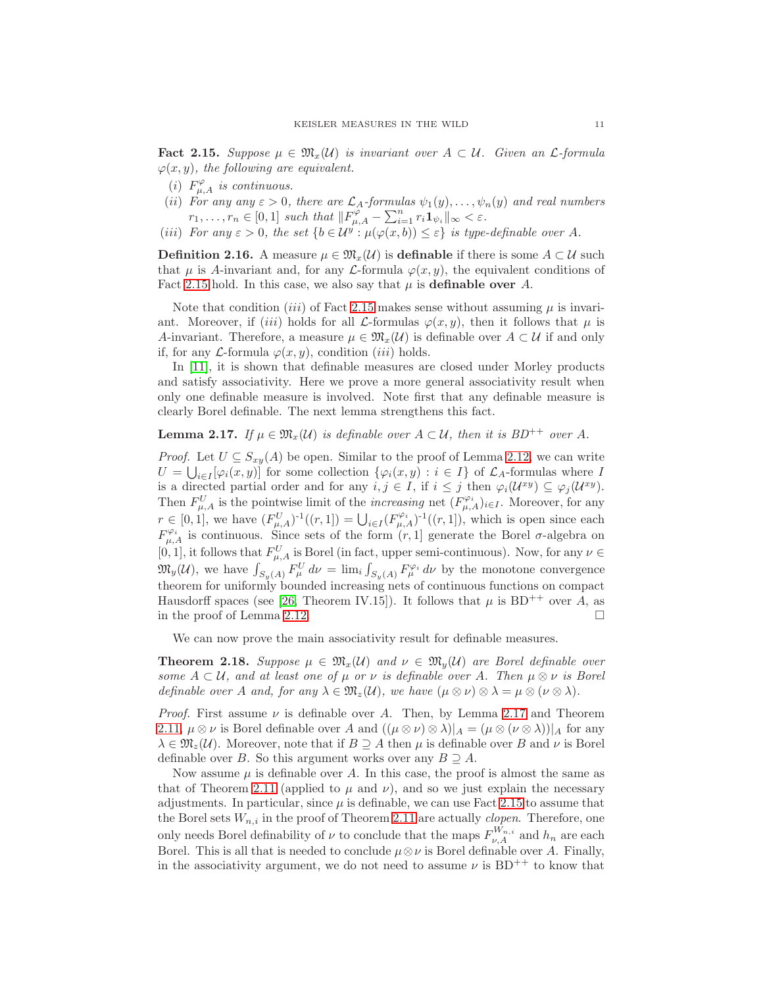<span id="page-10-0"></span>**Fact 2.15.** Suppose  $\mu \in \mathfrak{M}_{r}(\mathcal{U})$  is invariant over  $A \subset \mathcal{U}$ . Given an L-formula  $\varphi(x, y)$ , the following are equivalent.

- (i)  $F^{\varphi}_{\mu,A}$  is continuous.
- (ii) For any any  $\varepsilon > 0$ , there are  $\mathcal{L}_A$ -formulas  $\psi_1(y), \ldots, \psi_n(y)$  and real numbers  $r_1, \ldots, r_n \in [0,1]$  such that  $||F_{\mu,A}^{\varphi} - \sum_{i=1}^n r_i \mathbf{1}_{\psi_i}||_{\infty} < \varepsilon$ .
- (iii) For any  $\varepsilon > 0$ , the set  $\{b \in \mathcal{U}^y : \mu(\varphi(x, b)) \leq \varepsilon\}$  is type-definable over A.

**Definition 2.16.** A measure  $\mu \in \mathfrak{M}_r(\mathcal{U})$  is definable if there is some  $A \subset \mathcal{U}$  such that  $\mu$  is A-invariant and, for any L-formula  $\varphi(x, y)$ , the equivalent conditions of Fact [2.15](#page-10-0) hold. In this case, we also say that  $\mu$  is **definable over** A.

Note that condition *(iii)* of Fact [2.15](#page-10-0) makes sense without assuming  $\mu$  is invariant. Moreover, if (iii) holds for all  $\mathcal{L}$ -formulas  $\varphi(x, y)$ , then it follows that  $\mu$  is A-invariant. Therefore, a measure  $\mu \in \mathfrak{M}_{x}(\mathcal{U})$  is definable over  $A \subset \mathcal{U}$  if and only if, for any  $\mathcal{L}$ -formula  $\varphi(x, y)$ , condition *(iii)* holds.

In [\[11\]](#page-52-10), it is shown that definable measures are closed under Morley products and satisfy associativity. Here we prove a more general associativity result when only one definable measure is involved. Note first that any definable measure is clearly Borel definable. The next lemma strengthens this fact.

# <span id="page-10-1"></span>**Lemma 2.17.** If  $\mu \in \mathfrak{M}_{x}(\mathcal{U})$  is definable over  $A \subset \mathcal{U}$ , then it is  $BD^{++}$  over A.

*Proof.* Let  $U \subseteq S_{xy}(A)$  be open. Similar to the proof of Lemma [2.12,](#page-9-2) we can write  $U = \bigcup_{i \in I} [\varphi_i(x, y)]$  for some collection  $\{\varphi_i(x, y) : i \in I\}$  of  $\mathcal{L}_A$ -formulas where I is a directed partial order and for any  $i, j \in I$ , if  $i \leq j$  then  $\varphi_i(\mathcal{U}^{xy}) \subseteq \varphi_j(\mathcal{U}^{xy})$ . Then  $F_{\mu,A}^U$  is the pointwise limit of the *increasing* net  $(F_{\mu,A}^{\varphi_i})_{i\in I}$ . Moreover, for any  $r \in [0,1]$ , we have  $(F_{\mu,A}^U)^{-1}((r,1]) = \bigcup_{i \in I} (F_{\mu,A}^{\varphi_i})^{-1}((r,1])$ , which is open since each  $F^{\varphi_i}_{\mu,A}$  is continuous. Since sets of the form  $(r,1]$  generate the Borel  $\sigma$ -algebra on [0, 1], it follows that  $F_{\mu,A}^U$  is Borel (in fact, upper semi-continuous). Now, for any  $\nu \in$  $\mathfrak{M}_y(\mathcal{U})$ , we have  $\int_{S_y(A)} F^U_\mu d\nu = \lim_i \int_{S_y(A)} F^{\varphi_i}_\mu d\nu$  by the monotone convergence theorem for uniformly bounded increasing nets of continuous functions on compact Hausdorff spaces (see [\[26,](#page-52-16) Theorem IV.15]). It follows that  $\mu$  is BD<sup>++</sup> over A, as in the proof of Lemma [2.12.](#page-9-2)

We can now prove the main associativity result for definable measures.

<span id="page-10-2"></span>**Theorem 2.18.** Suppose  $\mu \in \mathfrak{M}_x(\mathcal{U})$  and  $\nu \in \mathfrak{M}_y(\mathcal{U})$  are Borel definable over some  $A \subset U$ , and at least one of  $\mu$  or  $\nu$  is definable over A. Then  $\mu \otimes \nu$  is Borel definable over A and, for any  $\lambda \in \mathfrak{M}_z(\mathcal{U})$ , we have  $(\mu \otimes \nu) \otimes \lambda = \mu \otimes (\nu \otimes \lambda)$ .

*Proof.* First assume  $\nu$  is definable over A. Then, by Lemma [2.17](#page-10-1) and Theorem [2.11,](#page-7-1)  $\mu \otimes \nu$  is Borel definable over A and  $((\mu \otimes \nu) \otimes \lambda)|_A = (\mu \otimes (\nu \otimes \lambda))|_A$  for any  $\lambda \in \mathfrak{M}_z(\mathcal{U})$ . Moreover, note that if  $B \supseteq A$  then  $\mu$  is definable over B and  $\nu$  is Borel definable over B. So this argument works over any  $B \supseteq A$ .

Now assume  $\mu$  is definable over A. In this case, the proof is almost the same as that of Theorem [2.11](#page-7-1) (applied to  $\mu$  and  $\nu$ ), and so we just explain the necessary adjustments. In particular, since  $\mu$  is definable, we can use Fact [2.15](#page-10-0) to assume that the Borel sets  $W_{n,i}$  in the proof of Theorem [2.11](#page-7-1) are actually *clopen*. Therefore, one only needs Borel definability of  $\nu$  to conclude that the maps  $F_{\nu,A}^{W_{n,i}}$  and  $h_n$  are each Borel. This is all that is needed to conclude  $\mu \otimes \nu$  is Borel definable over A. Finally, in the associativity argument, we do not need to assume  $\nu$  is BD<sup>++</sup> to know that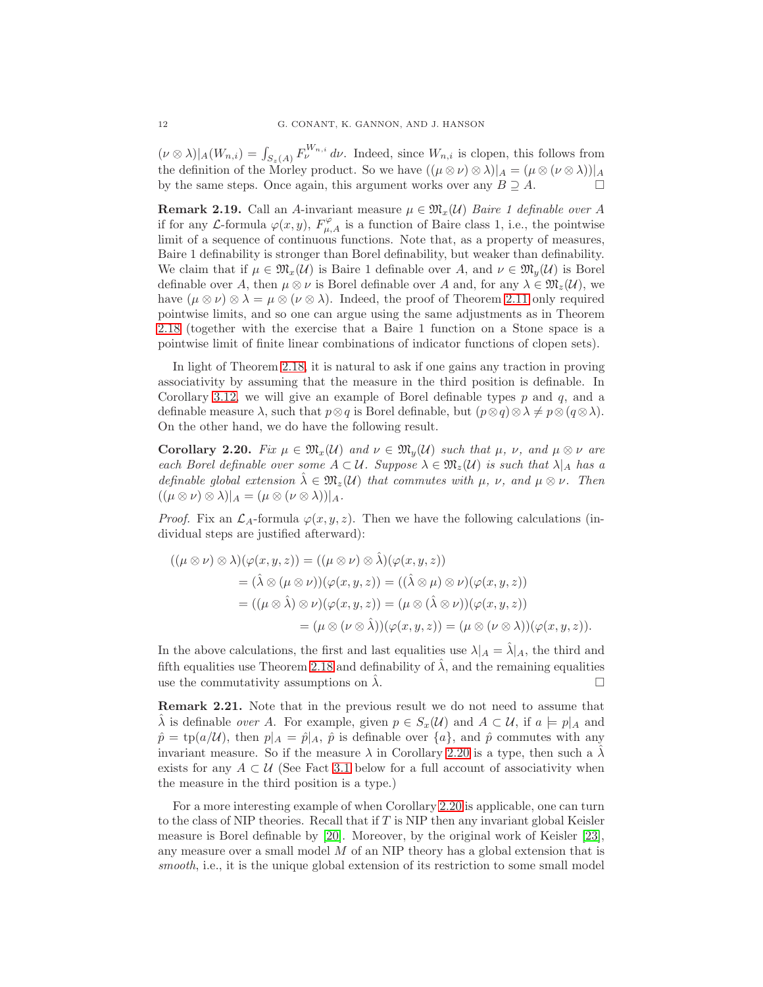$(\nu \otimes \lambda)|_A(W_{n,i}) = \int_{S_z(A)} F_{\nu}^{W_{n,i}} d\nu$ . Indeed, since  $W_{n,i}$  is clopen, this follows from the definition of the Morley product. So we have  $((\mu \otimes \nu) \otimes \lambda)|_A = (\mu \otimes (\nu \otimes \lambda))|_A$ by the same steps. Once again, this argument works over any  $B \supseteq A$ .

<span id="page-11-0"></span>**Remark 2.19.** Call an A-invariant measure  $\mu \in \mathfrak{M}_x(\mathcal{U})$  Baire 1 definable over A if for any L-formula  $\varphi(x, y)$ ,  $F^{\varphi}_{\mu, A}$  is a function of Baire class 1, i.e., the pointwise limit of a sequence of continuous functions. Note that, as a property of measures, Baire 1 definability is stronger than Borel definability, but weaker than definability. We claim that if  $\mu \in \mathfrak{M}_{r}(\mathcal{U})$  is Baire 1 definable over A, and  $\nu \in \mathfrak{M}_{v}(\mathcal{U})$  is Borel definable over A, then  $\mu \otimes \nu$  is Borel definable over A and, for any  $\lambda \in \mathfrak{M}_z(\mathcal{U})$ , we have  $(\mu \otimes \nu) \otimes \lambda = \mu \otimes (\nu \otimes \lambda)$ . Indeed, the proof of Theorem [2.11](#page-7-1) only required pointwise limits, and so one can argue using the same adjustments as in Theorem [2.18](#page-10-2) (together with the exercise that a Baire 1 function on a Stone space is a pointwise limit of finite linear combinations of indicator functions of clopen sets).

In light of Theorem [2.18,](#page-10-2) it is natural to ask if one gains any traction in proving associativity by assuming that the measure in the third position is definable. In Corollary [3.12,](#page-16-1) we will give an example of Borel definable types  $p$  and  $q$ , and a definable measure  $\lambda$ , such that  $p \otimes q$  is Borel definable, but  $(p \otimes q) \otimes \lambda \neq p \otimes (q \otimes \lambda)$ . On the other hand, we do have the following result.

<span id="page-11-1"></span>Corollary 2.20. Fix  $\mu \in \mathfrak{M}_{x}(\mathcal{U})$  and  $\nu \in \mathfrak{M}_{y}(\mathcal{U})$  such that  $\mu$ ,  $\nu$ , and  $\mu \otimes \nu$  are each Borel definable over some  $A \subset \mathcal{U}$ . Suppose  $\lambda \in \mathfrak{M}_z(\mathcal{U})$  is such that  $\lambda|_A$  has a definable global extension  $\hat{\lambda} \in \mathfrak{M}_z(\mathcal{U})$  that commutes with  $\mu$ ,  $\nu$ , and  $\mu \otimes \nu$ . Then  $((\mu \otimes \nu) \otimes \lambda)|_A = (\mu \otimes (\nu \otimes \lambda))|_A.$ 

*Proof.* Fix an  $\mathcal{L}_A$ -formula  $\varphi(x, y, z)$ . Then we have the following calculations (individual steps are justified afterward):

$$
((\mu \otimes \nu) \otimes \lambda)(\varphi(x, y, z)) = ((\mu \otimes \nu) \otimes \hat{\lambda})(\varphi(x, y, z))
$$
  
=  $(\hat{\lambda} \otimes (\mu \otimes \nu))(\varphi(x, y, z)) = ((\hat{\lambda} \otimes \mu) \otimes \nu)(\varphi(x, y, z))$   
=  $((\mu \otimes \hat{\lambda}) \otimes \nu)(\varphi(x, y, z)) = (\mu \otimes (\hat{\lambda} \otimes \nu))(\varphi(x, y, z))$   
=  $(\mu \otimes (\nu \otimes \hat{\lambda}))(\varphi(x, y, z)) = (\mu \otimes (\nu \otimes \lambda))(\varphi(x, y, z)).$ 

In the above calculations, the first and last equalities use  $\lambda|_A = \lambda|_A$ , the third and fifth equalities use Theorem [2.18](#page-10-2) and definability of  $\lambda$ , and the remaining equalities use the commutativity assumptions on  $\lambda$ .

<span id="page-11-2"></span>Remark 2.21. Note that in the previous result we do not need to assume that  $\hat{\lambda}$  is definable *over A*. For example, given  $p \in S_x(\mathcal{U})$  and  $A \subset \mathcal{U}$ , if  $a \models p|_A$  and  $\hat{p} = \text{tp}(a/\mathcal{U})$ , then  $p|_A = \hat{p}|_A$ ,  $\hat{p}$  is definable over  $\{a\}$ , and  $\hat{p}$  commutes with any invariant measure. So if the measure  $\lambda$  in Corollary [2.20](#page-11-1) is a type, then such a  $\lambda$ exists for any  $A \subset U$  (See Fact [3.1](#page-12-2) below for a full account of associativity when the measure in the third position is a type.)

For a more interesting example of when Corollary [2.20](#page-11-1) is applicable, one can turn to the class of NIP theories. Recall that if  $T$  is NIP then any invariant global Keisler measure is Borel definable by [\[20\]](#page-52-8). Moreover, by the original work of Keisler [\[23\]](#page-52-1), any measure over a small model M of an NIP theory has a global extension that is smooth, i.e., it is the unique global extension of its restriction to some small model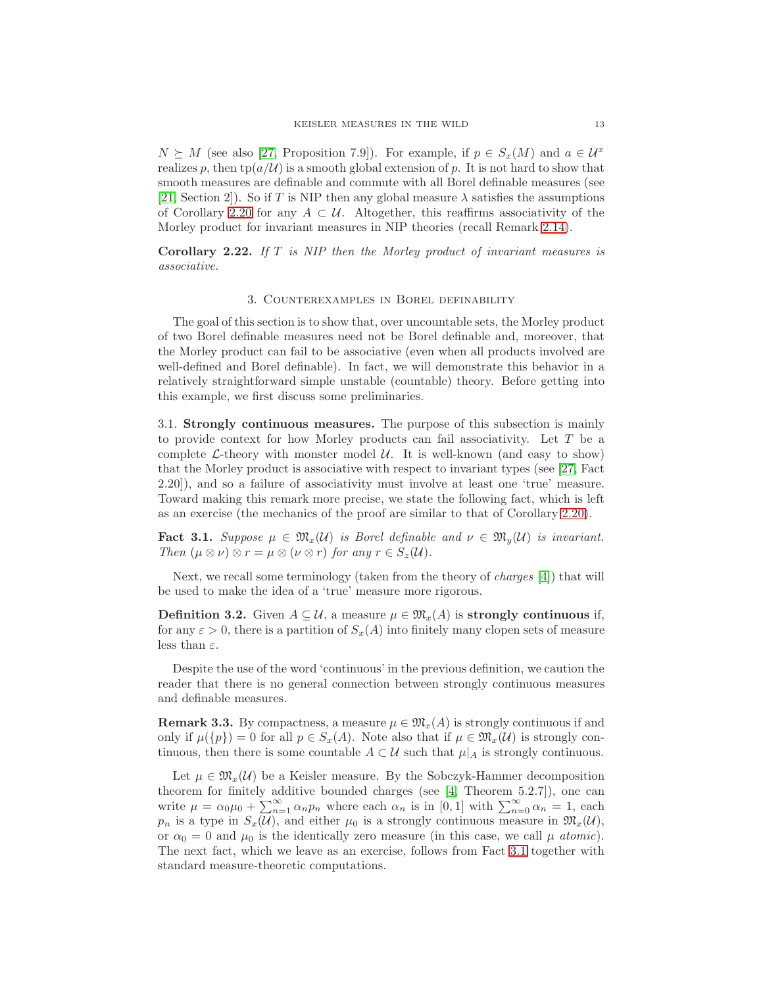$N \succeq M$  (see also [\[27,](#page-52-9) Proposition 7.9]). For example, if  $p \in S_x(M)$  and  $a \in \mathcal{U}^x$ realizes p, then tp( $a/U$ ) is a smooth global extension of p. It is not hard to show that smooth measures are definable and commute with all Borel definable measures (see [\[21,](#page-52-2) Section 2]). So if T is NIP then any global measure  $\lambda$  satisfies the assumptions of Corollary [2.20](#page-11-1) for any  $A \subset \mathcal{U}$ . Altogether, this reaffirms associativity of the Morley product for invariant measures in NIP theories (recall Remark [2.14\)](#page-9-0).

<span id="page-12-1"></span><span id="page-12-0"></span>Corollary 2.22. If  $T$  is NIP then the Morley product of invariant measures is associative.

### 3. Counterexamples in Borel definability

The goal of this section is to show that, over uncountable sets, the Morley product of two Borel definable measures need not be Borel definable and, moreover, that the Morley product can fail to be associative (even when all products involved are well-defined and Borel definable). In fact, we will demonstrate this behavior in a relatively straightforward simple unstable (countable) theory. Before getting into this example, we first discuss some preliminaries.

3.1. Strongly continuous measures. The purpose of this subsection is mainly to provide context for how Morley products can fail associativity. Let T be a complete  $\mathcal{L}\text{-theory}$  with monster model  $\mathcal{U}\text{.}$  It is well-known (and easy to show) that the Morley product is associative with respect to invariant types (see [\[27,](#page-52-9) Fact 2.20]), and so a failure of associativity must involve at least one 'true' measure. Toward making this remark more precise, we state the following fact, which is left as an exercise (the mechanics of the proof are similar to that of Corollary [2.20\)](#page-11-1).

<span id="page-12-2"></span>**Fact 3.1.** Suppose  $\mu \in \mathfrak{M}_{x}(\mathcal{U})$  is Borel definable and  $\nu \in \mathfrak{M}_{y}(\mathcal{U})$  is invariant. Then  $(\mu \otimes \nu) \otimes r = \mu \otimes (\nu \otimes r)$  for any  $r \in S_z(\mathcal{U})$ .

Next, we recall some terminology (taken from the theory of *charges* [\[4\]](#page-52-17)) that will be used to make the idea of a 'true' measure more rigorous.

**Definition 3.2.** Given  $A \subseteq \mathcal{U}$ , a measure  $\mu \in \mathfrak{M}_x(A)$  is strongly continuous if, for any  $\varepsilon > 0$ , there is a partition of  $S_x(A)$  into finitely many clopen sets of measure less than  $\varepsilon$ .

Despite the use of the word 'continuous' in the previous definition, we caution the reader that there is no general connection between strongly continuous measures and definable measures.

<span id="page-12-3"></span>**Remark 3.3.** By compactness, a measure  $\mu \in \mathfrak{M}_x(A)$  is strongly continuous if and only if  $\mu({p}) = 0$  for all  $p \in S_x(A)$ . Note also that if  $\mu \in \mathfrak{M}_x(\mathcal{U})$  is strongly continuous, then there is some countable  $A \subset U$  such that  $\mu|_A$  is strongly continuous.

Let  $\mu \in \mathfrak{M}_{x}(\mathcal{U})$  be a Keisler measure. By the Sobczyk-Hammer decomposition theorem for finitely additive bounded charges (see [\[4,](#page-52-17) Theorem 5.2.7]), one can write  $\mu = \alpha_0 \mu_0 + \sum_{n=1}^{\infty} \alpha_n p_n$  where each  $\alpha_n$  is in [0, 1] with  $\sum_{n=0}^{\infty} \alpha_n = 1$ , each  $p_n$  is a type in  $S_x(\mathcal{U})$ , and either  $\mu_0$  is a strongly continuous measure in  $\mathfrak{M}_x(\mathcal{U})$ , or  $\alpha_0 = 0$  and  $\mu_0$  is the identically zero measure (in this case, we call  $\mu$  atomic). The next fact, which we leave as an exercise, follows from Fact [3.1](#page-12-2) together with standard measure-theoretic computations.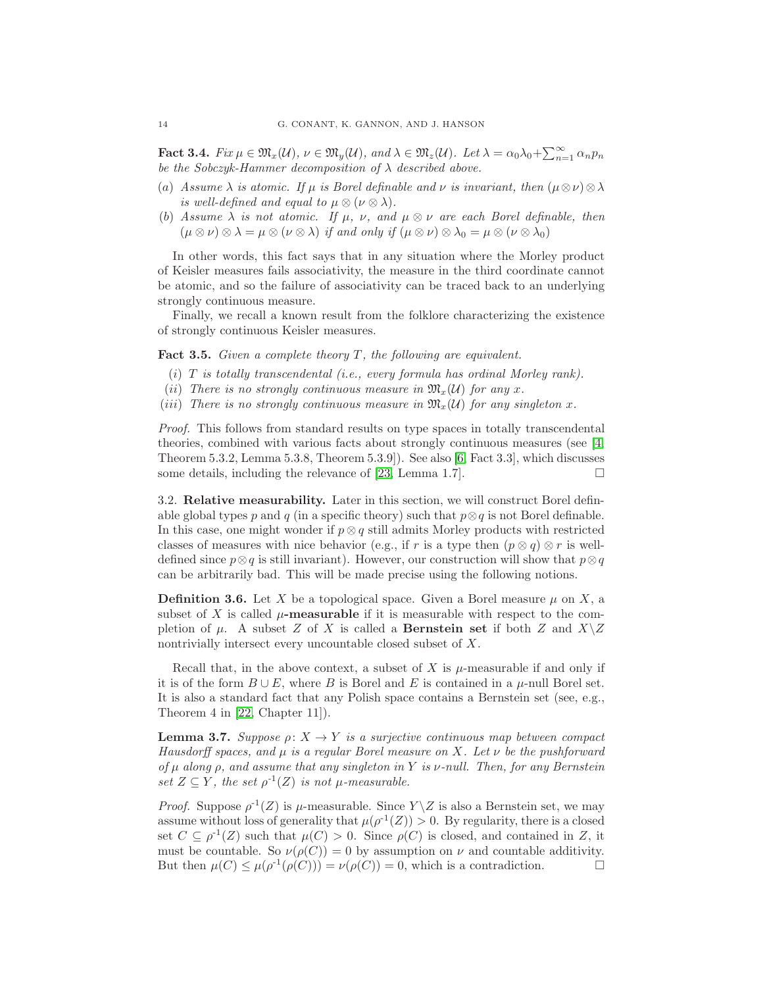**Fact 3.4.**  $Fix \mu \in \mathfrak{M}_x(\mathcal{U}), \nu \in \mathfrak{M}_y(\mathcal{U}), \text{ and } \lambda \in \mathfrak{M}_z(\mathcal{U}).$  Let  $\lambda = \alpha_0 \lambda_0 + \sum_{n=1}^{\infty} \alpha_n p_n$ be the Sobczyk-Hammer decomposition of  $\lambda$  described above.

- (a) Assume  $\lambda$  is atomic. If  $\mu$  is Borel definable and  $\nu$  is invariant, then  $(\mu \otimes \nu) \otimes \lambda$ is well-defined and equal to  $\mu \otimes (\nu \otimes \lambda)$ .
- (b) Assume  $\lambda$  is not atomic. If  $\mu$ ,  $\nu$ , and  $\mu \otimes \nu$  are each Borel definable, then  $(\mu \otimes \nu) \otimes \lambda = \mu \otimes (\nu \otimes \lambda)$  if and only if  $(\mu \otimes \nu) \otimes \lambda_0 = \mu \otimes (\nu \otimes \lambda_0)$

In other words, this fact says that in any situation where the Morley product of Keisler measures fails associativity, the measure in the third coordinate cannot be atomic, and so the failure of associativity can be traced back to an underlying strongly continuous measure.

Finally, we recall a known result from the folklore characterizing the existence of strongly continuous Keisler measures.

<span id="page-13-1"></span>**Fact 3.5.** Given a complete theory  $T$ , the following are equivalent.

- (i)  $T$  is totally transcendental (i.e., every formula has ordinal Morley rank).
- (ii) There is no strongly continuous measure in  $\mathfrak{M}_{x}(\mathcal{U})$  for any x.
- (iii) There is no strongly continuous measure in  $\mathfrak{M}_{x}(\mathcal{U})$  for any singleton x.

Proof. This follows from standard results on type spaces in totally transcendental theories, combined with various facts about strongly continuous measures (see [\[4,](#page-52-17) Theorem 5.3.2, Lemma 5.3.8, Theorem 5.3.9]). See also [\[6,](#page-52-18) Fact 3.3], which discusses some details, including the relevance of [\[23,](#page-52-1) Lemma 1.7].

<span id="page-13-2"></span>3.2. Relative measurability. Later in this section, we will construct Borel definable global types p and q (in a specific theory) such that  $p \otimes q$  is not Borel definable. In this case, one might wonder if  $p \otimes q$  still admits Morley products with restricted classes of measures with nice behavior (e.g., if r is a type then  $(p \otimes q) \otimes r$  is welldefined since  $p \otimes q$  is still invariant). However, our construction will show that  $p \otimes q$ can be arbitrarily bad. This will be made precise using the following notions.

**Definition 3.6.** Let X be a topological space. Given a Borel measure  $\mu$  on X, a subset of X is called  $\mu$ -measurable if it is measurable with respect to the completion of  $\mu$ . A subset Z of X is called a **Bernstein set** if both Z and  $X\setminus Z$ nontrivially intersect every uncountable closed subset of X.

Recall that, in the above context, a subset of X is  $\mu$ -measurable if and only if it is of the form  $B \cup E$ , where B is Borel and E is contained in a  $\mu$ -null Borel set. It is also a standard fact that any Polish space contains a Bernstein set (see, e.g., Theorem 4 in [\[22,](#page-52-19) Chapter 11]).

<span id="page-13-0"></span>**Lemma 3.7.** Suppose  $\rho: X \to Y$  is a surjective continuous map between compact Hausdorff spaces, and  $\mu$  is a regular Borel measure on X. Let  $\nu$  be the pushforward of  $\mu$  along  $\rho$ , and assume that any singleton in Y is  $\nu$ -null. Then, for any Bernstein set  $Z \subseteq Y$ , the set  $\rho^{-1}(Z)$  is not  $\mu$ -measurable.

*Proof.* Suppose  $\rho^{-1}(Z)$  is  $\mu$ -measurable. Since  $Y \setminus Z$  is also a Bernstein set, we may assume without loss of generality that  $\mu(\rho^{-1}(Z)) > 0$ . By regularity, there is a closed set  $C \subseteq \rho^{-1}(Z)$  such that  $\mu(C) > 0$ . Since  $\rho(C)$  is closed, and contained in Z, it must be countable. So  $\nu(\rho(C)) = 0$  by assumption on  $\nu$  and countable additivity. But then  $\mu(C) \leq \mu(\rho^{-1}(\rho(C))) = \nu(\rho(C)) = 0$ , which is a contradiction.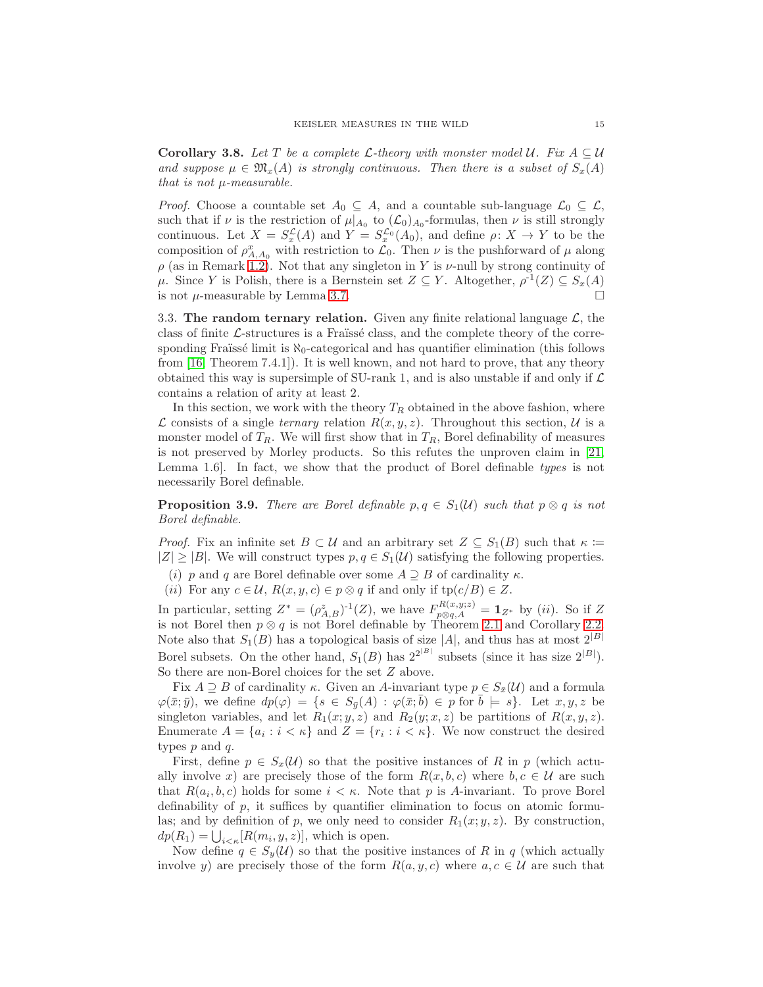<span id="page-14-1"></span>**Corollary 3.8.** Let T be a complete L-theory with monster model U. Fix  $A \subseteq U$ and suppose  $\mu \in \mathfrak{M}_x(A)$  is strongly continuous. Then there is a subset of  $S_x(A)$ that is not  $\mu$ -measurable.

*Proof.* Choose a countable set  $A_0 \subseteq A$ , and a countable sub-language  $\mathcal{L}_0 \subseteq \mathcal{L}$ , such that if  $\nu$  is the restriction of  $\mu|_{A_0}$  to  $(\mathcal{L}_0)_{A_0}$ -formulas, then  $\nu$  is still strongly continuous. Let  $X = S_x^{\mathcal{L}}(A)$  and  $Y = S_x^{\mathcal{L}_0}(A_0)$ , and define  $\rho: X \to Y$  to be the composition of  $\rho_{A,A_0}^x$  with restriction to  $\mathcal{L}_0$ . Then  $\nu$  is the pushforward of  $\mu$  along  $\rho$  (as in Remark [1.2\)](#page-4-1). Not that any singleton in Y is  $\nu$ -null by strong continuity of  $\mu$ . Since Y is Polish, there is a Bernstein set  $Z \subseteq Y$ . Altogether,  $\rho^{-1}(Z) \subseteq S_x(A)$ is not  $\mu$ -measurable by Lemma [3.7.](#page-13-0)

<span id="page-14-2"></span>3.3. The random ternary relation. Given any finite relational language  $\mathcal{L}$ , the class of finite  $\mathcal{L}\text{-structures}$  is a Fraïssé class, and the complete theory of the corresponding Fraüssé limit is  $\aleph_0$ -categorical and has quantifier elimination (this follows from [\[16,](#page-52-20) Theorem 7.4.1]). It is well known, and not hard to prove, that any theory obtained this way is supersimple of SU-rank 1, and is also unstable if and only if  $\mathcal L$ contains a relation of arity at least 2.

In this section, we work with the theory  $T_R$  obtained in the above fashion, where  $\mathcal L$  consists of a single *ternary* relation  $R(x, y, z)$ . Throughout this section,  $\mathcal U$  is a monster model of  $T_R$ . We will first show that in  $T_R$ , Borel definability of measures is not preserved by Morley products. So this refutes the unproven claim in [\[21,](#page-52-2) Lemma 1.6]. In fact, we show that the product of Borel definable types is not necessarily Borel definable.

<span id="page-14-0"></span>**Proposition 3.9.** There are Borel definable  $p, q \in S_1(\mathcal{U})$  such that  $p \otimes q$  is not Borel definable.

*Proof.* Fix an infinite set  $B \subset \mathcal{U}$  and an arbitrary set  $Z \subseteq S_1(B)$  such that  $\kappa :=$  $|Z| \geq |B|$ . We will construct types  $p, q \in S_1(\mathcal{U})$  satisfying the following properties.

(i) p and q are Borel definable over some  $A \supseteq B$  of cardinality  $\kappa$ .

(ii) For any  $c \in \mathcal{U}$ ,  $R(x, y, c) \in p \otimes q$  if and only if  $tp(c/B) \in Z$ .

In particular, setting  $Z^* = (\rho_{A,B}^z)^{-1}(Z)$ , we have  $F_{p\otimes q,A}^{R(x,y;z)} = \mathbf{1}_{Z^*}$  by (*ii*). So if Z is not Borel then  $p \otimes q$  is not Borel definable by Theorem [2.1](#page-5-1) and Corollary [2.2.](#page-5-2) Note also that  $S_1(B)$  has a topological basis of size |A|, and thus has at most  $2^{|B|}$ Borel subsets. On the other hand,  $S_1(B)$  has  $2^{2^{|B|}}$  subsets (since it has size  $2^{|B|}$ ). So there are non-Borel choices for the set Z above.

Fix  $A \supseteq B$  of cardinality  $\kappa$ . Given an A-invariant type  $p \in S_{\overline{x}}(\mathcal{U})$  and a formula  $\varphi(\bar{x};\bar{y})$ , we define  $dp(\varphi) = \{s \in S_{\bar{y}}(A) : \varphi(\bar{x};\bar{b}) \in p \text{ for } \bar{b} \models s\}$ . Let  $x, y, z$  be singleton variables, and let  $R_1(x; y, z)$  and  $R_2(y; x, z)$  be partitions of  $R(x, y, z)$ . Enumerate  $A = \{a_i : i < \kappa\}$  and  $Z = \{r_i : i < \kappa\}$ . We now construct the desired types  $p$  and  $q$ .

First, define  $p \in S_x(\mathcal{U})$  so that the positive instances of R in p (which actually involve x) are precisely those of the form  $R(x, b, c)$  where  $b, c \in \mathcal{U}$  are such that  $R(a_i, b, c)$  holds for some  $i < \kappa$ . Note that p is A-invariant. To prove Borel definability of  $p$ , it suffices by quantifier elimination to focus on atomic formulas; and by definition of p, we only need to consider  $R_1(x; y, z)$ . By construction,  $dp(R_1) = \bigcup_{i < \kappa} [R(m_i, y, z)],$  which is open.

Now define  $q \in S_q(\mathcal{U})$  so that the positive instances of R in q (which actually involve y) are precisely those of the form  $R(a, y, c)$  where  $a, c \in U$  are such that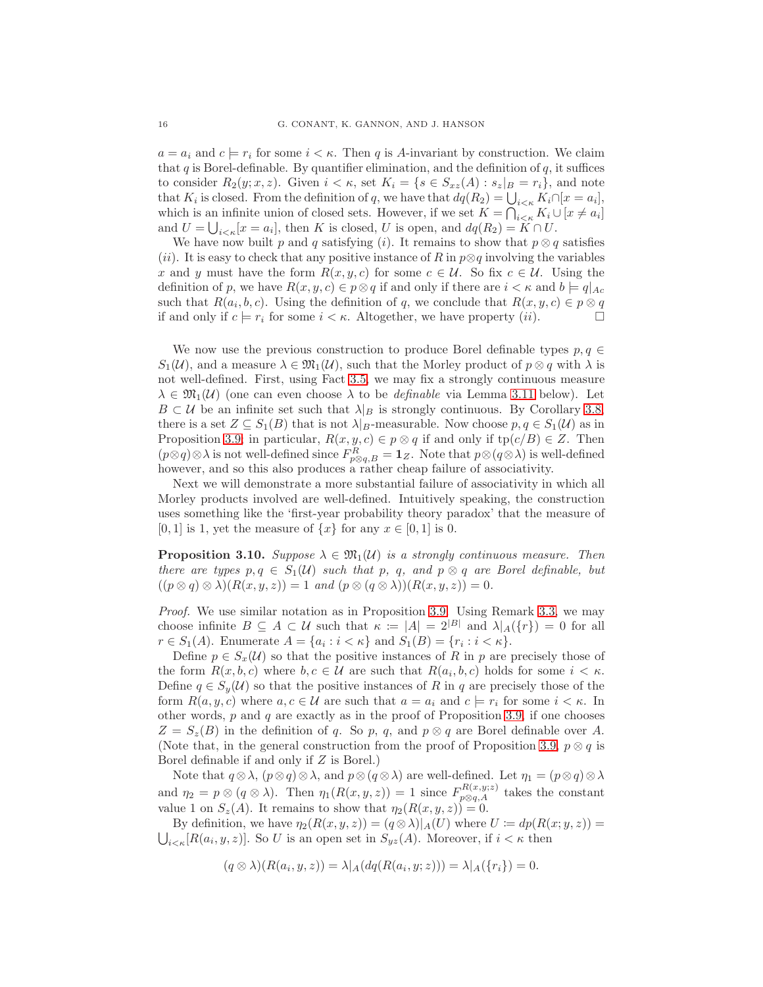$a = a_i$  and  $c = r_i$  for some  $i < \kappa$ . Then q is A-invariant by construction. We claim that q is Borel-definable. By quantifier elimination, and the definition of  $q$ , it suffices to consider  $R_2(y; x, z)$ . Given  $i < \kappa$ , set  $K_i = \{s \in S_{xz}(A) : s_z|_{B} = r_i\}$ , and note that  $K_i$  is closed. From the definition of q, we have that  $dq(R_2) = \bigcup_{i \le \kappa} K_i \cap [x = a_i],$ which is an infinite union of closed sets. However, if we set  $K = \bigcap_{i \le \kappa} K_i \cup [x \neq a_i]$ and  $U = \bigcup_{i \leq \kappa} [x = a_i]$ , then K is closed, U is open, and  $dq(R_2) = \widetilde{K} \cap U$ .

We have now built p and q satisfying (i). It remains to show that  $p \otimes q$  satisfies (ii). It is easy to check that any positive instance of R in  $p\otimes q$  involving the variables x and y must have the form  $R(x, y, c)$  for some  $c \in \mathcal{U}$ . So fix  $c \in \mathcal{U}$ . Using the definition of p, we have  $R(x, y, c) \in p \otimes q$  if and only if there are  $i < \kappa$  and  $b \models q|_{Ac}$ such that  $R(a_i, b, c)$ . Using the definition of q, we conclude that  $R(x, y, c) \in p \otimes q$ if and only if  $c \models r_i$  for some  $i < \kappa$ . Altogether, we have property  $(ii)$ .

We now use the previous construction to produce Borel definable types  $p, q \in$  $S_1(\mathcal{U})$ , and a measure  $\lambda \in \mathfrak{M}_1(\mathcal{U})$ , such that the Morley product of  $p \otimes q$  with  $\lambda$  is not well-defined. First, using Fact [3.5,](#page-13-1) we may fix a strongly continuous measure  $\lambda \in \mathfrak{M}_1(\mathcal{U})$  (one can even choose  $\lambda$  to be *definable* via Lemma [3.11](#page-16-2) below). Let  $B \subset \mathcal{U}$  be an infinite set such that  $\lambda|_B$  is strongly continuous. By Corollary [3.8,](#page-14-1) there is a set  $Z \subseteq S_1(B)$  that is not  $\lambda|_B$ -measurable. Now choose  $p, q \in S_1(\mathcal{U})$  as in Proposition [3.9;](#page-14-0) in particular,  $R(x, y, c) \in p \otimes q$  if and only if  $tp(c/B) \in Z$ . Then  $(p \otimes q) \otimes \lambda$  is not well-defined since  $F_{p \otimes q, B}^R = \mathbf{1}_Z$ . Note that  $p \otimes (q \otimes \lambda)$  is well-defined however, and so this also produces a rather cheap failure of associativity.

Next we will demonstrate a more substantial failure of associativity in which all Morley products involved are well-defined. Intuitively speaking, the construction uses something like the 'first-year probability theory paradox' that the measure of [0, 1] is 1, yet the measure of  $\{x\}$  for any  $x \in [0, 1]$  is 0.

**Proposition 3.10.** Suppose  $\lambda \in \mathfrak{M}_1(\mathcal{U})$  is a strongly continuous measure. Then there are types  $p, q \in S_1(\mathcal{U})$  such that p, q, and  $p \otimes q$  are Borel definable, but  $((p \otimes q) \otimes \lambda)(R(x, y, z)) = 1$  and  $(p \otimes (q \otimes \lambda))(R(x, y, z)) = 0$ .

Proof. We use similar notation as in Proposition [3.9.](#page-14-0) Using Remark [3.3,](#page-12-3) we may choose infinite  $B \subseteq A \subset U$  such that  $\kappa := |A| = 2^{|B|}$  and  $\lambda |A(\{r\}) = 0$  for all  $r \in S_1(A)$ . Enumerate  $A = \{a_i : i < \kappa\}$  and  $S_1(B) = \{r_i : i < \kappa\}.$ 

Define  $p \in S_x(\mathcal{U})$  so that the positive instances of R in p are precisely those of the form  $R(x, b, c)$  where  $b, c \in \mathcal{U}$  are such that  $R(a_i, b, c)$  holds for some  $i < \kappa$ . Define  $q \in S_y(\mathcal{U})$  so that the positive instances of R in q are precisely those of the form  $R(a, y, c)$  where  $a, c \in \mathcal{U}$  are such that  $a = a_i$  and  $c \models r_i$  for some  $i < \kappa$ . In other words,  $p$  and  $q$  are exactly as in the proof of Proposition [3.9,](#page-14-0) if one chooses  $Z = S_z(B)$  in the definition of q. So p, q, and  $p \otimes q$  are Borel definable over A. (Note that, in the general construction from the proof of Proposition [3.9,](#page-14-0)  $p \otimes q$  is Borel definable if and only if Z is Borel.)

Note that  $q \otimes \lambda$ ,  $(p \otimes q) \otimes \lambda$ , and  $p \otimes (q \otimes \lambda)$  are well-defined. Let  $\eta_1 = (p \otimes q) \otimes \lambda$ and  $\eta_2 = p \otimes (q \otimes \lambda)$ . Then  $\eta_1(R(x, y, z)) = 1$  since  $F_{p \otimes q, A}^{R(x, y, z)}$  takes the constant value 1 on  $S_z(A)$ . It remains to show that  $\eta_2(R(x, y, z)) = 0$ .

By definition, we have  $\eta_2(R(x, y, z)) = (q \otimes \lambda)|_A(U)$  where  $U \coloneqq dp(R(x; y, z)) =$  $\bigcup_{i \leq \kappa} [R(a_i, y, z)].$  So U is an open set in  $S_{yz}(A)$ . Moreover, if  $i < \kappa$  then

$$
(q \otimes \lambda)(R(a_i, y, z)) = \lambda |A(dq(R(a_i, y, z))) = \lambda |A(\lbrace r_i \rbrace) = 0.
$$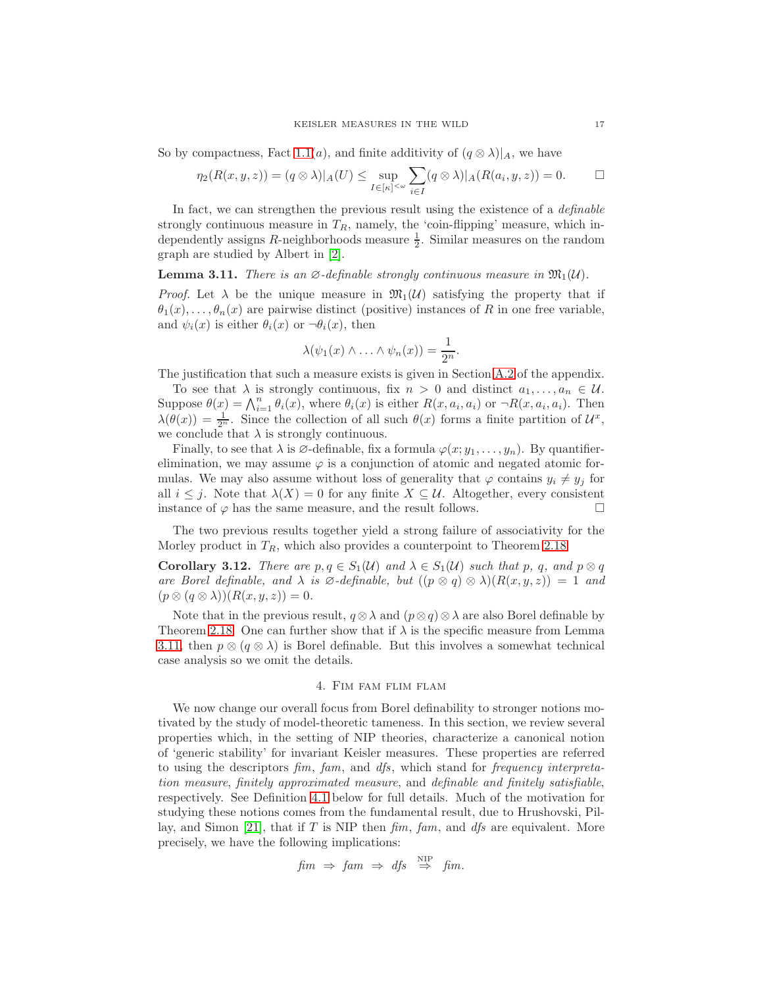So by compactness, Fact [1.1\(](#page-4-0)a), and finite additivity of  $(q \otimes \lambda)|_A$ , we have

$$
\eta_2(R(x,y,z)) = (q \otimes \lambda)|_A(U) \leq \sup_{I \in [\kappa]^{<\omega}} \sum_{i \in I} (q \otimes \lambda)|_A(R(a_i,y,z)) = 0. \qquad \Box
$$

In fact, we can strengthen the previous result using the existence of a *definable* strongly continuous measure in  $T_R$ , namely, the 'coin-flipping' measure, which independently assigns R-neighborhoods measure  $\frac{1}{2}$ . Similar measures on the random graph are studied by Albert in [\[2\]](#page-52-21).

<span id="page-16-2"></span>**Lemma 3.11.** There is an  $\emptyset$ -definable strongly continuous measure in  $\mathfrak{M}_1(\mathcal{U})$ .

*Proof.* Let  $\lambda$  be the unique measure in  $\mathfrak{M}_1(\mathcal{U})$  satisfying the property that if  $\theta_1(x), \ldots, \theta_n(x)$  are pairwise distinct (positive) instances of R in one free variable, and  $\psi_i(x)$  is either  $\theta_i(x)$  or  $\neg \theta_i(x)$ , then

$$
\lambda(\psi_1(x)\wedge\ldots\wedge\psi_n(x))=\frac{1}{2^n}.
$$

The justification that such a measure exists is given in Section [A.2](#page-43-2) of the appendix.

To see that  $\lambda$  is strongly continuous, fix  $n > 0$  and distinct  $a_1, \ldots, a_n \in \mathcal{U}$ . Suppose  $\theta(x) = \bigwedge_{i=1}^n \theta_i(x)$ , where  $\theta_i(x)$  is either  $R(x, a_i, a_i)$  or  $\neg R(x, a_i, a_i)$ . Then  $\lambda(\theta(x)) = \frac{1}{2^n}$ . Since the collection of all such  $\theta(x)$  forms a finite partition of  $\mathcal{U}^x$ , we conclude that  $\lambda$  is strongly continuous.

Finally, to see that  $\lambda$  is  $\emptyset$ -definable, fix a formula  $\varphi(x; y_1, \ldots, y_n)$ . By quantifierelimination, we may assume  $\varphi$  is a conjunction of atomic and negated atomic formulas. We may also assume without loss of generality that  $\varphi$  contains  $y_i \neq y_j$  for all  $i \leq j$ . Note that  $\lambda(X) = 0$  for any finite  $X \subseteq \mathcal{U}$ . Altogether, every consistent instance of  $\varphi$  has the same measure, and the result follows.

The two previous results together yield a strong failure of associativity for the Morley product in  $T_R$ , which also provides a counterpoint to Theorem [2.18.](#page-10-2)

<span id="page-16-1"></span>**Corollary 3.12.** There are  $p, q \in S_1(\mathcal{U})$  and  $\lambda \in S_1(\mathcal{U})$  such that p, q, and  $p \otimes q$ are Borel definable, and  $\lambda$  is  $\emptyset$ -definable, but  $((p \otimes q) \otimes \lambda)(R(x, y, z)) = 1$  and  $(p \otimes (q \otimes \lambda))(R(x, y, z)) = 0.$ 

Note that in the previous result,  $q \otimes \lambda$  and  $(p \otimes q) \otimes \lambda$  are also Borel definable by Theorem [2.18.](#page-10-2) One can further show that if  $\lambda$  is the specific measure from Lemma [3.11,](#page-16-2) then  $p \otimes (q \otimes \lambda)$  is Borel definable. But this involves a somewhat technical case analysis so we omit the details.

#### 4. Fim fam flim flam

<span id="page-16-0"></span>We now change our overall focus from Borel definability to stronger notions motivated by the study of model-theoretic tameness. In this section, we review several properties which, in the setting of NIP theories, characterize a canonical notion of 'generic stability' for invariant Keisler measures. These properties are referred to using the descriptors fim, fam, and dfs, which stand for frequency interpretation measure, finitely approximated measure, and definable and finitely satisfiable, respectively. See Definition [4.1](#page-17-0) below for full details. Much of the motivation for studying these notions comes from the fundamental result, due to Hrushovski, Pil-lay, and Simon [\[21\]](#page-52-2), that if T is NIP then  $\lim_{m \to \infty}$ , and dfs are equivalent. More precisely, we have the following implications:

$$
fim \Rightarrow fam \Rightarrow dfs \stackrel{\text{NIP}}{\Rightarrow} fm.
$$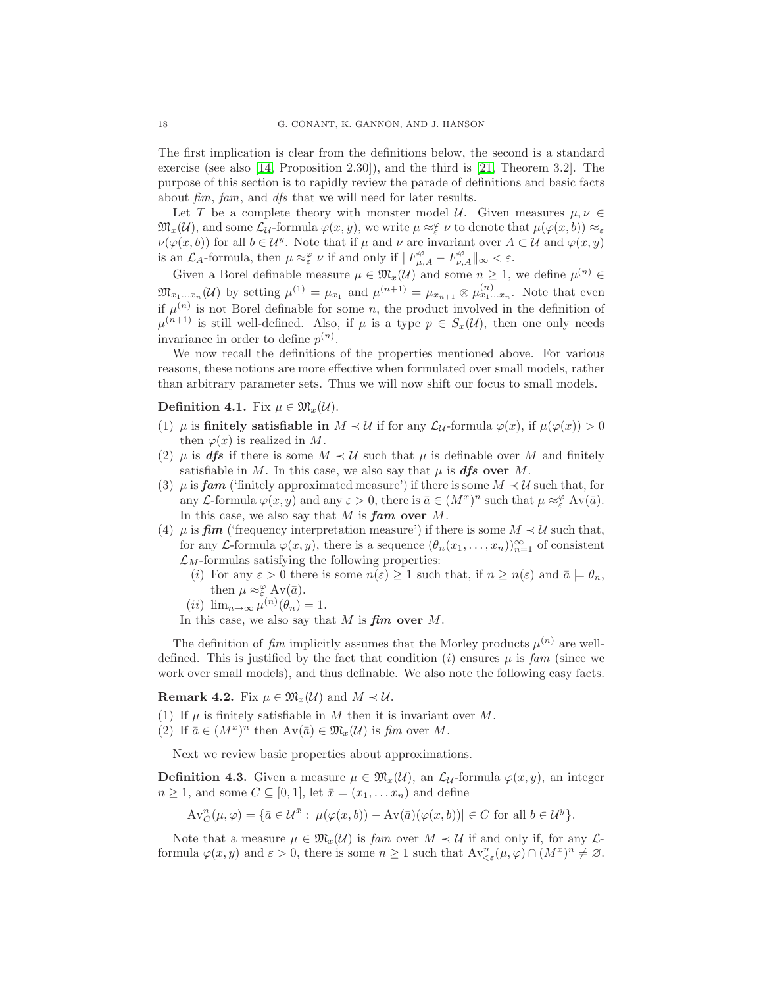The first implication is clear from the definitions below, the second is a standard exercise (see also [\[14,](#page-52-12) Proposition 2.30]), and the third is [\[21,](#page-52-2) Theorem 3.2]. The purpose of this section is to rapidly review the parade of definitions and basic facts about fim, fam, and dfs that we will need for later results.

Let T be a complete theory with monster model U. Given measures  $\mu, \nu \in$  $\mathfrak{M}_{x}(\mathcal{U})$ , and some  $\mathcal{L}_{\mathcal{U}}$ -formula  $\varphi(x, y)$ , we write  $\mu \approx_{\varepsilon}^{\varphi} \nu$  to denote that  $\mu(\varphi(x, b)) \approx_{\varepsilon}$  $\nu(\varphi(x,b))$  for all  $b \in \mathcal{U}^y$ . Note that if  $\mu$  and  $\nu$  are invariant over  $A \subset \mathcal{U}$  and  $\varphi(x,y)$ is an  $\mathcal{L}_A$ -formula, then  $\mu \approx_{\varepsilon}^{\varphi} \nu$  if and only if  $||F^{\varphi}_{\mu,A} - F^{\varphi}_{\nu,A}||_{\infty} < \varepsilon$ .

Given a Borel definable measure  $\mu \in \mathfrak{M}_x(\mathcal{U})$  and some  $n \geq 1$ , we define  $\mu^{(n)} \in$  $\mathfrak{M}_{x_1...x_n}(\mathcal{U})$  by setting  $\mu^{(1)} = \mu_{x_1}$  and  $\mu^{(n+1)} = \mu_{x_{n+1}} \otimes \mu^{(n)}_{x_1...x_n}$ . Note that even if  $\mu^{(n)}$  is not Borel definable for some n, the product involved in the definition of  $\mu^{(n+1)}$  is still well-defined. Also, if  $\mu$  is a type  $p \in S_x(\mathcal{U})$ , then one only needs invariance in order to define  $p^{(n)}$ .

We now recall the definitions of the properties mentioned above. For various reasons, these notions are more effective when formulated over small models, rather than arbitrary parameter sets. Thus we will now shift our focus to small models.

<span id="page-17-0"></span>Definition 4.1. Fix  $\mu \in \mathfrak{M}_{r}(\mathcal{U})$ .

- (1)  $\mu$  is finitely satisfiable in  $M \prec U$  if for any  $\mathcal{L}_U$ -formula  $\varphi(x)$ , if  $\mu(\varphi(x)) > 0$ then  $\varphi(x)$  is realized in M.
- (2)  $\mu$  is **dfs** if there is some  $M \prec U$  such that  $\mu$  is definable over M and finitely satisfiable in M. In this case, we also say that  $\mu$  is **dfs** over M.
- (3)  $\mu$  is **fam** ('finitely approximated measure') if there is some  $M \prec U$  such that, for any L-formula  $\varphi(x, y)$  and any  $\varepsilon > 0$ , there is  $\bar{a} \in (M^x)^n$  such that  $\mu \approx_{\varepsilon}^{\varphi} Av(\bar{a})$ . In this case, we also say that  $M$  is  $fam$  over  $M$ .
- (4)  $\mu$  is **fim** ('frequency interpretation measure') if there is some  $M \prec U$  such that, for any L-formula  $\varphi(x, y)$ , there is a sequence  $(\theta_n(x_1, \ldots, x_n))_{n=1}^{\infty}$  of consistent  $\mathcal{L}_M$ -formulas satisfying the following properties:
	- (i) For any  $\varepsilon > 0$  there is some  $n(\varepsilon) \ge 1$  such that, if  $n \ge n(\varepsilon)$  and  $\bar{a} \models \theta_n$ , then  $\mu \approx_{\varepsilon}^{\varphi} Av(\bar{a})$ .
	- (*ii*)  $\lim_{n\to\infty}\mu^{(n)}(\theta_n)=1.$

In this case, we also say that  $M$  is  $\lim_{M \to \infty}$  over  $M$ .

The definition of  $\lim$  implicitly assumes that the Morley products  $\mu^{(n)}$  are welldefined. This is justified by the fact that condition (i) ensures  $\mu$  is fam (since we work over small models), and thus definable. We also note the following easy facts.

### **Remark 4.2.** Fix  $\mu \in \mathfrak{M}_x(\mathcal{U})$  and  $M \prec \mathcal{U}$ .

(1) If  $\mu$  is finitely satisfiable in M then it is invariant over M.

(2) If  $\bar{a} \in (M^x)^n$  then  $Av(\bar{a}) \in \mathfrak{M}_x(\mathcal{U})$  is fim over M.

Next we review basic properties about approximations.

**Definition 4.3.** Given a measure  $\mu \in \mathfrak{M}_x(\mathcal{U})$ , an  $\mathcal{L}_\mathcal{U}$ -formula  $\varphi(x, y)$ , an integer  $n \geq 1$ , and some  $C \subseteq [0,1]$ , let  $\bar{x} = (x_1, \ldots, x_n)$  and define

$$
\mathrm{Av}^n_C(\mu,\varphi) = \{\bar{a} \in \mathcal{U}^{\bar{x}} : |\mu(\varphi(x,b)) - \mathrm{Av}(\bar{a})(\varphi(x,b))| \in C \text{ for all } b \in \mathcal{U}^y\}.
$$

Note that a measure  $\mu \in \mathfrak{M}_{x}(\mathcal{U})$  is fam over  $M \prec \mathcal{U}$  if and only if, for any  $\mathcal{L}$ formula  $\varphi(x, y)$  and  $\varepsilon > 0$ , there is some  $n \ge 1$  such that  $Av_{\le \varepsilon}^n(\mu, \varphi) \cap (M^x)^n \ne \emptyset$ .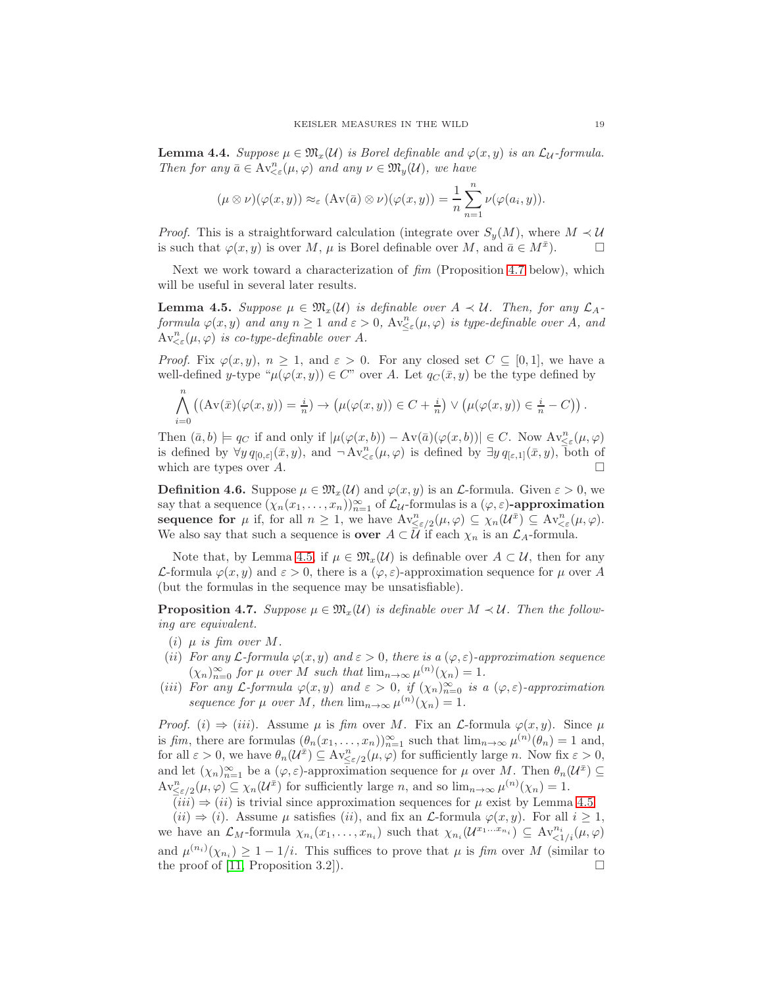**Lemma 4.4.** Suppose  $\mu \in \mathfrak{M}_x(\mathcal{U})$  is Borel definable and  $\varphi(x, y)$  is an  $\mathcal{L}_\mathcal{U}$ -formula. Then for any  $\bar{a} \in Av^n_{\leq \varepsilon}(\mu, \varphi)$  and any  $\nu \in \mathfrak{M}_y(\mathcal{U})$ , we have

$$
(\mu \otimes \nu)(\varphi(x,y)) \approx_{\varepsilon} (\mathrm{Av}(\bar{a}) \otimes \nu)(\varphi(x,y)) = \frac{1}{n} \sum_{n=1}^{n} \nu(\varphi(a_i, y)).
$$

*Proof.* This is a straightforward calculation (integrate over  $S_y(M)$ , where  $M \prec U$ is such that  $\varphi(x, y)$  is over M,  $\mu$  is Borel definable over M, and  $\bar{a} \in M^{\bar{x}}$ ).

Next we work toward a characterization of  $\lim$  (Proposition [4.7](#page-18-0) below), which will be useful in several later results.

<span id="page-18-1"></span>**Lemma 4.5.** Suppose  $\mu \in \mathfrak{M}_x(\mathcal{U})$  is definable over  $A \prec \mathcal{U}$ . Then, for any  $\mathcal{L}_A$ formula  $\varphi(x, y)$  and any  $n \geq 1$  and  $\varepsilon > 0$ ,  $Av_{\leq \varepsilon}^n(\mu, \varphi)$  is type-definable over A, and  $Av^n_{\leq \varepsilon}(\mu, \varphi)$  is co-type-definable over A.

*Proof.* Fix  $\varphi(x, y), n \geq 1$ , and  $\varepsilon > 0$ . For any closed set  $C \subseteq [0, 1]$ , we have a well-defined y-type " $\mu(\varphi(x, y)) \in C$ " over A. Let  $q_C(\bar{x}, y)$  be the type defined by

$$
\bigwedge_{i=0}^{n} \left( (\mathrm{Av}(\bar{x})(\varphi(x,y)) = \frac{i}{n}) \to \left( \mu(\varphi(x,y)) \in C + \frac{i}{n} \right) \vee \left( \mu(\varphi(x,y)) \in \frac{i}{n} - C \right) \right).
$$

Then  $(\bar{a}, b) \models q_C$  if and only if  $|\mu(\varphi(x, b)) - Av(\bar{a})(\varphi(x, b))| \in C$ . Now  $Av_{\leq \varepsilon}^n(\mu, \varphi)$ is defined by  $\forall y \, q_{[0,\varepsilon]}(\bar{x},y)$ , and  $\neg Av^n_{\leq \varepsilon}(\mu,\varphi)$  is defined by  $\exists y \, q_{[\varepsilon,1]}(\bar{x},y)$ , both of which are types over A.

**Definition 4.6.** Suppose  $\mu \in \mathfrak{M}_x(\mathcal{U})$  and  $\varphi(x, y)$  is an L-formula. Given  $\varepsilon > 0$ , we say that a sequence  $(\chi_n(x_1,\ldots,x_n))_{n=1}^{\infty}$  of  $\mathcal{L}_{\mathcal{U}}$ -formulas is a  $(\varphi,\varepsilon)$ -approximation sequence for  $\mu$  if, for all  $n \geq 1$ , we have  $Av_{\leq \varepsilon/2}^n(\mu, \varphi) \subseteq \chi_n(\mathcal{U}^{\bar{x}}) \subseteq Av_{\leq \varepsilon}^n(\mu, \varphi)$ . We also say that such a sequence is **over**  $A \subset \overline{\mathcal{U}}$  if each  $\chi_n$  is an  $\mathcal{L}_A$ -formula.

Note that, by Lemma [4.5,](#page-18-1) if  $\mu \in \mathfrak{M}_x(\mathcal{U})$  is definable over  $A \subset \mathcal{U}$ , then for any L-formula  $\varphi(x, y)$  and  $\varepsilon > 0$ , there is a  $(\varphi, \varepsilon)$ -approximation sequence for  $\mu$  over A (but the formulas in the sequence may be unsatisfiable).

<span id="page-18-0"></span>**Proposition 4.7.** Suppose  $\mu \in \mathfrak{M}_x(\mathcal{U})$  is definable over  $M \prec \mathcal{U}$ . Then the following are equivalent.

- (i)  $\mu$  is fim over M.
- (ii) For any  $\mathcal{L}$ -formula  $\varphi(x, y)$  and  $\varepsilon > 0$ , there is a  $(\varphi, \varepsilon)$ -approximation sequence  $(\chi_n)_{n=0}^{\infty}$  for  $\mu$  over M such that  $\lim_{n\to\infty} \mu^{(n)}(\chi_n) = 1$ .
- (iii) For any L-formula  $\varphi(x, y)$  and  $\varepsilon > 0$ , if  $(\chi_n)_{n=0}^{\infty}$  is a  $(\varphi, \varepsilon)$ -approximation sequence for  $\mu$  over M, then  $\lim_{n\to\infty}\mu^{(n)}(\chi_n)=1$ .

*Proof.* (i)  $\Rightarrow$  (iii). Assume  $\mu$  is fim over M. Fix an L-formula  $\varphi(x, y)$ . Since  $\mu$ is fim, there are formulas  $(\theta_n(x_1,\ldots,x_n))_{n=1}^{\infty}$  such that  $\lim_{n\to\infty}\mu^{(n)}(\theta_n)=1$  and, for all  $\varepsilon > 0$ , we have  $\theta_n(\mathcal{U}^{\bar{x}}) \subseteq \text{Av}_{\leq \varepsilon/2}^n(\mu, \varphi)$  for sufficiently large n. Now fix  $\varepsilon > 0$ , and let  $(\chi_n)_{n=1}^{\infty}$  be a  $(\varphi, \varepsilon)$ -approximation sequence for  $\mu$  over M. Then  $\theta_n(\mathcal{U}^{\bar{x}}) \subseteq$  $Av_{\leq \varepsilon/2}^n(\mu, \varphi) \subseteq \chi_n(\mathcal{U}^{\bar{x}})$  for sufficiently large n, and so  $\lim_{n\to\infty}\mu^{(n)}(\chi_n) = 1$ .

 $(iii) \Rightarrow (ii)$  is trivial since approximation sequences for  $\mu$  exist by Lemma [4.5.](#page-18-1)

 $(ii) \Rightarrow (i)$ . Assume  $\mu$  satisfies  $(ii)$ , and fix an  $\mathcal{L}$ -formula  $\varphi(x, y)$ . For all  $i \geq 1$ , we have an  $\mathcal{L}_M$ -formula  $\chi_{n_i}(x_1,\ldots,x_{n_i})$  such that  $\chi_{n_i}(\mathcal{U}^{x_1...x_{n_i}}) \subseteq \text{Av}^{n_i}_{\leq 1/i}(\mu,\varphi)$ and  $\mu^{(n_i)}(\chi_{n_i}) \geq 1 - 1/i$ . This suffices to prove that  $\mu$  is fim over M (similar to the proof of [\[11,](#page-52-10) Proposition 3.2]).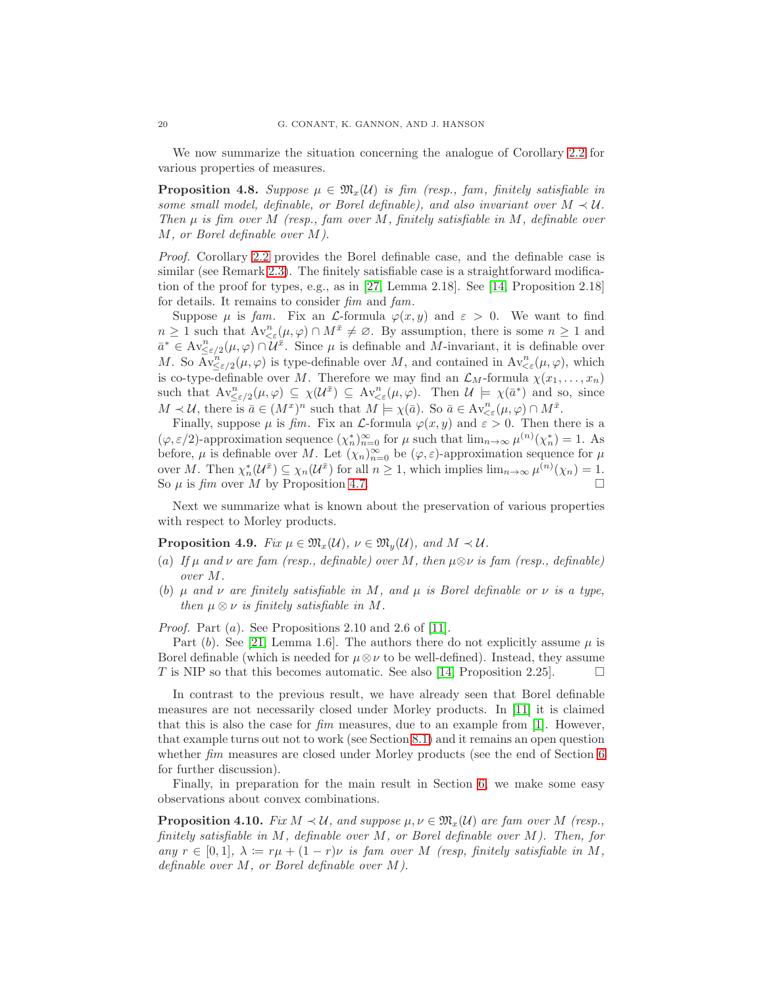We now summarize the situation concerning the analogue of Corollary [2.2](#page-5-2) for various properties of measures.

**Proposition 4.8.** Suppose  $\mu \in \mathfrak{M}_{x}(\mathcal{U})$  is fim (resp., fam, finitely satisfiable in some small model, definable, or Borel definable), and also invariant over  $M \prec U$ . Then  $\mu$  is fim over M (resp., fam over M, finitely satisfiable in M, definable over M, or Borel definable over M).

Proof. Corollary [2.2](#page-5-2) provides the Borel definable case, and the definable case is similar (see Remark [2.3\)](#page-5-4). The finitely satisfiable case is a straightforward modification of the proof for types, e.g., as in [\[27,](#page-52-9) Lemma 2.18]. See [\[14,](#page-52-12) Proposition 2.18] for details. It remains to consider fim and fam.

Suppose  $\mu$  is fam. Fix an *L*-formula  $\varphi(x, y)$  and  $\varepsilon > 0$ . We want to find  $n \geq 1$  such that  $Av_{\leq \varepsilon}^n(\mu, \varphi) \cap M^{\bar{x}} \neq \varnothing$ . By assumption, there is some  $n \geq 1$  and  $\bar{a}^* \in Av_{\leq \varepsilon/2}^n(\mu, \varphi) \cap \mathcal{U}^{\bar{x}}$ . Since  $\mu$  is definable and M-invariant, it is definable over M. So  $\bar{\mathrm{Av}}_{\leq \varepsilon/2}^n(\mu, \varphi)$  is type-definable over M, and contained in  $\mathrm{Av}_{\leq \varepsilon}^n(\mu, \varphi)$ , which is co-type-definable over M. Therefore we may find an  $\mathcal{L}_M$ -formula  $\chi(x_1, \ldots, x_n)$ such that  $Av_{\leq \varepsilon/2}^n(\mu, \varphi) \subseteq \chi(\mathcal{U}^{\bar{x}}) \subseteq Av_{\leq \varepsilon}^n(\mu, \varphi)$ . Then  $\mathcal{U} \models \chi(\bar{a}^*)$  and so, since  $M \prec \mathcal{U}$ , there is  $\bar{a} \in (M^x)^n$  such that  $M \models \chi(\bar{a})$ . So  $\bar{a} \in Av^n_{\leq \varepsilon}(\mu, \varphi) \cap M^{\bar{x}}$ .

Finally, suppose  $\mu$  is fim. Fix an  $\mathcal{L}$ -formula  $\varphi(x, y)$  and  $\varepsilon > 0$ . Then there is a  $(\varphi, \varepsilon/2)$ -approximation sequence  $(\chi_n^*)_{n=0}^{\infty}$  for  $\mu$  such that  $\lim_{n\to\infty} \mu^{(n)}(\chi_n^*) = 1$ . As before,  $\mu$  is definable over M. Let  $(\chi_n)_{n=0}^{\infty}$  be  $(\varphi, \varepsilon)$ -approximation sequence for  $\mu$ over M. Then  $\chi_n^*(\mathcal{U}^{\bar{x}}) \subseteq \chi_n(\mathcal{U}^{\bar{x}})$  for all  $n \geq 1$ , which implies  $\lim_{n \to \infty} \mu^{(n)}(\chi_n) = 1$ . So  $\mu$  is fim over M by Proposition [4.7.](#page-18-0)

Next we summarize what is known about the preservation of various properties with respect to Morley products.

**Proposition 4.9.** Fix  $\mu \in \mathfrak{M}_x(\mathcal{U}), \nu \in \mathfrak{M}_y(\mathcal{U}),$  and  $M \prec \mathcal{U}$ .

- (a) If  $\mu$  and  $\nu$  are fam (resp., definable) over M, then  $\mu \otimes \nu$  is fam (resp., definable) over M.
- (b)  $\mu$  and  $\nu$  are finitely satisfiable in M, and  $\mu$  is Borel definable or  $\nu$  is a type, then  $\mu \otimes \nu$  is finitely satisfiable in M.

*Proof.* Part  $(a)$ . See Propositions 2.10 and 2.6 of [\[11\]](#page-52-10).

Part (b). See [\[21,](#page-52-2) Lemma 1.6]. The authors there do not explicitly assume  $\mu$  is Borel definable (which is needed for  $\mu \otimes \nu$  to be well-defined). Instead, they assume T is NIP so that this becomes automatic. See also [\[14,](#page-52-12) Proposition 2.25].  $\Box$ 

In contrast to the previous result, we have already seen that Borel definable measures are not necessarily closed under Morley products. In [\[11\]](#page-52-10) it is claimed that this is also the case for  $\lim_{m \to \infty}$  measures, due to an example from [\[1\]](#page-52-11). However, that example turns out not to work (see Section [8.1\)](#page-36-2) and it remains an open question whether *fim* measures are closed under Morley products (see the end of Section [6](#page-25-0)) for further discussion).

Finally, in preparation for the main result in Section [6,](#page-25-0) we make some easy observations about convex combinations.

<span id="page-19-0"></span>**Proposition 4.10.** Fix  $M \prec U$ , and suppose  $\mu, \nu \in \mathfrak{M}_x(U)$  are fam over M (resp., finitely satisfiable in M, definable over M, or Borel definable over M). Then, for any  $r \in [0,1], \lambda := r\mu + (1-r)\nu$  is fam over M (resp, finitely satisfiable in M, definable over  $M$ , or Borel definable over  $M$ ).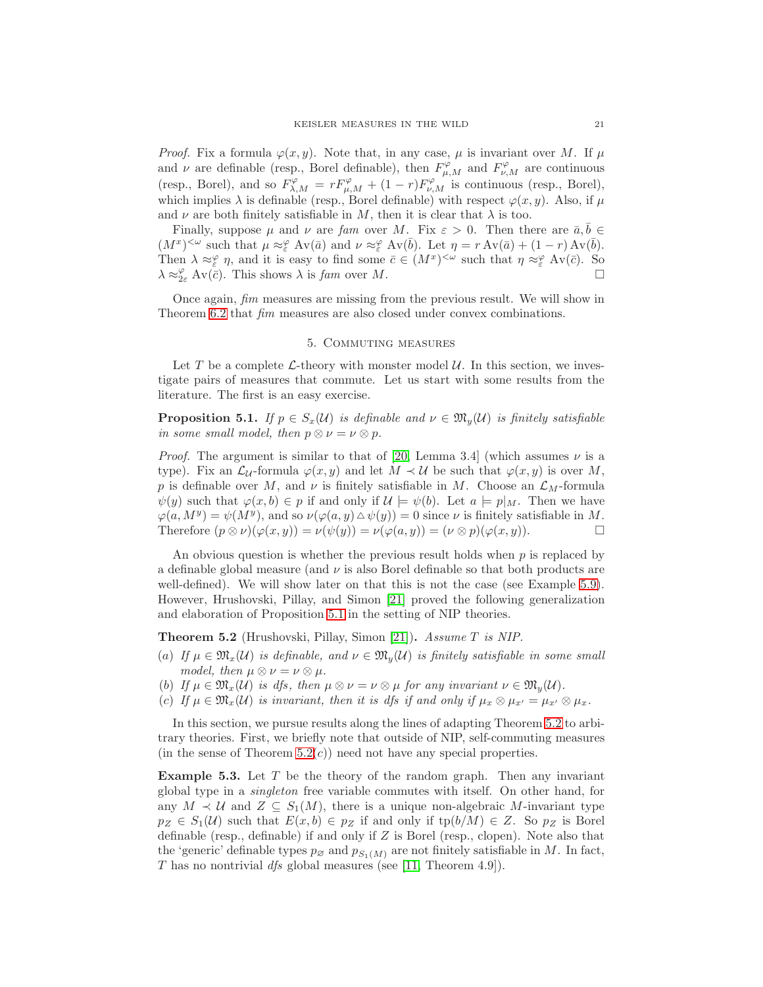*Proof.* Fix a formula  $\varphi(x, y)$ . Note that, in any case,  $\mu$  is invariant over M. If  $\mu$ and  $\nu$  are definable (resp., Borel definable), then  $F^{\varphi}_{\mu,M}$  and  $F^{\varphi}_{\nu,M}$  are continuous (resp., Borel), and so  $F^{\varphi}_{\lambda,M} = rF^{\varphi}_{\mu,M} + (1-r)F^{\varphi}_{\nu,M}$  is continuous (resp., Borel), which implies  $\lambda$  is definable (resp., Borel definable) with respect  $\varphi(x, y)$ . Also, if  $\mu$ and  $\nu$  are both finitely satisfiable in M, then it is clear that  $\lambda$  is too.

Finally, suppose  $\mu$  and  $\nu$  are fam over M. Fix  $\varepsilon > 0$ . Then there are  $\bar{a}, b \in$  $(M^x)^{<\omega}$  such that  $\mu \approx_{\varepsilon}^{\varphi} \text{Av}(\bar{a})$  and  $\nu \approx_{\varepsilon}^{\varphi} \text{Av}(\bar{b})$ . Let  $\eta = r \text{Av}(\bar{a}) + (1 - r) \text{Av}(\bar{b})$ . Then  $\lambda \approx_{\varepsilon}^{\varphi} \eta$ , and it is easy to find some  $\bar{c} \in (M^x)^{<\omega}$  such that  $\eta \approx_{\varepsilon}^{\varphi} Av(\bar{c})$ . So  $\lambda \approx_{2\varepsilon}^{\varphi} \text{Av}(\overline{c})$ . This shows  $\lambda$  is fam over M.

<span id="page-20-0"></span>Once again, fim measures are missing from the previous result. We will show in Theorem [6.2](#page-26-0) that fim measures are also closed under convex combinations.

#### 5. Commuting measures

Let T be a complete  $\mathcal{L}\text{-theory}$  with monster model  $\mathcal{U}\text{.}$  In this section, we investigate pairs of measures that commute. Let us start with some results from the literature. The first is an easy exercise.

<span id="page-20-1"></span>**Proposition 5.1.** If  $p \in S_x(\mathcal{U})$  is definable and  $\nu \in \mathfrak{M}_y(\mathcal{U})$  is finitely satisfiable in some small model, then  $p \otimes \nu = \nu \otimes p$ .

*Proof.* The argument is similar to that of [\[20,](#page-52-8) Lemma 3.4] (which assumes  $\nu$  is a type). Fix an  $\mathcal{L}_U$ -formula  $\varphi(x, y)$  and let  $M \prec \mathcal{U}$  be such that  $\varphi(x, y)$  is over M, p is definable over M, and  $\nu$  is finitely satisfiable in M. Choose an  $\mathcal{L}_M$ -formula  $\psi(y)$  such that  $\varphi(x, b) \in p$  if and only if  $\mathcal{U} \models \psi(b)$ . Let  $a \models p|_M$ . Then we have  $\varphi(a, M^y) = \psi(M^y)$ , and so  $\nu(\varphi(a, y) \Delta \psi(y)) = 0$  since  $\nu$  is finitely satisfiable in M. Therefore  $(p \otimes \nu)(\varphi(x, y)) = \nu(\psi(y)) = \nu(\varphi(a, y)) = (\nu \otimes p)(\varphi(x, y)).$ 

An obvious question is whether the previous result holds when  $p$  is replaced by a definable global measure (and  $\nu$  is also Borel definable so that both products are well-defined). We will show later on that this is not the case (see Example [5.9\)](#page-23-0). However, Hrushovski, Pillay, and Simon [\[21\]](#page-52-2) proved the following generalization and elaboration of Proposition [5.1](#page-20-1) in the setting of NIP theories.

<span id="page-20-2"></span>Theorem 5.2 (Hrushovski, Pillay, Simon [\[21\]](#page-52-2)). Assume T is NIP.

- (a) If  $\mu \in \mathfrak{M}_x(\mathcal{U})$  is definable, and  $\nu \in \mathfrak{M}_y(\mathcal{U})$  is finitely satisfiable in some small model, then  $\mu \otimes \nu = \nu \otimes \mu$ .
- (b) If  $\mu \in \mathfrak{M}_x(\mathcal{U})$  is dfs, then  $\mu \otimes \nu = \nu \otimes \mu$  for any invariant  $\nu \in \mathfrak{M}_y(\mathcal{U})$ .
- (c) If  $\mu \in \mathfrak{M}_x(\mathcal{U})$  is invariant, then it is dfs if and only if  $\mu_x \otimes \mu_{x'} = \mu_{x'} \otimes \mu_x$ .

In this section, we pursue results along the lines of adapting Theorem [5.2](#page-20-2) to arbitrary theories. First, we briefly note that outside of NIP, self-commuting measures (in the sense of Theorem  $5.2(c)$ ) need not have any special properties.

**Example 5.3.** Let  $T$  be the theory of the random graph. Then any invariant global type in a singleton free variable commutes with itself. On other hand, for any  $M \prec U$  and  $Z \subseteq S_1(M)$ , there is a unique non-algebraic M-invariant type  $p_Z \in S_1(\mathcal{U})$  such that  $E(x, b) \in p_Z$  if and only if  $tp(b/M) \in Z$ . So  $p_Z$  is Borel definable (resp., definable) if and only if Z is Borel (resp., clopen). Note also that the 'generic' definable types  $p_{\emptyset}$  and  $p_{S_1(M)}$  are not finitely satisfiable in M. In fact, T has no nontrivial dfs global measures (see [\[11,](#page-52-10) Theorem 4.9]).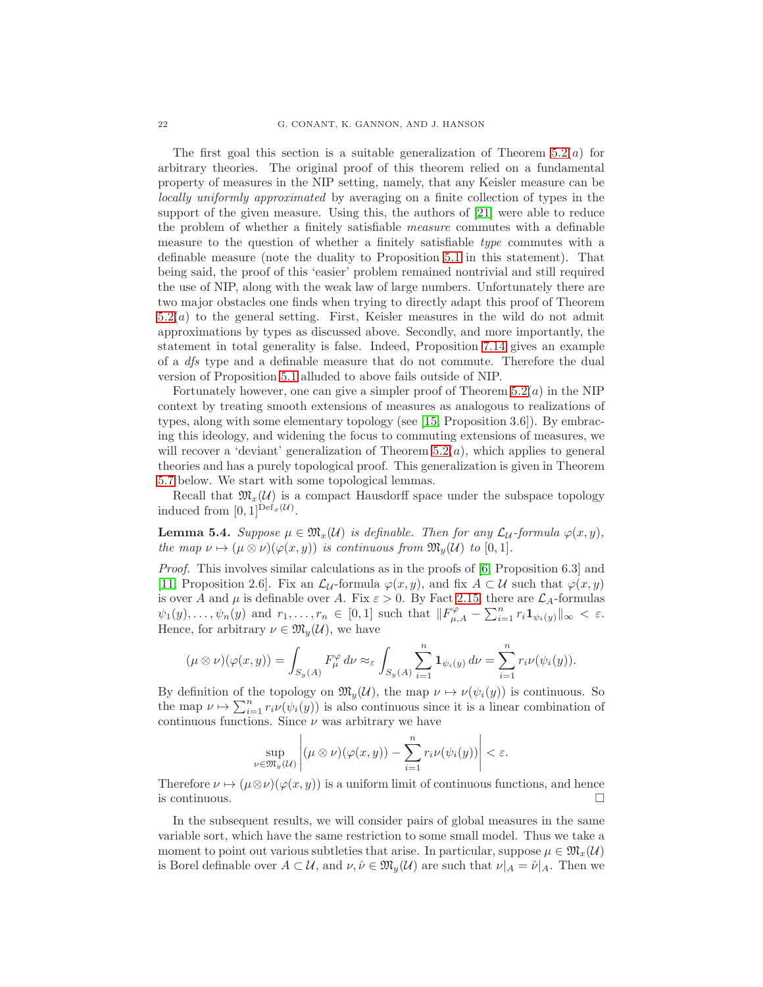The first goal this section is a suitable generalization of Theorem  $5.2(a)$  for arbitrary theories. The original proof of this theorem relied on a fundamental property of measures in the NIP setting, namely, that any Keisler measure can be locally uniformly approximated by averaging on a finite collection of types in the support of the given measure. Using this, the authors of [\[21\]](#page-52-2) were able to reduce the problem of whether a finitely satisfiable measure commutes with a definable measure to the question of whether a finitely satisfiable type commutes with a definable measure (note the duality to Proposition [5.1](#page-20-1) in this statement). That being said, the proof of this 'easier' problem remained nontrivial and still required the use of NIP, along with the weak law of large numbers. Unfortunately there are two major obstacles one finds when trying to directly adapt this proof of Theorem [5.2\(](#page-20-2)a) to the general setting. First, Keisler measures in the wild do not admit approximations by types as discussed above. Secondly, and more importantly, the statement in total generality is false. Indeed, Proposition [7.14](#page-34-0) gives an example of a dfs type and a definable measure that do not commute. Therefore the dual version of Proposition [5.1](#page-20-1) alluded to above fails outside of NIP.

Fortunately however, one can give a simpler proof of Theorem  $5.2(a)$  in the NIP context by treating smooth extensions of measures as analogous to realizations of types, along with some elementary topology (see [\[15,](#page-52-22) Proposition 3.6]). By embracing this ideology, and widening the focus to commuting extensions of measures, we will recover a 'deviant' generalization of Theorem  $5.2(a)$ , which applies to general theories and has a purely topological proof. This generalization is given in Theorem [5.7](#page-22-0) below. We start with some topological lemmas.

Recall that  $\mathfrak{M}_{x}(\mathcal{U})$  is a compact Hausdorff space under the subspace topology induced from  $[0, 1]^{Def_x(\mathcal{U})}$ .

<span id="page-21-0"></span>**Lemma 5.4.** Suppose  $\mu \in \mathfrak{M}_x(\mathcal{U})$  is definable. Then for any  $\mathcal{L}_{\mathcal{U}}$ -formula  $\varphi(x, y)$ , the map  $\nu \mapsto (\mu \otimes \nu)(\varphi(x, y))$  is continuous from  $\mathfrak{M}_u(\mathcal{U})$  to [0, 1].

Proof. This involves similar calculations as in the proofs of [\[6,](#page-52-18) Proposition 6.3] and [\[11,](#page-52-10) Proposition 2.6]. Fix an  $\mathcal{L}_U$ -formula  $\varphi(x, y)$ , and fix  $A \subset \mathcal{U}$  such that  $\varphi(x, y)$ is over A and  $\mu$  is definable over A. Fix  $\varepsilon > 0$ . By Fact [2.15,](#page-10-0) there are  $\mathcal{L}_A$ -formulas  $\psi_1(y), \ldots, \psi_n(y)$  and  $r_1, \ldots, r_n \in [0,1]$  such that  $||F^{\varphi}_{\mu,A} - \sum_{i=1}^n r_i \mathbf{1}_{\psi_i(y)}||_{\infty} < \varepsilon$ . Hence, for arbitrary  $\nu \in \mathfrak{M}_y(\mathcal{U})$ , we have

$$
(\mu \otimes \nu)(\varphi(x,y)) = \int_{S_y(A)} F_{\mu}^{\varphi} d\nu \approx_{\varepsilon} \int_{S_y(A)} \sum_{i=1}^n \mathbf{1}_{\psi_i(y)} d\nu = \sum_{i=1}^n r_i \nu(\psi_i(y)).
$$

By definition of the topology on  $\mathfrak{M}_y(\mathcal{U})$ , the map  $\nu \mapsto \nu(\psi_i(y))$  is continuous. So the map  $\nu \mapsto \sum_{i=1}^n r_i \nu(\psi_i(y))$  is also continuous since it is a linear combination of continuous functions. Since  $\nu$  was arbitrary we have

$$
\sup_{\nu \in \mathfrak{M}_y(\mathcal{U})} \left| (\mu \otimes \nu)(\varphi(x, y)) - \sum_{i=1}^n r_i \nu(\psi_i(y)) \right| < \varepsilon.
$$

Therefore  $\nu \mapsto (\mu \otimes \nu)(\varphi(x, y))$  is a uniform limit of continuous functions, and hence is continuous.  $\Box$ 

In the subsequent results, we will consider pairs of global measures in the same variable sort, which have the same restriction to some small model. Thus we take a moment to point out various subtleties that arise. In particular, suppose  $\mu \in \mathfrak{M}_x(\mathcal{U})$ is Borel definable over  $A \subset \mathcal{U}$ , and  $\nu, \hat{\nu} \in \mathfrak{M}_v(\mathcal{U})$  are such that  $\nu|_A = \hat{\nu}|_A$ . Then we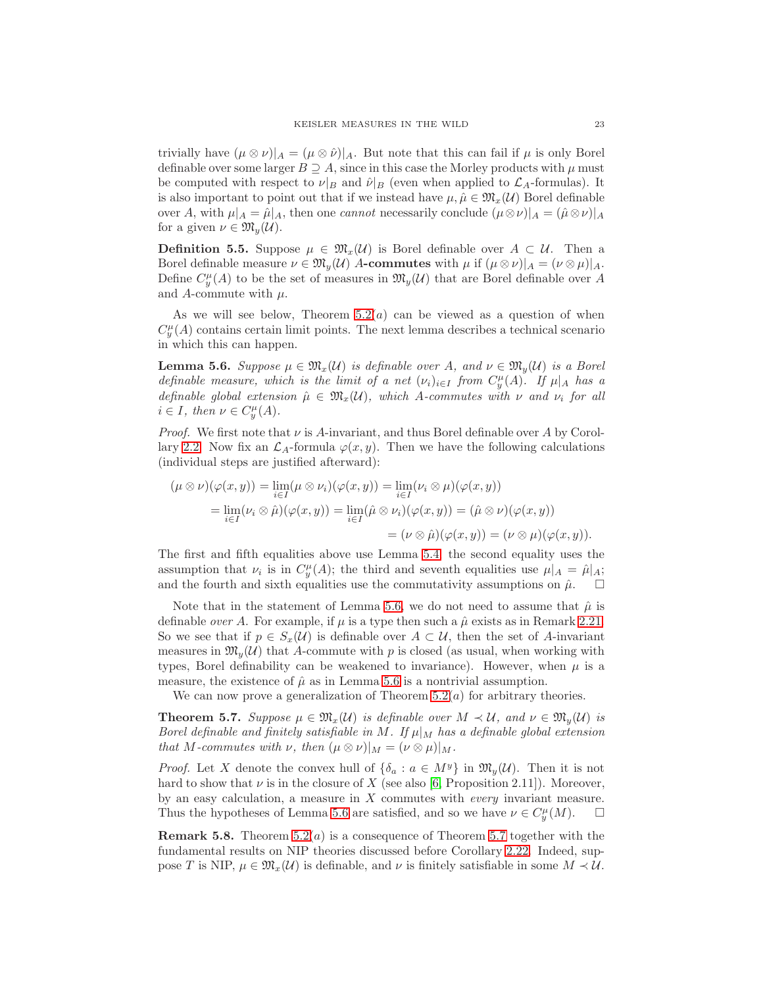trivially have  $(\mu \otimes \nu)|_A = (\mu \otimes \hat{\nu})|_A$ . But note that this can fail if  $\mu$  is only Borel definable over some larger  $B \supseteq A$ , since in this case the Morley products with  $\mu$  must be computed with respect to  $\nu|_B$  and  $\hat{\nu}|_B$  (even when applied to  $\mathcal{L}_A$ -formulas). It is also important to point out that if we instead have  $\mu, \hat{\mu} \in \mathfrak{M}_x(\mathcal{U})$  Borel definable over A, with  $\mu|_A = \hat{\mu}|_A$ , then one *cannot* necessarily conclude  $(\mu \otimes \nu)|_A = (\hat{\mu} \otimes \nu)|_A$ for a given  $\nu \in \mathfrak{M}_y(\mathcal{U})$ .

**Definition 5.5.** Suppose  $\mu \in \mathfrak{M}_{x}(\mathcal{U})$  is Borel definable over  $A \subset \mathcal{U}$ . Then a Borel definable measure  $\nu \in \mathfrak{M}_v(\mathcal{U})$  A-commutes with  $\mu$  if  $(\mu \otimes \nu)|_A = (\nu \otimes \mu)|_A$ . Define  $C_y^{\mu}(A)$  to be the set of measures in  $\mathfrak{M}_y(\mathcal{U})$  that are Borel definable over A and A-commute with  $\mu$ .

As we will see below, Theorem  $5.2(a)$  can be viewed as a question of when  $C_y^{\mu}(A)$  contains certain limit points. The next lemma describes a technical scenario in which this can happen.

<span id="page-22-1"></span>**Lemma 5.6.** Suppose  $\mu \in \mathfrak{M}_x(\mathcal{U})$  is definable over A, and  $\nu \in \mathfrak{M}_y(\mathcal{U})$  is a Borel definable measure, which is the limit of a net  $(\nu_i)_{i\in I}$  from  $C_y^{\mu}(A)$ . If  $\mu|_A$  has a definable global extension  $\hat{\mu} \in \mathfrak{M}_x(\mathcal{U})$ , which A-commutes with  $\nu$  and  $\nu_i$  for all  $i \in I$ , then  $\nu \in C_y^{\mu}(A)$ .

*Proof.* We first note that  $\nu$  is A-invariant, and thus Borel definable over A by Corol-lary [2.2.](#page-5-2) Now fix an  $\mathcal{L}_A$ -formula  $\varphi(x, y)$ . Then we have the following calculations (individual steps are justified afterward):

$$
(\mu \otimes \nu)(\varphi(x, y)) = \lim_{i \in I} (\mu \otimes \nu_i)(\varphi(x, y)) = \lim_{i \in I} (\nu_i \otimes \mu)(\varphi(x, y))
$$
  
= 
$$
\lim_{i \in I} (\nu_i \otimes \hat{\mu})(\varphi(x, y)) = \lim_{i \in I} (\hat{\mu} \otimes \nu_i)(\varphi(x, y)) = (\hat{\mu} \otimes \nu)(\varphi(x, y))
$$
  
= 
$$
(\nu \otimes \hat{\mu})(\varphi(x, y)) = (\nu \otimes \mu)(\varphi(x, y)).
$$

The first and fifth equalities above use Lemma [5.4;](#page-21-0) the second equality uses the assumption that  $\nu_i$  is in  $C_y^{\mu}(A)$ ; the third and seventh equalities use  $\mu|_A = \hat{\mu}|_A$ ; and the fourth and sixth equalities use the commutativity assumptions on  $\hat{\mu}$ .  $\Box$ 

Note that in the statement of Lemma [5.6,](#page-22-1) we do not need to assume that  $\hat{\mu}$  is definable *over A*. For example, if  $\mu$  is a type then such a  $\hat{\mu}$  exists as in Remark [2.21.](#page-11-2) So we see that if  $p \in S_x(\mathcal{U})$  is definable over  $A \subset \mathcal{U}$ , then the set of A-invariant measures in  $\mathfrak{M}_y(\mathcal{U})$  that A-commute with p is closed (as usual, when working with types, Borel definability can be weakened to invariance). However, when  $\mu$  is a measure, the existence of  $\hat{\mu}$  as in Lemma [5.6](#page-22-1) is a nontrivial assumption.

We can now prove a generalization of Theorem  $5.2(a)$  for arbitrary theories.

<span id="page-22-0"></span>**Theorem 5.7.** Suppose  $\mu \in \mathfrak{M}_x(\mathcal{U})$  is definable over  $M \prec \mathcal{U}$ , and  $\nu \in \mathfrak{M}_y(\mathcal{U})$  is Borel definable and finitely satisfiable in M. If  $\mu|_M$  has a definable global extension that M-commutes with  $\nu$ , then  $(\mu \otimes \nu)|_M = (\nu \otimes \mu)|_M$ .

*Proof.* Let X denote the convex hull of  $\{\delta_a : a \in M^y\}$  in  $\mathfrak{M}_y(\mathcal{U})$ . Then it is not hard to show that  $\nu$  is in the closure of X (see also [\[6,](#page-52-18) Proposition 2.11]). Moreover, by an easy calculation, a measure in  $X$  commutes with *every* invariant measure. Thus the hypotheses of Lemma [5.6](#page-22-1) are satisfied, and so we have  $\nu \in C_y^{\mu}(M)$ .  $\Box$ 

**Remark 5.8.** Theorem  $5.2(a)$  is a consequence of Theorem [5.7](#page-22-0) together with the fundamental results on NIP theories discussed before Corollary [2.22.](#page-12-1) Indeed, suppose T is NIP,  $\mu \in \mathfrak{M}_x(\mathcal{U})$  is definable, and  $\nu$  is finitely satisfiable in some  $M \prec \mathcal{U}$ .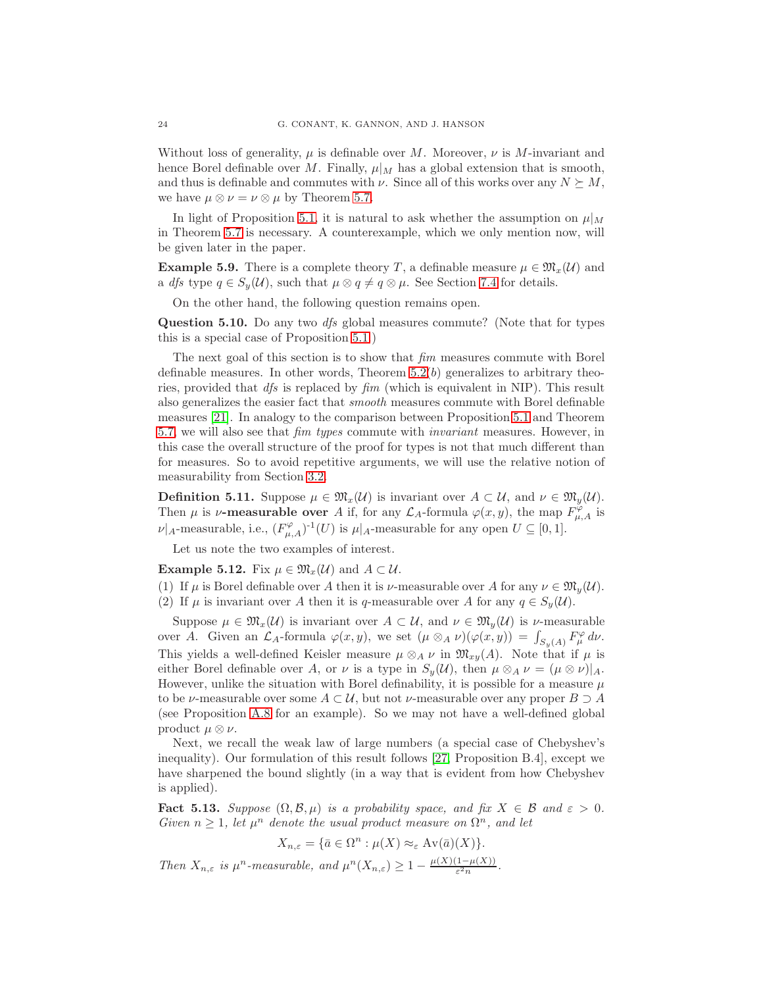Without loss of generality,  $\mu$  is definable over M. Moreover,  $\nu$  is M-invariant and hence Borel definable over M. Finally,  $\mu|_M$  has a global extension that is smooth, and thus is definable and commutes with  $\nu$ . Since all of this works over any  $N \succeq M$ , we have  $\mu \otimes \nu = \nu \otimes \mu$  by Theorem [5.7.](#page-22-0)

In light of Proposition [5.1,](#page-20-1) it is natural to ask whether the assumption on  $\mu|_M$ in Theorem [5.7](#page-22-0) is necessary. A counterexample, which we only mention now, will be given later in the paper.

<span id="page-23-0"></span>**Example 5.9.** There is a complete theory T, a definable measure  $\mu \in \mathfrak{M}_{x}(\mathcal{U})$  and a *dfs* type  $q \in S_u(\mathcal{U})$ , such that  $\mu \otimes q \neq q \otimes \mu$ . See Section [7.4](#page-33-0) for details.

On the other hand, the following question remains open.

<span id="page-23-3"></span>Question 5.10. Do any two dfs global measures commute? (Note that for types this is a special case of Proposition [5.1.](#page-20-1))

The next goal of this section is to show that  $\lim$  measures commute with Borel definable measures. In other words, Theorem  $5.2(b)$  generalizes to arbitrary theories, provided that  $df_s$  is replaced by  $\lim f(x)$  (which is equivalent in NIP). This result also generalizes the easier fact that smooth measures commute with Borel definable measures [\[21\]](#page-52-2). In analogy to the comparison between Proposition [5.1](#page-20-1) and Theorem [5.7,](#page-22-0) we will also see that fim types commute with invariant measures. However, in this case the overall structure of the proof for types is not that much different than for measures. So to avoid repetitive arguments, we will use the relative notion of measurability from Section [3.2.](#page-13-2)

**Definition 5.11.** Suppose  $\mu \in \mathfrak{M}_x(\mathcal{U})$  is invariant over  $A \subset \mathcal{U}$ , and  $\nu \in \mathfrak{M}_y(\mathcal{U})$ . Then  $\mu$  is  $\nu$ -measurable over A if, for any  $\mathcal{L}_A$ -formula  $\varphi(x, y)$ , the map  $F_{\mu, A}^{\varphi}$  is  $\nu|_A$ -measurable, i.e.,  $(F^{\varphi}_{\mu,A})^{-1}(U)$  is  $\mu|_A$ -measurable for any open  $U \subseteq [0,1]$ .

Let us note the two examples of interest.

<span id="page-23-2"></span>**Example 5.12.** Fix  $\mu \in \mathfrak{M}_x(\mathcal{U})$  and  $A \subset \mathcal{U}$ .

(1) If  $\mu$  is Borel definable over A then it is  $\nu$ -measurable over A for any  $\nu \in \mathfrak{M}_v(\mathcal{U})$ . (2) If  $\mu$  is invariant over A then it is q-measurable over A for any  $q \in S_{\nu}(\mathcal{U})$ .

Suppose  $\mu \in \mathfrak{M}_x(\mathcal{U})$  is invariant over  $A \subset \mathcal{U}$ , and  $\nu \in \mathfrak{M}_y(\mathcal{U})$  is  $\nu$ -measurable over A. Given an  $\mathcal{L}_A$ -formula  $\varphi(x, y)$ , we set  $(\mu \otimes_A \nu)(\varphi(x, y)) = \int_{S_y(A)} F^{\varphi}_\mu d\nu$ . This yields a well-defined Keisler measure  $\mu \otimes_A \nu$  in  $\mathfrak{M}_{xy}(A)$ . Note that if  $\mu$  is either Borel definable over A, or  $\nu$  is a type in  $S_y(\mathcal{U})$ , then  $\mu \otimes_A \nu = (\mu \otimes \nu)|_A$ . However, unlike the situation with Borel definability, it is possible for a measure  $\mu$ to be  $\nu$ -measurable over some  $A \subset \mathcal{U}$ , but not  $\nu$ -measurable over any proper  $B \supset A$ (see Proposition [A.8](#page-44-0) for an example). So we may not have a well-defined global product  $\mu \otimes \nu$ .

Next, we recall the weak law of large numbers (a special case of Chebyshev's inequality). Our formulation of this result follows [\[27,](#page-52-9) Proposition B.4], except we have sharpened the bound slightly (in a way that is evident from how Chebyshev is applied).

<span id="page-23-1"></span>**Fact 5.13.** Suppose  $(\Omega, \mathcal{B}, \mu)$  is a probability space, and fix  $X \in \mathcal{B}$  and  $\varepsilon > 0$ . Given  $n \geq 1$ , let  $\mu^n$  denote the usual product measure on  $\Omega^n$ , and let

$$
X_{n,\varepsilon} = \{ \bar{a} \in \Omega^n : \mu(X) \approx_{\varepsilon} \mathrm{Av}(\bar{a})(X) \}.
$$

Then  $X_{n,\varepsilon}$  is  $\mu^n$ -measurable, and  $\mu^n(X_{n,\varepsilon}) \geq 1 - \frac{\mu(X)(1-\mu(X))}{\varepsilon^2 n}$  $\frac{1-\mu(\Lambda))}{\varepsilon^2 n}.$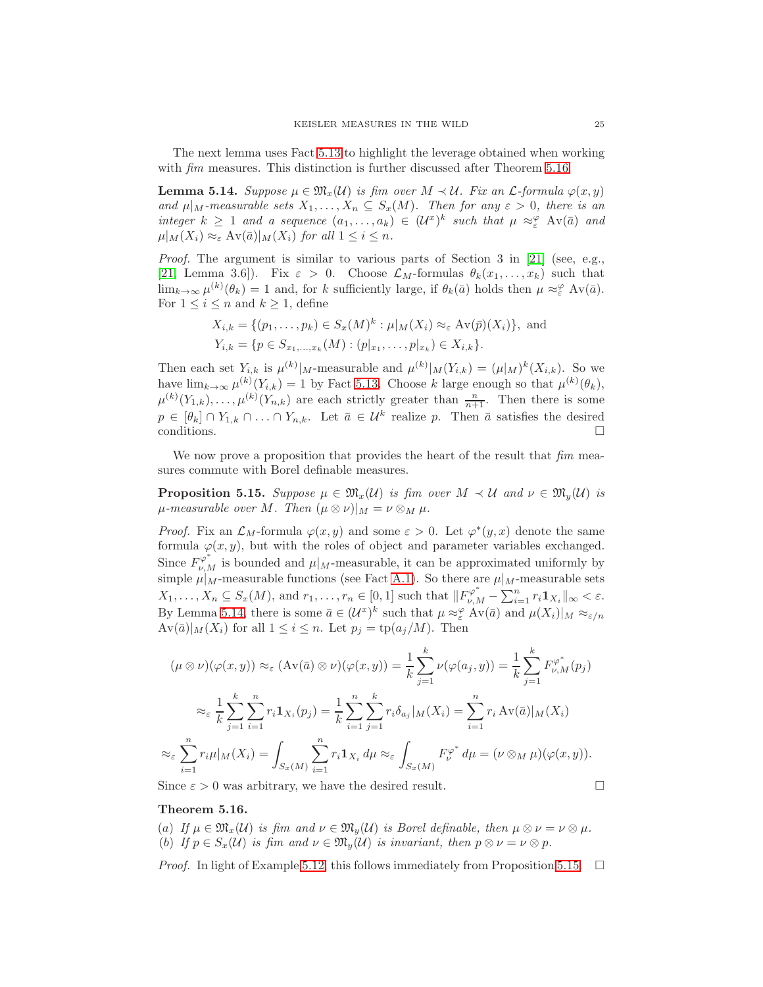The next lemma uses Fact [5.13](#page-23-1) to highlight the leverage obtained when working with *fim* measures. This distinction is further discussed after Theorem [5.16.](#page-24-0)

<span id="page-24-1"></span>**Lemma 5.14.** Suppose  $\mu \in \mathfrak{M}_x(\mathcal{U})$  is fim over  $M \prec \mathcal{U}$ . Fix an  $\mathcal{L}\text{-formula } \varphi(x, y)$ and  $\mu|_M$ -measurable sets  $X_1, \ldots, X_n \subseteq S_x(M)$ . Then for any  $\varepsilon > 0$ , there is an integer  $k \geq 1$  and a sequence  $(a_1, \ldots, a_k) \in (\mathcal{U}^x)^k$  such that  $\mu \approx_{\varepsilon}^{\varphi} Av(\bar{a})$  and  $\mu|_M(X_i) \approx_{\varepsilon} \mathrm{Av}(\bar{a})|_M(X_i)$  for all  $1 \leq i \leq n$ .

Proof. The argument is similar to various parts of Section 3 in [\[21\]](#page-52-2) (see, e.g., [\[21,](#page-52-2) Lemma 3.6]). Fix  $\varepsilon > 0$ . Choose  $\mathcal{L}_M$ -formulas  $\theta_k(x_1, \ldots, x_k)$  such that  $\lim_{k\to\infty}\mu^{(k)}(\theta_k)=1$  and, for k sufficiently large, if  $\theta_k(\bar{a})$  holds then  $\mu \approx_{\varepsilon}^{\varphi} \text{Av}(\bar{a})$ . For  $1 \leq i \leq n$  and  $k \geq 1$ , define

$$
X_{i,k} = \{ (p_1, \ldots, p_k) \in S_x(M)^k : \mu|_M(X_i) \approx_{\varepsilon} \text{Av}(\bar{p})(X_i) \}, \text{ and}
$$
  

$$
Y_{i,k} = \{ p \in S_{x_1, \ldots, x_k}(M) : (p|_{x_1}, \ldots, p|_{x_k}) \in X_{i,k} \}.
$$

Then each set  $Y_{i,k}$  is  $\mu^{(k)}|_{M}$ -measurable and  $\mu^{(k)}|_{M}(Y_{i,k}) = (\mu|_{M})^{k}(X_{i,k})$ . So we have  $\lim_{k\to\infty}\mu^{(k)}(Y_{i,k})=1$  by Fact [5.13.](#page-23-1) Choose k large enough so that  $\mu^{(k)}(\theta_k)$ ,  $\mu^{(k)}(Y_{1,k}), \ldots, \mu^{(k)}(Y_{n,k})$  are each strictly greater than  $\frac{n}{n+1}$ . Then there is some  $p \in [\theta_k] \cap Y_{1,k} \cap \ldots \cap Y_{n,k}$ . Let  $\bar{a} \in \mathcal{U}^k$  realize p. Then  $\bar{a}$  satisfies the desired conditions.  $\Box$ 

We now prove a proposition that provides the heart of the result that  $\lim_{m \to \infty}$ sures commute with Borel definable measures.

<span id="page-24-2"></span>**Proposition 5.15.** Suppose  $\mu \in \mathfrak{M}_x(\mathcal{U})$  is fim over  $M \prec \mathcal{U}$  and  $\nu \in \mathfrak{M}_y(\mathcal{U})$  is  $\mu$ -measurable over M. Then  $(\mu \otimes \nu)|_M = \nu \otimes_M \mu$ .

*Proof.* Fix an  $\mathcal{L}_M$ -formula  $\varphi(x, y)$  and some  $\varepsilon > 0$ . Let  $\varphi^*(y, x)$  denote the same formula  $\varphi(x, y)$ , but with the roles of object and parameter variables exchanged. Since  $F^{\varphi^*}_{\nu,M}$  is bounded and  $\mu|_M$ -measurable, it can be approximated uniformly by simple  $\mu|_M$ -measurable functions (see Fact [A.1\)](#page-42-2). So there are  $\mu|_M$ -measurable sets  $X_1, \ldots, X_n \subseteq S_x(M)$ , and  $r_1, \ldots, r_n \in [0, 1]$  such that  $||F_{\nu,M}^{\varphi^*} - \sum_{i=1}^n r_i \mathbf{1}_{X_i}||_{\infty} < \varepsilon$ . By Lemma [5.14,](#page-24-1) there is some  $\bar{a} \in (\mathcal{U}^x)^k$  such that  $\mu \approx_{\varepsilon}^{\varphi} Av(\bar{a})$  and  $\mu(X_i)|_M \approx_{\varepsilon/n}$  $Av(\bar{a})|_M (X_i)$  for all  $1 \leq i \leq n$ . Let  $p_j = \text{tp}(a_j/M)$ . Then

$$
(\mu \otimes \nu)(\varphi(x, y)) \approx_{\varepsilon} (\operatorname{Av}(\bar{a}) \otimes \nu)(\varphi(x, y)) = \frac{1}{k} \sum_{j=1}^{k} \nu(\varphi(a_j, y)) = \frac{1}{k} \sum_{j=1}^{k} F_{\nu, M}^{\varphi^*}(p_j)
$$

$$
\approx_{\varepsilon} \frac{1}{k} \sum_{j=1}^{k} \sum_{i=1}^{n} r_i \mathbf{1}_{X_i}(p_j) = \frac{1}{k} \sum_{i=1}^{n} \sum_{j=1}^{k} r_i \delta_{a_j} |_{M}(X_i) = \sum_{i=1}^{n} r_i \operatorname{Av}(\bar{a}) |_{M}(X_i)
$$

$$
\approx_{\varepsilon} \sum_{i=1}^{n} r_i \mu |_{M}(X_i) = \int_{S_x(M)} \sum_{i=1}^{n} r_i \mathbf{1}_{X_i} d\mu \approx_{\varepsilon} \int_{S_x(M)} F_{\nu}^{\varphi^*} d\mu = (\nu \otimes_M \mu)(\varphi(x, y)).
$$

Since  $\varepsilon > 0$  was arbitrary, we have the desired result.

$$
\Box
$$

#### <span id="page-24-0"></span>Theorem 5.16.

(a) If  $\mu \in \mathfrak{M}_x(\mathcal{U})$  is fim and  $\nu \in \mathfrak{M}_y(\mathcal{U})$  is Borel definable, then  $\mu \otimes \nu = \nu \otimes \mu$ . (b) If  $p \in S_x(\mathcal{U})$  is fim and  $\nu \in \mathfrak{M}_y(\mathcal{U})$  is invariant, then  $p \otimes \nu = \nu \otimes p$ .

*Proof.* In light of Example [5.12,](#page-23-2) this follows immediately from Proposition [5.15.](#page-24-2)  $\Box$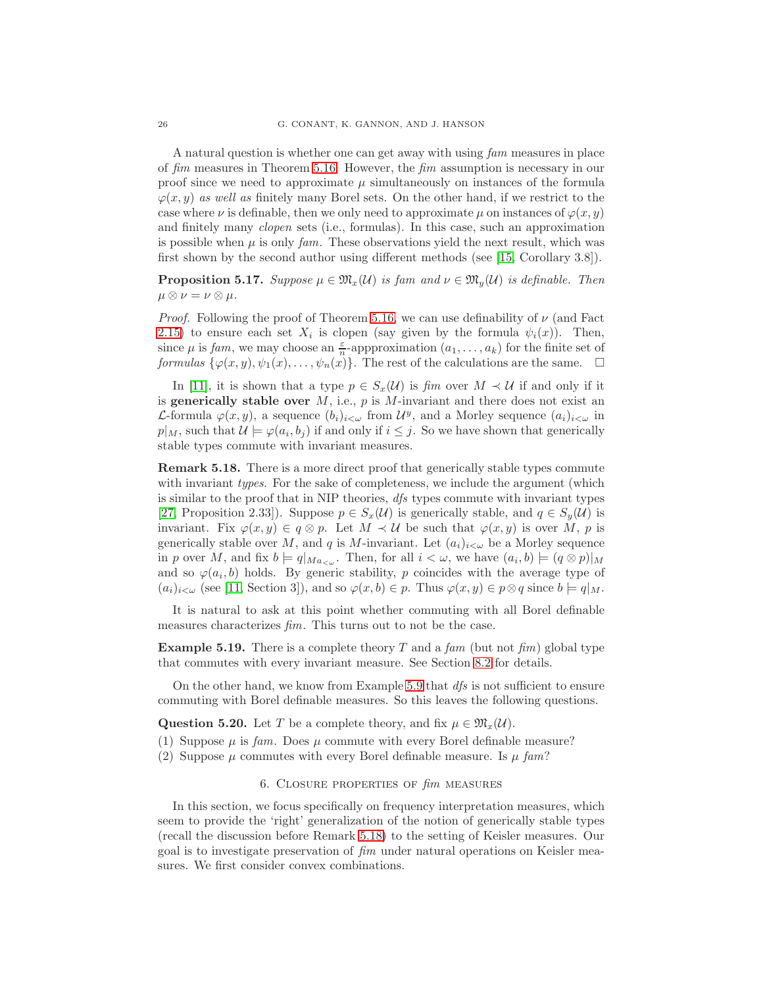A natural question is whether one can get away with using fam measures in place of fim measures in Theorem [5.16.](#page-24-0) However, the fim assumption is necessary in our proof since we need to approximate  $\mu$  simultaneously on instances of the formula  $\varphi(x, y)$  as well as finitely many Borel sets. On the other hand, if we restrict to the case where  $\nu$  is definable, then we only need to approximate  $\mu$  on instances of  $\varphi(x, y)$ and finitely many clopen sets (i.e., formulas). In this case, such an approximation is possible when  $\mu$  is only fam. These observations yield the next result, which was first shown by the second author using different methods (see [\[15,](#page-52-22) Corollary 3.8]).

<span id="page-25-2"></span>**Proposition 5.17.** Suppose  $\mu \in \mathfrak{M}_x(\mathcal{U})$  is fam and  $\nu \in \mathfrak{M}_y(\mathcal{U})$  is definable. Then  $\mu \otimes \nu = \nu \otimes \mu.$ 

*Proof.* Following the proof of Theorem [5.16,](#page-24-0) we can use definability of  $\nu$  (and Fact [2.15\)](#page-10-0) to ensure each set  $X_i$  is clopen (say given by the formula  $\psi_i(x)$ ). Then, since  $\mu$  is fam, we may choose an  $\frac{\varepsilon}{n}$ -appproximation  $(a_1, \ldots, a_k)$  for the finite set of formulas  $\{\varphi(x,y), \psi_1(x), \ldots, \psi_n(x)\}\.$  The rest of the calculations are the same.  $\Box$ 

In [\[11\]](#page-52-10), it is shown that a type  $p \in S_x(\mathcal{U})$  is fim over  $M \prec \mathcal{U}$  if and only if it is generically stable over  $M$ , i.e.,  $p$  is  $M$ -invariant and there does not exist an *L*-formula  $\varphi(x, y)$ , a sequence  $(b_i)_{i < \omega}$  from  $\mathcal{U}^y$ , and a Morley sequence  $(a_i)_{i < \omega}$  in  $p|_M$ , such that  $\mathcal{U} \models \varphi(a_i, b_j)$  if and only if  $i \leq j$ . So we have shown that generically stable types commute with invariant measures.

<span id="page-25-1"></span>Remark 5.18. There is a more direct proof that generically stable types commute with invariant *types*. For the sake of completeness, we include the argument (which is similar to the proof that in NIP theories,  $\frac{dfs}{dt}$  types commute with invariant types [\[27,](#page-52-9) Proposition 2.33]). Suppose  $p \in S_x(\mathcal{U})$  is generically stable, and  $q \in S_y(\mathcal{U})$  is invariant. Fix  $\varphi(x, y) \in q \otimes p$ . Let  $M \prec U$  be such that  $\varphi(x, y)$  is over M, p is generically stable over M, and q is M-invariant. Let  $(a_i)_{i\lt w}$  be a Morley sequence in p over M, and fix  $b = q|_{Ma_{< \omega}}$ . Then, for all  $i < \omega$ , we have  $(a_i, b) \models (q \otimes p)|_M$ and so  $\varphi(a_i, b)$  holds. By generic stability, p coincides with the average type of  $(a_i)_{i\leq\omega}$  (see [\[11,](#page-52-10) Section 3]), and so  $\varphi(x, b) \in p$ . Thus  $\varphi(x, y) \in p \otimes q$  since  $b \models q|_M$ .

It is natural to ask at this point whether commuting with all Borel definable measures characterizes fim. This turns out to not be the case.

<span id="page-25-3"></span>**Example 5.19.** There is a complete theory T and a fam (but not fim) global type that commutes with every invariant measure. See Section [8.2](#page-38-0) for details.

On the other hand, we know from Example [5.9](#page-23-0) that  $dfs$  is not sufficient to ensure commuting with Borel definable measures. So this leaves the following questions.

Question 5.20. Let T be a complete theory, and fix  $\mu \in \mathfrak{M}_{x}(\mathcal{U})$ .

(1) Suppose  $\mu$  is fam. Does  $\mu$  commute with every Borel definable measure?

<span id="page-25-0"></span>(2) Suppose  $\mu$  commutes with every Borel definable measure. Is  $\mu$  fam?

## 6. Closure properties of fim measures

In this section, we focus specifically on frequency interpretation measures, which seem to provide the 'right' generalization of the notion of generically stable types (recall the discussion before Remark [5.18\)](#page-25-1) to the setting of Keisler measures. Our goal is to investigate preservation of fim under natural operations on Keisler measures. We first consider convex combinations.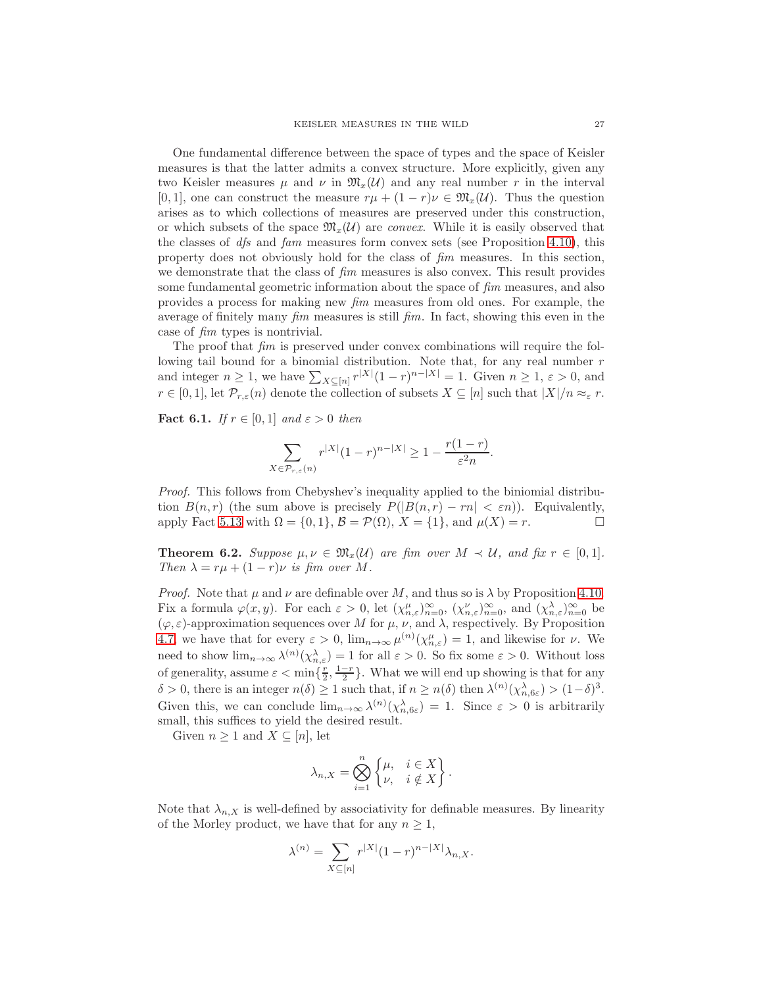One fundamental difference between the space of types and the space of Keisler measures is that the latter admits a convex structure. More explicitly, given any two Keisler measures  $\mu$  and  $\nu$  in  $\mathfrak{M}_{x}(\mathcal{U})$  and any real number r in the interval [0, 1], one can construct the measure  $r\mu + (1 - r)\nu \in \mathfrak{M}_x(\mathcal{U})$ . Thus the question arises as to which collections of measures are preserved under this construction, or which subsets of the space  $\mathfrak{M}_{x}(\mathcal{U})$  are *convex*. While it is easily observed that the classes of  $df_s$  and  $fam$  measures form convex sets (see Proposition [4.10\)](#page-19-0), this property does not obviously hold for the class of fim measures. In this section, we demonstrate that the class of  $\lim$  measures is also convex. This result provides some fundamental geometric information about the space of  $f_{\text{I}}$ m measures, and also provides a process for making new fim measures from old ones. For example, the average of finitely many  $\lim$  measures is still  $\lim$ . In fact, showing this even in the case of fim types is nontrivial.

The proof that  $\lim_{m \to \infty}$  is preserved under convex combinations will require the following tail bound for a binomial distribution. Note that, for any real number  $r$ and integer  $n \geq 1$ , we have  $\sum_{X \subseteq [n]} r^{|X|} (1-r)^{n-|X|} = 1$ . Given  $n \geq 1$ ,  $\varepsilon > 0$ , and  $r \in [0,1]$ , let  $\mathcal{P}_{r,\varepsilon}(n)$  denote the collection of subsets  $X \subseteq [n]$  such that  $|X|/n \approx_{\varepsilon} r$ .

<span id="page-26-1"></span>Fact 6.1. If  $r \in [0,1]$  and  $\varepsilon > 0$  then

$$
\sum_{X \in \mathcal{P}_{r,\varepsilon}(n)} r^{|X|} (1-r)^{n-|X|} \ge 1 - \frac{r(1-r)}{\varepsilon^2 n}.
$$

Proof. This follows from Chebyshev's inequality applied to the biniomial distribution  $B(n,r)$  (the sum above is precisely  $P(|B(n,r) - rn| < \varepsilon n)$ ). Equivalently, apply Fact [5.13](#page-23-1) with  $\Omega = \{0, 1\}$ ,  $\mathcal{B} = \mathcal{P}(\Omega)$ ,  $X = \{1\}$ , and  $\mu(X) = r$ .

<span id="page-26-0"></span>**Theorem 6.2.** Suppose  $\mu, \nu \in \mathfrak{M}_x(\mathcal{U})$  are fim over  $M \prec \mathcal{U}$ , and fix  $r \in [0,1]$ . Then  $\lambda = r\mu + (1 - r)\nu$  is fim over M.

*Proof.* Note that  $\mu$  and  $\nu$  are definable over M, and thus so is  $\lambda$  by Proposition [4.10.](#page-19-0) Fix a formula  $\varphi(x, y)$ . For each  $\varepsilon > 0$ , let  $(\chi_{n, \varepsilon}^{\mu})_{n=0}^{\infty}$ ,  $(\chi_{n, \varepsilon}^{\nu})_{n=0}^{\infty}$ , and  $(\chi_{n, \varepsilon}^{\lambda})_{n=0}^{\infty}$  be  $(\varphi, \varepsilon)$ -approximation sequences over M for  $\mu$ ,  $\nu$ , and  $\lambda$ , respectively. By Proposition [4.7,](#page-18-0) we have that for every  $\varepsilon > 0$ ,  $\lim_{n\to\infty} \mu^{(n)}(\chi_{n,\varepsilon}^{\mu}) = 1$ , and likewise for  $\nu$ . We need to show  $\lim_{n\to\infty}\lambda^{(n)}(\chi_{n,\varepsilon}^{\lambda})=1$  for all  $\varepsilon>0$ . So fix some  $\varepsilon>0$ . Without loss of generality, assume  $\varepsilon < \min\{\frac{r}{2}, \frac{1-r}{2}\}\$ . What we will end up showing is that for any  $\delta > 0$ , there is an integer  $n(\delta) \ge 1$  such that, if  $n \ge n(\delta)$  then  $\lambda^{(n)}(\chi_{n, 6\varepsilon}^{\lambda}) > (1 - \delta)^3$ . Given this, we can conclude  $\lim_{n\to\infty} \lambda^{(n)}(\chi_{n,6\varepsilon}^{\lambda}) = 1$ . Since  $\varepsilon > 0$  is arbitrarily small, this suffices to yield the desired result.

Given  $n \geq 1$  and  $X \subseteq [n]$ , let

$$
\lambda_{n,X} = \bigotimes_{i=1}^{n} \begin{Bmatrix} \mu, & i \in X \\ \nu, & i \notin X \end{Bmatrix}.
$$

Note that  $\lambda_{n,X}$  is well-defined by associativity for definable measures. By linearity of the Morley product, we have that for any  $n \geq 1$ ,

$$
\lambda^{(n)}=\sum_{X\subseteq [n]}r^{|X|}(1-r)^{n-|X|}\lambda_{n,X}.
$$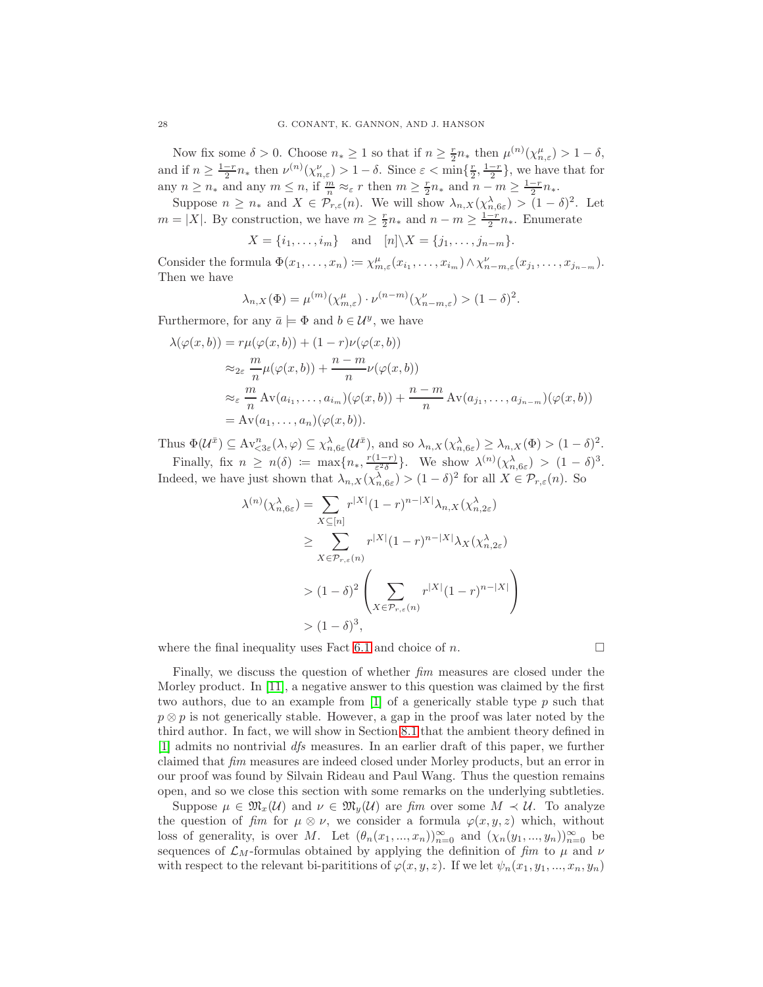Now fix some  $\delta > 0$ . Choose  $n_* \ge 1$  so that if  $n \ge \frac{r}{2}n_*$  then  $\mu^{(n)}(\chi_{n,\varepsilon}^{\mu}) > 1 - \delta$ , and if  $n \geq \frac{1-r}{2}n_*$  then  $\nu^{(n)}(\chi^{\nu}_{n,\varepsilon}) > 1-\delta$ . Since  $\varepsilon < \min\{\frac{r}{2},\frac{1-r}{2}\}\,$  we have that for any  $n \geq n_*$  and any  $m \leq n$ , if  $\frac{m}{n} \approx_{\varepsilon} r$  then  $m \geq \frac{r}{2}n_*$  and  $n - m \geq \frac{1-r}{2}n_*$ .

Suppose  $n \geq n_*$  and  $X \in \mathcal{P}_{r,\varepsilon}(n)$ . We will show  $\lambda_{n,X}(\chi_{n,6\varepsilon}^{\lambda}) > (1-\delta)^2$ . Let  $m = |X|$ . By construction, we have  $m \geq \frac{r}{2}n_*$  and  $n - m \geq \frac{1-r}{2}n_*$ . Enumerate

$$
X = \{i_1, \ldots, i_m\} \quad \text{and} \quad [n] \backslash X = \{j_1, \ldots, j_{n-m}\}.
$$

Consider the formula  $\Phi(x_1,\ldots,x_n) \coloneqq \chi^{\mu}_{m,\varepsilon}(x_{i_1},\ldots,x_{i_m}) \wedge \chi^{\nu}_{n-m,\varepsilon}(x_{j_1},\ldots,x_{j_{n-m}}).$ Then we have

$$
\lambda_{n,X}(\Phi) = \mu^{(m)}(\chi_{m,\varepsilon}^{\mu}) \cdot \nu^{(n-m)}(\chi_{n-m,\varepsilon}^{\nu}) > (1-\delta)^2.
$$

Furthermore, for any  $\bar{a} \models \Phi$  and  $b \in \mathcal{U}^y$ , we have

$$
\lambda(\varphi(x,b)) = r\mu(\varphi(x,b)) + (1-r)\nu(\varphi(x,b))
$$
  
\n
$$
\approx_{2\varepsilon} \frac{m}{n}\mu(\varphi(x,b)) + \frac{n-m}{n}\nu(\varphi(x,b))
$$
  
\n
$$
\approx_{\varepsilon} \frac{m}{n}\operatorname{Av}(a_{i_1},\ldots,a_{i_m})(\varphi(x,b)) + \frac{n-m}{n}\operatorname{Av}(a_{j_1},\ldots,a_{j_{n-m}})(\varphi(x,b))
$$
  
\n
$$
= \operatorname{Av}(a_1,\ldots,a_n)(\varphi(x,b)).
$$

Thus  $\Phi(\mathcal{U}^{\bar{x}}) \subseteq \mathrm{Av}_{<3\varepsilon}^n(\lambda, \varphi) \subseteq \chi_{n,6\varepsilon}^{\lambda}(\mathcal{U}^{\bar{x}})$ , and so  $\lambda_{n,X}(\chi_{n,6\varepsilon}^{\lambda}) \geq \lambda_{n,X}(\Phi) > (1 - \delta)^2$ .

Finally, fix  $n \geq n(\delta) \coloneqq \max\{n_*, \frac{r(1-r)}{\epsilon^2 \delta}\}$  $\frac{1-r}{\epsilon^2\delta}$ . We show  $\lambda^{(n)}(\chi_{n,6\varepsilon}^{\lambda}) > (1-\delta)^3$ . Indeed, we have just shown that  $\lambda_{n,X}(\chi_{n,6\varepsilon}^{\lambda}) > (1 - \delta)^2$  for all  $X \in \mathcal{P}_{r,\varepsilon}(n)$ . So

$$
\lambda^{(n)}(\chi_{n,6\varepsilon}^{\lambda}) = \sum_{X \subseteq [n]} r^{|X|} (1-r)^{n-|X|} \lambda_{n,X}(\chi_{n,2\varepsilon}^{\lambda})
$$
  
\n
$$
\geq \sum_{X \in \mathcal{P}_{r,\varepsilon}(n)} r^{|X|} (1-r)^{n-|X|} \lambda_{X}(\chi_{n,2\varepsilon}^{\lambda})
$$
  
\n
$$
> (1-\delta)^2 \left( \sum_{X \in \mathcal{P}_{r,\varepsilon}(n)} r^{|X|} (1-r)^{n-|X|} \right)
$$
  
\n
$$
> (1-\delta)^3,
$$

where the final inequality uses Fact [6.1](#page-26-1) and choice of n.

Finally, we discuss the question of whether fim measures are closed under the Morley product. In [\[11\]](#page-52-10), a negative answer to this question was claimed by the first two authors, due to an example from  $[1]$  of a generically stable type p such that  $p \otimes p$  is not generically stable. However, a gap in the proof was later noted by the third author. In fact, we will show in Section [8.1](#page-36-2) that the ambient theory defined in [\[1\]](#page-52-11) admits no nontrivial dfs measures. In an earlier draft of this paper, we further claimed that fim measures are indeed closed under Morley products, but an error in our proof was found by Silvain Rideau and Paul Wang. Thus the question remains open, and so we close this section with some remarks on the underlying subtleties.

Suppose  $\mu \in \mathfrak{M}_x(\mathcal{U})$  and  $\nu \in \mathfrak{M}_y(\mathcal{U})$  are fim over some  $M \prec \mathcal{U}$ . To analyze the question of fim for  $\mu \otimes \nu$ , we consider a formula  $\varphi(x, y, z)$  which, without loss of generality, is over M. Let  $(\theta_n(x_1, ..., x_n))_{n=0}^{\infty}$  and  $(\chi_n(y_1, ..., y_n))_{n=0}^{\infty}$  be sequences of  $\mathcal{L}_M$ -formulas obtained by applying the definition of fim to  $\mu$  and  $\nu$ with respect to the relevant bi-parititions of  $\varphi(x, y, z)$ . If we let  $\psi_n(x_1, y_1, ..., x_n, y_n)$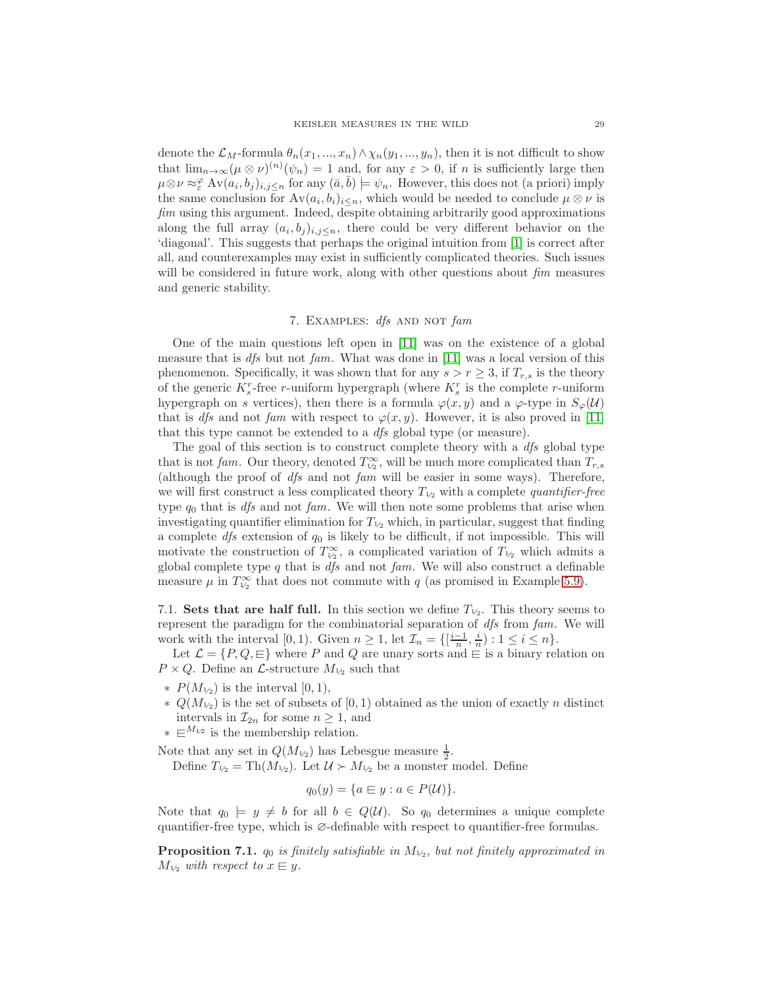denote the  $\mathcal{L}_M$ -formula  $\theta_n(x_1, ..., x_n) \wedge \chi_n(y_1, ..., y_n)$ , then it is not difficult to show that  $\lim_{n\to\infty} (\mu \otimes \nu)^{(n)}(\psi_n) = 1$  and, for any  $\varepsilon > 0$ , if n is sufficiently large then  $\mu \otimes \nu \approx_{\varepsilon}^{\varphi} Av(a_i, b_j)_{i,j \leq n}$  for any  $(\bar{a}, \bar{b}) \models \psi_n$ . However, this does not (a priori) imply the same conclusion for  $Av(a_i, b_i)_{i \leq n}$ , which would be needed to conclude  $\mu \otimes \nu$  is fim using this argument. Indeed, despite obtaining arbitrarily good approximations along the full array  $(a_i, b_j)_{i,j \leq n}$ , there could be very different behavior on the 'diagonal'. This suggests that perhaps the original intuition from [\[1\]](#page-52-11) is correct after all, and counterexamples may exist in sufficiently complicated theories. Such issues will be considered in future work, along with other questions about  $\beta m$  measures and generic stability.

## 7. EXAMPLES: dfs AND NOT fam

<span id="page-28-0"></span>One of the main questions left open in [\[11\]](#page-52-10) was on the existence of a global measure that is *dfs* but not fam. What was done in [\[11\]](#page-52-10) was a local version of this phenomenon. Specifically, it was shown that for any  $s > r \geq 3$ , if  $T_{r,s}$  is the theory of the generic  $K_s^r$ -free r-uniform hypergraph (where  $K_s^r$  is the complete r-uniform hypergraph on s vertices), then there is a formula  $\varphi(x, y)$  and a  $\varphi$ -type in  $S_{\varphi}(\mathcal{U})$ that is *dfs* and not fam with respect to  $\varphi(x, y)$ . However, it is also proved in [\[11\]](#page-52-10) that this type cannot be extended to a dfs global type (or measure).

The goal of this section is to construct complete theory with a *dfs* global type that is not fam. Our theory, denoted  $T_{\frac{1}{2}}^{\infty}$ , will be much more complicated than  $T_{r,s}$ (although the proof of dfs and not fam will be easier in some ways). Therefore, we will first construct a less complicated theory  $T_{1/2}$  with a complete *quantifier-free* type  $q_0$  that is dfs and not fam. We will then note some problems that arise when investigating quantifier elimination for  $T_{1/2}$  which, in particular, suggest that finding a complete  $df_s$  extension of  $q_0$  is likely to be difficult, if not impossible. This will motivate the construction of  $T_{1/2}^{\infty}$ , a complicated variation of  $T_{1/2}$  which admits a global complete type  $q$  that is  $dfs$  and not  $fam$ . We will also construct a definable measure  $\mu$  in  $T_{\frac{1}{2}}^{\infty}$  that does not commute with q (as promised in Example [5.9\)](#page-23-0).

7.1. Sets that are half full. In this section we define  $T_{1/2}$ . This theory seems to represent the paradigm for the combinatorial separation of dfs from fam. We will work with the interval [0, 1). Given  $n \geq 1$ , let  $\mathcal{I}_n = \{\left[\frac{i-1}{n}, \frac{i}{n}\right) : 1 \leq i \leq n\}.$ 

Let  $\mathcal{L} = \{P, Q, \sqsubseteq\}$  where P and Q are unary sorts and  $\sqsubseteq$  is a binary relation on  $P \times Q$ . Define an *L*-structure  $M_{1/2}$  such that

- $∗ P(M_{1/2})$  is the interval [0, 1),
- $\ast$  Q( $M_{1/2}$ ) is the set of subsets of [0, 1) obtained as the union of exactly n distinct intervals in  $\mathcal{I}_{2n}$  for some  $n \geq 1$ , and
- $∗ \in$ <sup>M<sub>1/2</sub></sup> is the membership relation.

Note that any set in  $Q(M_{1/2})$  has Lebesgue measure  $\frac{1}{2}$ .

Define  $T_{1/2} = \text{Th}(M_{1/2})$ . Let  $\mathcal{U} \succ M_{1/2}$  be a monster model. Define

$$
q_0(y) = \{a \in y : a \in P(\mathcal{U})\}.
$$

Note that  $q_0 \models y \neq b$  for all  $b \in Q(\mathcal{U})$ . So  $q_0$  determines a unique complete quantifier-free type, which is  $\varnothing$ -definable with respect to quantifier-free formulas.

<span id="page-28-1"></span>**Proposition 7.1.**  $q_0$  is finitely satisfiable in  $M_{1/2}$ , but not finitely approximated in  $M_{1/2}$  with respect to  $x \in y$ .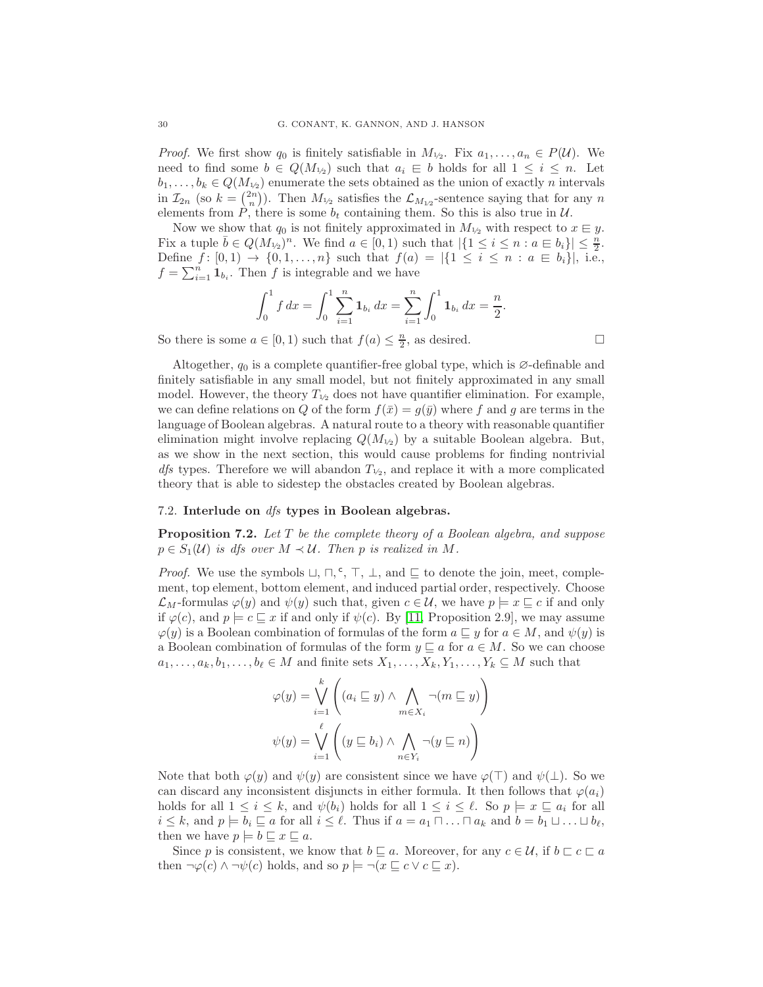*Proof.* We first show  $q_0$  is finitely satisfiable in  $M_{1/2}$ . Fix  $a_1, \ldots, a_n \in P(\mathcal{U})$ . We need to find some  $b \in Q(M_{1/2})$  such that  $a_i \in b$  holds for all  $1 \leq i \leq n$ . Let  $b_1, \ldots, b_k \in Q(M_{1/2})$  enumerate the sets obtained as the union of exactly n intervals in  $\mathcal{I}_{2n}$  (so  $k = \binom{2n}{n}$ ). Then  $M_{1/2}$  satisfies the  $\mathcal{L}_{M_{1/2}}$ -sentence saying that for any n elements from P, there is some  $b_t$  containing them. So this is also true in  $\mathcal{U}$ .

Now we show that  $q_0$  is not finitely approximated in  $M_{1/2}$  with respect to  $x \in y$ . Fix a tuple  $\overline{b} \in Q(M_{\nu_2})^n$ . We find  $a \in [0,1)$  such that  $|\{1 \leq i \leq n : a \in b_i\}| \leq \frac{n}{2}$ . Define  $f: [0,1) \to \{0,1,\ldots,n\}$  such that  $f(a) = |\{1 \le i \le n : a \in b_i\}|$ , i.e.,  $f = \sum_{i=1}^{n} \mathbf{1}_{b_i}$ . Then f is integrable and we have

$$
\int_0^1 f \, dx = \int_0^1 \sum_{i=1}^n \mathbf{1}_{b_i} \, dx = \sum_{i=1}^n \int_0^1 \mathbf{1}_{b_i} \, dx = \frac{n}{2}.
$$

So there is some  $a \in [0, 1)$  such that  $f(a) \leq \frac{n}{2}$ , as desired.

Altogether,  $q_0$  is a complete quantifier-free global type, which is  $\varnothing$ -definable and finitely satisfiable in any small model, but not finitely approximated in any small model. However, the theory  $T_{1/2}$  does not have quantifier elimination. For example, we can define relations on Q of the form  $f(\bar{x}) = g(\bar{y})$  where f and g are terms in the language of Boolean algebras. A natural route to a theory with reasonable quantifier elimination might involve replacing  $Q(M_{1/2})$  by a suitable Boolean algebra. But, as we show in the next section, this would cause problems for finding nontrivial *dfs* types. Therefore we will abandon  $T_{1/2}$ , and replace it with a more complicated theory that is able to sidestep the obstacles created by Boolean algebras.

#### 7.2. Interlude on dfs types in Boolean algebras.

**Proposition 7.2.** Let  $T$  be the complete theory of a Boolean algebra, and suppose  $p \in S_1(\mathcal{U})$  is dfs over  $M \prec \mathcal{U}$ . Then p is realized in M.

*Proof.* We use the symbols  $\sqcup$ ,  $\sqcap$ ,  $\subseteq$ ,  $\top$ ,  $\bot$ , and  $\sqsubseteq$  to denote the join, meet, complement, top element, bottom element, and induced partial order, respectively. Choose  $\mathcal{L}_M$ -formulas  $\varphi(y)$  and  $\psi(y)$  such that, given  $c \in \mathcal{U}$ , we have  $p \models x \sqsubseteq c$  if and only if  $\varphi(c)$ , and  $p \models c \sqsubseteq x$  if and only if  $\psi(c)$ . By [\[11,](#page-52-10) Proposition 2.9], we may assume  $\varphi(y)$  is a Boolean combination of formulas of the form  $a \sqsubseteq y$  for  $a \in M$ , and  $\psi(y)$  is a Boolean combination of formulas of the form  $y \sqsubseteq a$  for  $a \in M$ . So we can choose  $a_1, \ldots, a_k, b_1, \ldots, b_\ell \in M$  and finite sets  $X_1, \ldots, X_k, Y_1, \ldots, Y_k \subseteq M$  such that

$$
\varphi(y) = \bigvee_{i=1}^k \left( (a_i \sqsubseteq y) \land \bigwedge_{m \in X_i} \neg (m \sqsubseteq y) \right)
$$

$$
\psi(y) = \bigvee_{i=1}^\ell \left( (y \sqsubseteq b_i) \land \bigwedge_{n \in Y_i} \neg (y \sqsubseteq n) \right)
$$

 $k = k$ 

Note that both  $\varphi(y)$  and  $\psi(y)$  are consistent since we have  $\varphi(\top)$  and  $\psi(\bot)$ . So we can discard any inconsistent disjuncts in either formula. It then follows that  $\varphi(a_i)$ holds for all  $1 \leq i \leq k$ , and  $\psi(b_i)$  holds for all  $1 \leq i \leq \ell$ . So  $p \models x \sqsubseteq a_i$  for all  $i \leq k$ , and  $p \models b_i \sqsubseteq a$  for all  $i \leq \ell$ . Thus if  $a = a_1 \sqcap \ldots \sqcap a_k$  and  $b = b_1 \sqcup \ldots \sqcup b_{\ell}$ , then we have  $p \models b \sqsubseteq x \sqsubseteq a$ .

Since p is consistent, we know that  $b \sqsubseteq a$ . Moreover, for any  $c \in \mathcal{U}$ , if  $b \sqsubset c \sqsubset a$ then  $\neg \varphi(c) \land \neg \psi(c)$  holds, and so  $p \models \neg(x \sqsubseteq c \lor c \sqsubseteq x)$ .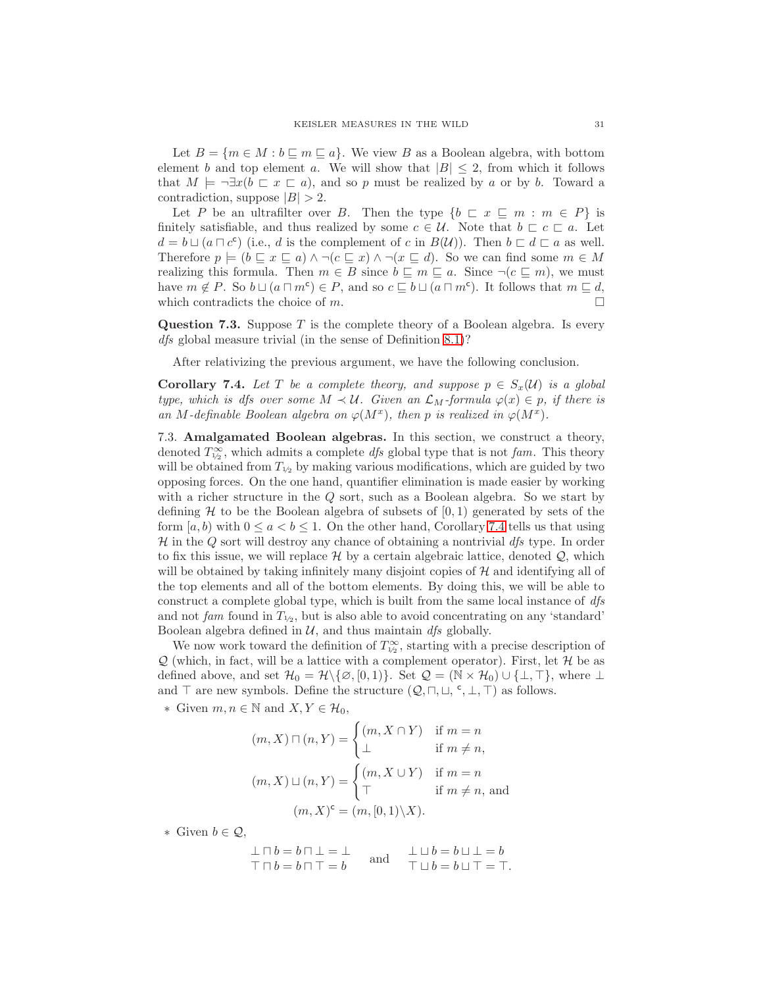Let  $B = \{m \in M : b \sqsubseteq m \sqsubseteq a\}$ . We view B as a Boolean algebra, with bottom element b and top element a. We will show that  $|B| \leq 2$ , from which it follows that  $M \models \neg \exists x (b \sqsubset x \sqsubset a)$ , and so p must be realized by a or by b. Toward a contradiction, suppose  $|B| > 2$ .

Let P be an ultrafilter over B. Then the type  $\{b \sqsubset x \sqsubseteq m : m \in P\}$  is finitely satisfiable, and thus realized by some  $c \in \mathcal{U}$ . Note that  $b \subset c \subset a$ . Let  $d = b \sqcup (a \sqcap c^c)$  (i.e., d is the complement of c in  $B(\mathcal{U})$ ). Then  $b \sqsubset d \sqsubset a$  as well. Therefore  $p \models (b \sqsubseteq x \sqsubseteq a) \land \neg (c \sqsubseteq x) \land \neg (x \sqsubseteq d)$ . So we can find some  $m \in M$ realizing this formula. Then  $m \in B$  since  $b \subseteq m \subseteq a$ . Since  $\neg (c \subseteq m)$ , we must have  $m \notin P$ . So  $b \sqcup (a \sqcap m^c) \in P$ , and so  $c \sqsubseteq b \sqcup (a \sqcap m^c)$ . It follows that  $m \sqsubseteq d$ , which contradicts the choice of m.  $\Box$ 

**Question 7.3.** Suppose  $T$  is the complete theory of a Boolean algebra. Is every dfs global measure trivial (in the sense of Definition [8.1\)](#page-36-3)?

After relativizing the previous argument, we have the following conclusion.

<span id="page-30-0"></span>**Corollary 7.4.** Let T be a complete theory, and suppose  $p \in S_x(\mathcal{U})$  is a global type, which is dfs over some  $M \prec U$ . Given an  $\mathcal{L}_M$ -formula  $\varphi(x) \in p$ , if there is an M-definable Boolean algebra on  $\varphi(M^x)$ , then p is realized in  $\varphi(M^x)$ .

<span id="page-30-1"></span>7.3. Amalgamated Boolean algebras. In this section, we construct a theory, denoted  $T^{\infty}_{1/2}$ , which admits a complete dfs global type that is not fam. This theory will be obtained from  $T_{1/2}$  by making various modifications, which are guided by two opposing forces. On the one hand, quantifier elimination is made easier by working with a richer structure in the Q sort, such as a Boolean algebra. So we start by defining  $H$  to be the Boolean algebra of subsets of  $[0, 1)$  generated by sets of the form  $[a, b)$  with  $0 \le a < b \le 1$ . On the other hand, Corollary [7.4](#page-30-0) tells us that using  $\mathcal H$  in the Q sort will destroy any chance of obtaining a nontrivial  $\mathcal H$  type. In order to fix this issue, we will replace  $\mathcal H$  by a certain algebraic lattice, denoted  $\mathcal Q$ , which will be obtained by taking infinitely many disjoint copies of  $\mathcal H$  and identifying all of the top elements and all of the bottom elements. By doing this, we will be able to construct a complete global type, which is built from the same local instance of dfs and not fam found in  $T_{1/2}$ , but is also able to avoid concentrating on any 'standard' Boolean algebra defined in  $U$ , and thus maintain  $df_s$  globally.

We now work toward the definition of  $T_{\frac{1}{2}}^{\infty}$ , starting with a precise description of  $Q$  (which, in fact, will be a lattice with a complement operator). First, let  $H$  be as defined above, and set  $\mathcal{H}_0 = \mathcal{H} \setminus \{\emptyset, [0, 1)\}\$ . Set  $\mathcal{Q} = (\mathbb{N} \times \mathcal{H}_0) \cup \{\perp, \top\}$ , where  $\perp$ and  $\top$  are new symbols. Define the structure  $(Q, \sqcap, \sqcup, \ulcorner, \bot, \top)$  as follows.

∗ Given  $m, n \in \mathbb{N}$  and  $X, Y \in \mathcal{H}_0$ ,

$$
(m, X) \sqcap (n, Y) = \begin{cases} (m, X \cap Y) & \text{if } m = n \\ \bot & \text{if } m \neq n, \end{cases}
$$

$$
(m, X) \sqcup (n, Y) = \begin{cases} (m, X \cup Y) & \text{if } m = n \\ \top & \text{if } m \neq n, \text{ and} \end{cases}
$$

$$
(m, X)^c = (m, [0, 1) \setminus X).
$$

∗ Given b ∈ Q,

 $\bot \sqcap b = b \sqcap \bot = \bot$  $\top \sqcap b = b \sqcap \top = b$ and  $\perp \sqcup b = b \sqcup \perp = b$  $\top \sqcup b = b \sqcup \top = \top.$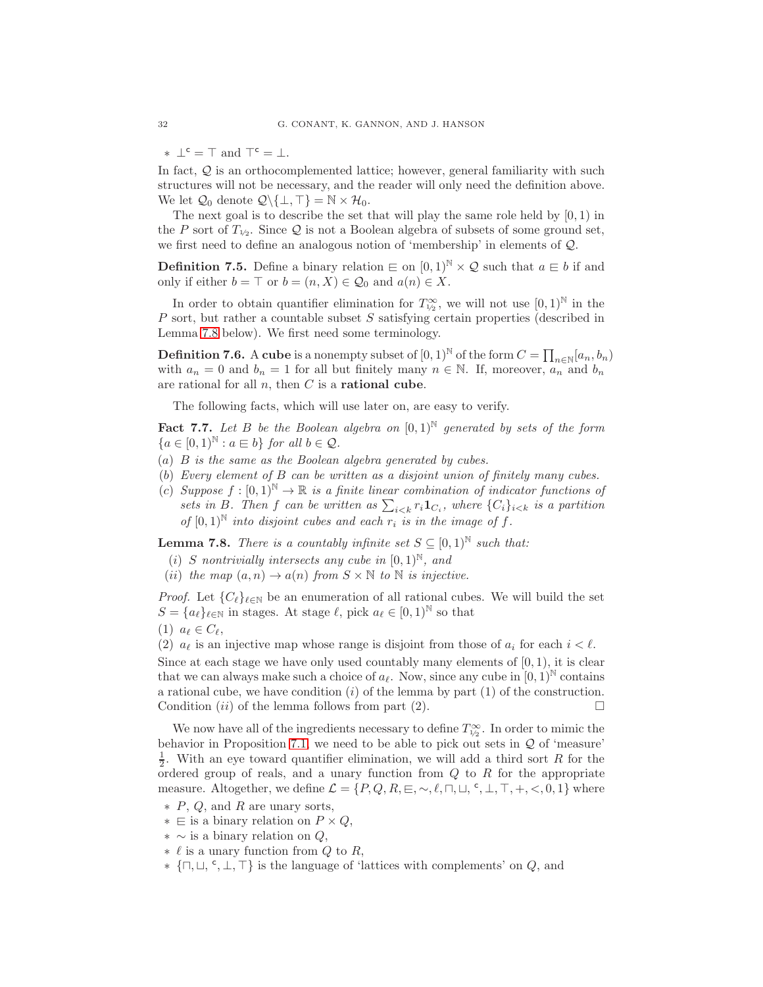$* \perp^{\mathsf{c}} = \top$  and  $\top^{\mathsf{c}} = \perp$ .

In fact,  $Q$  is an orthocomplemented lattice; however, general familiarity with such structures will not be necessary, and the reader will only need the definition above. We let  $\mathcal{Q}_0$  denote  $\mathcal{Q}\backslash\{\perp,\top\} = \mathbb{N} \times \mathcal{H}_0$ .

The next goal is to describe the set that will play the same role held by  $[0, 1)$  in the P sort of  $T_{1/2}$ . Since Q is not a Boolean algebra of subsets of some ground set, we first need to define an analogous notion of 'membership' in elements of Q.

<span id="page-31-1"></span>**Definition 7.5.** Define a binary relation  $\in$  on  $[0,1)^{\mathbb{N}} \times \mathcal{Q}$  such that  $a \in b$  if and only if either  $b = \top$  or  $b = (n, X) \in \mathcal{Q}_0$  and  $a(n) \in X$ .

In order to obtain quantifier elimination for  $T_{1/2}^{\infty}$ , we will not use  $[0,1)^{\mathbb{N}}$  in the P sort, but rather a countable subset S satisfying certain properties (described in Lemma [7.8](#page-31-0) below). We first need some terminology.

**Definition 7.6.** A cube is a nonempty subset of  $[0,1)^{\mathbb{N}}$  of the form  $C = \prod_{n \in \mathbb{N}} [a_n, b_n)$ with  $a_n = 0$  and  $b_n = 1$  for all but finitely many  $n \in \mathbb{N}$ . If, moreover,  $a_n$  and  $b_n$ are rational for all  $n$ , then  $C$  is a **rational cube**.

The following facts, which will use later on, are easy to verify.

<span id="page-31-2"></span>**Fact 7.7.** Let B be the Boolean algebra on  $[0,1)^{\mathbb{N}}$  generated by sets of the form  ${a \in [0, 1)^{\mathbb{N}} : a \in b}$  for all  $b \in \mathcal{Q}$ .

- (a) B is the same as the Boolean algebra generated by cubes.
- (b) Every element of B can be written as a disjoint union of finitely many cubes.
- (c) Suppose  $f : [0,1)^\mathbb{N} \to \mathbb{R}$  is a finite linear combination of indicator functions of sets in B. Then f can be written as  $\sum_{i \leq k} r_i \mathbf{1}_{C_i}$ , where  $\{C_i\}_{i \leq k}$  is a partition of  $[0,1]^{\mathbb{N}}$  into disjoint cubes and each  $r_i$  is in the image of f.

<span id="page-31-0"></span>**Lemma 7.8.** There is a countably infinite set  $S \subseteq [0,1]^{\mathbb{N}}$  such that:

- (i) S nontrivially intersects any cube in  $[0,1)^{\mathbb{N}}$ , and
- (ii) the map  $(a, n) \rightarrow a(n)$  from  $S \times \mathbb{N}$  to  $\mathbb{N}$  is injective.

*Proof.* Let  ${C_{\ell}}_{\ell \in \mathbb{N}}$  be an enumeration of all rational cubes. We will build the set  $S = \{a_\ell\}_{\ell \in \mathbb{N}}$  in stages. At stage  $\ell$ , pick  $a_\ell \in [0,1)^\mathbb{N}$  so that

(1)  $a_{\ell} \in C_{\ell}$ ,

(2)  $a_{\ell}$  is an injective map whose range is disjoint from those of  $a_i$  for each  $i < \ell$ . Since at each stage we have only used countably many elements of  $[0, 1)$ , it is clear that we can always make such a choice of  $a_\ell$ . Now, since any cube in  $[0,1)$ <sup>N</sup> contains a rational cube, we have condition  $(i)$  of the lemma by part  $(1)$  of the construction. Condition (*ii*) of the lemma follows from part (2).

We now have all of the ingredients necessary to define  $T^{\infty}_{1/2}$ . In order to mimic the behavior in Proposition [7.1,](#page-28-1) we need to be able to pick out sets in  $Q$  of 'measure'  $\frac{1}{2}$ . With an eye toward quantifier elimination, we will add a third sort R for the ordered group of reals, and a unary function from  $Q$  to  $R$  for the appropriate measure. Altogether, we define  $\mathcal{L} = \{P, Q, R, \sqsubseteq, \sim, \ell, \sqcap, \sqcup, \lceil \cdot, \perp, \top, +, \lt, 0, 1\}$  where

- ∗ P, Q, and R are unary sorts,
- $∗ \text{ } \in$  is a binary relation on  $P \times Q$ ,
- $* \sim$  is a binary relation on  $Q$ ,
- $\ast \ell$  is a unary function from Q to R,
- $\ast \{ \sqcap, \sqcup, \ulcorner, \ulcorner, \bot, \top \}$  is the language of 'lattices with complements' on Q, and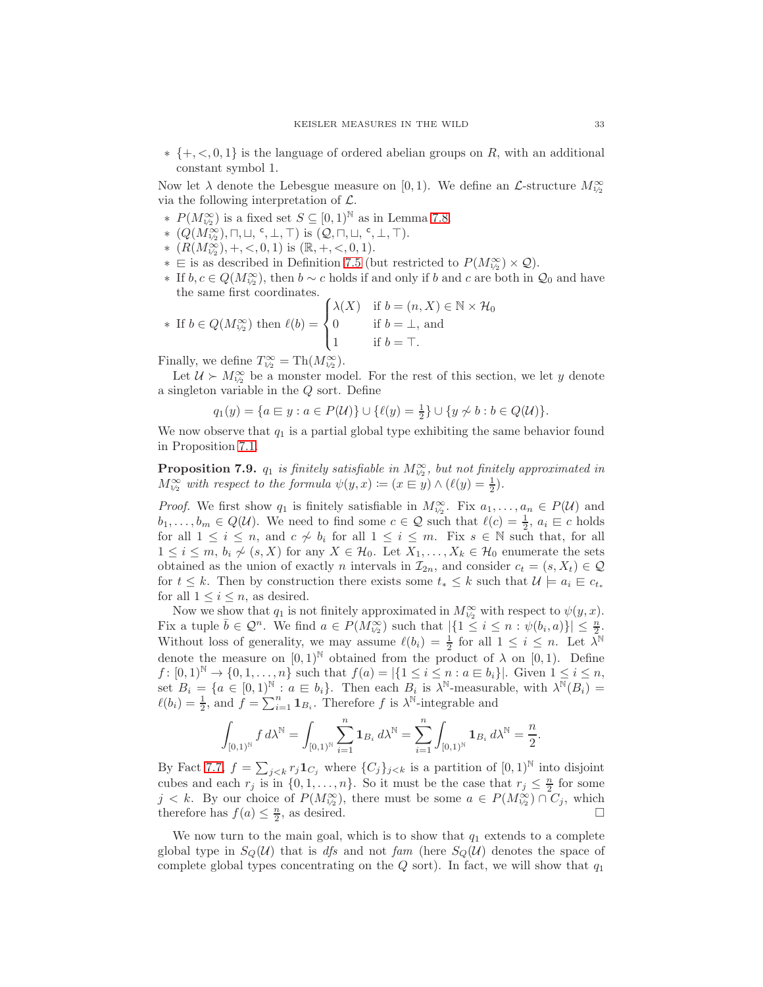$* \{+, \langle 0, 1 \}$  is the language of ordered abelian groups on R, with an additional constant symbol 1.

Now let  $\lambda$  denote the Lebesgue measure on [0, 1). We define an  $\mathcal{L}\text{-structure }M^{\infty}_{1/\lambda}$ via the following interpretation of  $\mathcal{L}$ .

- ∗  $P(M_{\nu_2}^{\infty})$  is a fixed set  $S \subseteq [0,1)^{\mathbb{N}}$  as in Lemma [7.8.](#page-31-0)
- $*(Q(M_{1/2}^{\infty}), \sqcap, \sqcup, \lceil, \bot, \top)$  is  $(Q, \sqcap, \sqcup, \lceil, \bot, \top)$ .
- \*  $(R(M_{1/2}^{\infty}), +, <, 0, 1)$  is  $(\mathbb{R}, +, <, 0, 1)$ .
- ∗  $\in$  is as described in Definition [7.5](#page-31-1) (but restricted to  $P(M^{\infty}_{1/2}) \times Q$ ).
- ∗ If  $b, c \in Q(M^{\infty}_{\nu_2})$ , then  $b \sim c$  holds if and only if  $b$  and  $c$  are both in  $\mathcal{Q}_0$  and have the same first coordinates.

\* If 
$$
b \in Q(M_{\nu_2}^{\infty})
$$
 then  $\ell(b) = \begin{cases} \lambda(X) & \text{if } b = (n, X) \in \mathbb{N} \times \mathcal{H}_0 \\ 0 & \text{if } b = \bot, \text{ and} \\ 1 & \text{if } b = \top. \end{cases}$ 

Finally, we define  $T_{1/2}^{\infty} = Th(M_{1/2}^{\infty})$ .

Let  $\mathcal{U} \succ M_{\frac{1}{2}}^{\infty}$  be a monster model. For the rest of this section, we let y denote a singleton variable in the Q sort. Define

$$
q_1(y) = \{a \in y : a \in P(\mathcal{U})\} \cup \{\ell(y) = \frac{1}{2}\} \cup \{y \not\sim b : b \in Q(\mathcal{U})\}.
$$

We now observe that  $q_1$  is a partial global type exhibiting the same behavior found in Proposition [7.1.](#page-28-1)

<span id="page-32-0"></span>**Proposition 7.9.**  $q_1$  is finitely satisfiable in  $M^{\infty}_{1/2}$ , but not finitely approximated in  $M_{\gamma_2}^{\infty}$  with respect to the formula  $\psi(y, x) \coloneqq (x \in y) \wedge (\ell(y) = \frac{1}{2}).$ 

*Proof.* We first show  $q_1$  is finitely satisfiable in  $M_{\frac{1}{2}}^{\infty}$ . Fix  $a_1, \ldots, a_n \in P(\mathcal{U})$  and  $b_1, \ldots, b_m \in Q(\mathcal{U})$ . We need to find some  $c \in \mathcal{Q}$  such that  $\ell(c) = \frac{1}{2}, a_i \in c$  holds for all  $1 \leq i \leq n$ , and  $c \nsim b_i$  for all  $1 \leq i \leq m$ . Fix  $s \in \mathbb{N}$  such that, for all  $1 \leq i \leq m$ ,  $b_i \nsim (s, X)$  for any  $X \in \mathcal{H}_0$ . Let  $X_1, \ldots, X_k \in \mathcal{H}_0$  enumerate the sets obtained as the union of exactly n intervals in  $\mathcal{I}_{2n}$ , and consider  $c_t = (s, X_t) \in \mathcal{Q}$ for  $t \leq k$ . Then by construction there exists some  $t_* \leq k$  such that  $\mathcal{U} \models a_i \in c_{t_*}$ for all  $1 \leq i \leq n$ , as desired.

Now we show that  $q_1$  is not finitely approximated in  $M_{\frac{1}{2}}^{\infty}$  with respect to  $\psi(y, x)$ . Fix a tuple  $\overline{b} \in \mathcal{Q}^n$ . We find  $a \in P(M_{\nu_2}^{\infty})$  such that  $|\{1 \leq i \leq n : \psi(b_i, a)\}| \leq \frac{n}{2}$ . The a upper  $0 \le \xi$ . We find  $a \in I$   $\{m_{1/2}\}$  such that  $\left| \{1 \le i \le n : \psi(n_i, a) \} \right| \ge \frac{1}{2}$ .<br>Without loss of generality, we may assume  $\ell(b_i) = \frac{1}{2}$  for all  $1 \le i \le n$ . Let  $\lambda^{\mathbb{N}}$ denote the measure on  $[0, 1)$ <sup>N</sup> obtained from the product of  $\lambda$  on  $[0, 1)$ . Define  $f: [0,1]^{\mathbb{N}} \to \{0,1,\ldots,n\}$  such that  $f(a) = |\{1 \le i \le n : a \in b_i\}|$ . Given  $1 \le i \le n$ , set  $B_i = \{a \in [0,1)^{\mathbb{N}} : a \equiv b_i\}$ . Then each  $B_i$  is  $\lambda^{\mathbb{N}}$ -measurable, with  $\lambda^{\mathbb{N}}(B_i) =$  $\ell(b_i) = \frac{1}{2}$ , and  $f = \sum_{i=1}^{n} \mathbf{1}_{B_i}$ . Therefore f is  $\lambda^{\mathbb{N}}$ -integrable and

$$
\int_{[0,1)^{\mathbb{N}}} f d\lambda^{\mathbb{N}} = \int_{[0,1)^{\mathbb{N}}} \sum_{i=1}^{n} \mathbf{1}_{B_{i}} d\lambda^{\mathbb{N}} = \sum_{i=1}^{n} \int_{[0,1)^{\mathbb{N}}} \mathbf{1}_{B_{i}} d\lambda^{\mathbb{N}} = \frac{n}{2}.
$$

By Fact [7.7,](#page-31-2)  $f = \sum_{j < k} r_j \mathbf{1}_{C_j}$  where  $\{C_j\}_{j < k}$  is a partition of  $[0, 1)^\mathbb{N}$  into disjoint cubes and each  $r_j$  is in  $\{0, 1, \ldots, n\}$ . So it must be the case that  $r_j \leq \frac{n}{2}$  for some  $j < k$ . By our choice of  $P(M_{1/2}^{\infty})$ , there must be some  $a \in P(M_{1/2}^{\infty}) \cap C_j$ , which therefore has  $f(a) \leq \frac{n}{2}$ , as desired.

We now turn to the main goal, which is to show that  $q_1$  extends to a complete global type in  $S_{\mathcal{O}}(\mathcal{U})$  that is dfs and not fam (here  $S_{\mathcal{O}}(\mathcal{U})$  denotes the space of complete global types concentrating on the  $Q$  sort). In fact, we will show that  $q_1$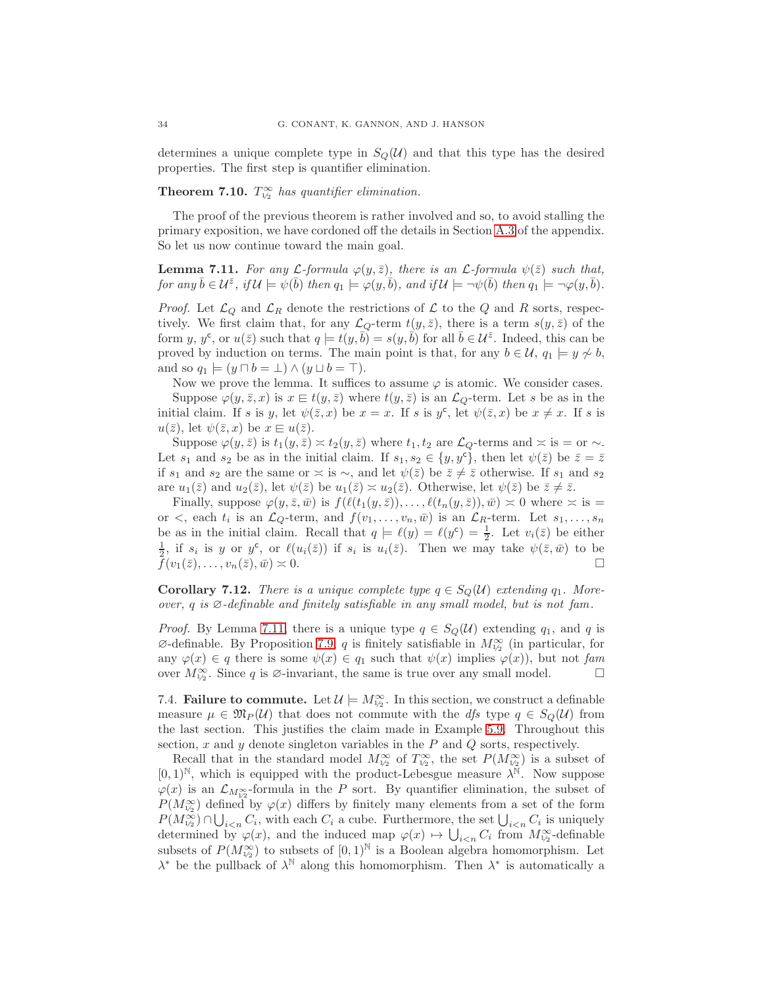determines a unique complete type in  $S<sub>Q</sub>(\mathcal{U})$  and that this type has the desired properties. The first step is quantifier elimination.

# <span id="page-33-3"></span>**Theorem 7.10.**  $T_{\frac{1}{2}}^{\infty}$  has quantifier elimination.

The proof of the previous theorem is rather involved and so, to avoid stalling the primary exposition, we have cordoned off the details in Section [A.3](#page-44-1) of the appendix. So let us now continue toward the main goal.

<span id="page-33-1"></span>**Lemma 7.11.** For any  $\mathcal{L}$ -formula  $\varphi(y, \bar{z})$ , there is an  $\mathcal{L}$ -formula  $\psi(\bar{z})$  such that,  $\textit{for any $\bar{b}\in\mathcal{U}^{\bar{z}}$, if $\mathcal{U}\models\psi(\bar{b})$ then $q_1\models\varphi(y,\bar{b})$, and if $\mathcal{U}\models\neg\psi(\bar{b})$ then $q_1\models\neg\varphi(y,\bar{b})$.}$ 

*Proof.* Let  $\mathcal{L}_Q$  and  $\mathcal{L}_R$  denote the restrictions of  $\mathcal L$  to the  $Q$  and  $R$  sorts, respectively. We first claim that, for any  $\mathcal{L}_Q$ -term  $t(y, \bar{z})$ , there is a term  $s(y, \bar{z})$  of the form y, y<sup>c</sup>, or  $u(\bar{z})$  such that  $q \models t(y, \bar{b}) = s(y, \bar{b})$  for all  $\bar{b} \in \mathcal{U}^{\bar{z}}$ . Indeed, this can be proved by induction on terms. The main point is that, for any  $b \in \mathcal{U}$ ,  $q_1 \models y \not\sim b$ , and so  $q_1 \models (y \sqcap b = \bot) \land (y \sqcup b = \top).$ 

Now we prove the lemma. It suffices to assume  $\varphi$  is atomic. We consider cases. Suppose  $\varphi(y, \bar{z}, x)$  is  $x \in t(y, \bar{z})$  where  $t(y, \bar{z})$  is an  $\mathcal{L}_Q$ -term. Let s be as in the initial claim. If s is y, let  $\psi(\bar{z},x)$  be  $x=x$ . If s is  $y^c$ , let  $\psi(\bar{z},x)$  be  $x\neq x$ . If s is  $u(\bar{z})$ , let  $\psi(\bar{z},x)$  be  $x \in u(\bar{z})$ .

Suppose  $\varphi(y, \bar{z})$  is  $t_1(y, \bar{z}) \asymp t_2(y, \bar{z})$  where  $t_1, t_2$  are  $\mathcal{L}_Q$ -terms and  $\asymp$  is = or  $\sim$ . Let  $s_1$  and  $s_2$  be as in the initial claim. If  $s_1, s_2 \in \{y, y^c\}$ , then let  $\psi(\bar{z})$  be  $\bar{z} = \bar{z}$ if s<sub>1</sub> and s<sub>2</sub> are the same or  $\asymp$  is  $\sim$ , and let  $\psi(\overline{z})$  be  $\overline{z} \neq \overline{z}$  otherwise. If s<sub>1</sub> and s<sub>2</sub> are  $u_1(\bar{z})$  and  $u_2(\bar{z})$ , let  $\psi(\bar{z})$  be  $u_1(\bar{z}) \approx u_2(\bar{z})$ . Otherwise, let  $\psi(\bar{z})$  be  $\bar{z} \neq \bar{z}$ .

Finally, suppose  $\varphi(y, \bar{z}, \bar{w})$  is  $f(\ell(t_1(y, \bar{z})), \ldots, \ell(t_n(y, \bar{z})), \bar{w}) \approx 0$  where  $\approx$  is = or  $\lt$ , each  $t_i$  is an  $\mathcal{L}_Q$ -term, and  $f(v_1,\ldots,v_n,\bar{w})$  is an  $\mathcal{L}_R$ -term. Let  $s_1,\ldots,s_n$ be as in the initial claim. Recall that  $q \models \ell(y) = \ell(y^c) = \frac{1}{2}$ . Let  $v_i(\bar{z})$  be either  $\frac{1}{2}$ , if  $s_i$  is y or  $y^c$ , or  $\ell(u_i(\bar{z}))$  if  $s_i$  is  $u_i(\bar{z})$ . Then we may take  $\psi(\bar{z}, \bar{w})$  to be  $f(v_1(\overline{z}), \ldots, v_n(\overline{z}), \overline{w}) \simeq 0.$ 

<span id="page-33-2"></span>**Corollary 7.12.** There is a unique complete type  $q \in S<sub>Q</sub>(\mathcal{U})$  extending  $q_1$ . Moreover, q is  $\emptyset$ -definable and finitely satisfiable in any small model, but is not fam.

*Proof.* By Lemma [7.11,](#page-33-1) there is a unique type  $q \in S_Q(\mathcal{U})$  extending  $q_1$ , and q is  $\varnothing$ -definable. By Proposition [7.9,](#page-32-0) q is finitely satisfiable in  $M_{1/2}^{\infty}$  (in particular, for any  $\varphi(x) \in q$  there is some  $\psi(x) \in q_1$  such that  $\psi(x)$  implies  $\varphi(x)$ , but not fam over  $M^{\infty}_{1/2}$ . Since q is  $\emptyset$ -invariant, the same is true over any small model.

<span id="page-33-0"></span>7.4. **Failure to commute.** Let  $\mathcal{U} \models M_{\mathcal{V}_2}^{\infty}$ . In this section, we construct a definable measure  $\mu \in \mathfrak{M}_P(\mathcal{U})$  that does not commute with the dfs type  $q \in S_Q(\mathcal{U})$  from the last section. This justifies the claim made in Example [5.9.](#page-23-0) Throughout this section,  $x$  and  $y$  denote singleton variables in the  $P$  and  $Q$  sorts, respectively.

Recall that in the standard model  $M_{1/2}^{\infty}$  of  $T_{1/2}^{\infty}$ , the set  $P(M_{1/2}^{\infty})$  is a subset of  $[0,1)$ <sup>N</sup>, which is equipped with the product-Lebesgue measure  $\lambda^{\tilde{\mathbb{N}}}$ . Now suppose  $\varphi(x)$  is an  $\mathcal{L}_{M_{12}^{\infty}}$ -formula in the P sort. By quantifier elimination, the subset of  $P(M_{\nu_2}^{\infty})$  defined by  $\varphi(x)$  differs by finitely many elements from a set of the form  $P(M_{1/2}^{\infty}) \cap \bigcup_{i \leq n} C_i$ , with each  $C_i$  a cube. Furthermore, the set  $\bigcup_{i \leq n} C_i$  is uniquely determined by  $\varphi(x)$ , and the induced map  $\varphi(x) \mapsto \bigcup_{i \leq n} C_i$  from  $M_{\nu_2}^{\infty}$ -definable subsets of  $P(M_{\nu_2}^{\infty})$  to subsets of  $[0,1)^{\mathbb{N}}$  is a Boolean algebra homomorphism. Let  $\lambda^*$  be the pullback of  $\lambda^{\mathbb{N}}$  along this homomorphism. Then  $\lambda^*$  is automatically a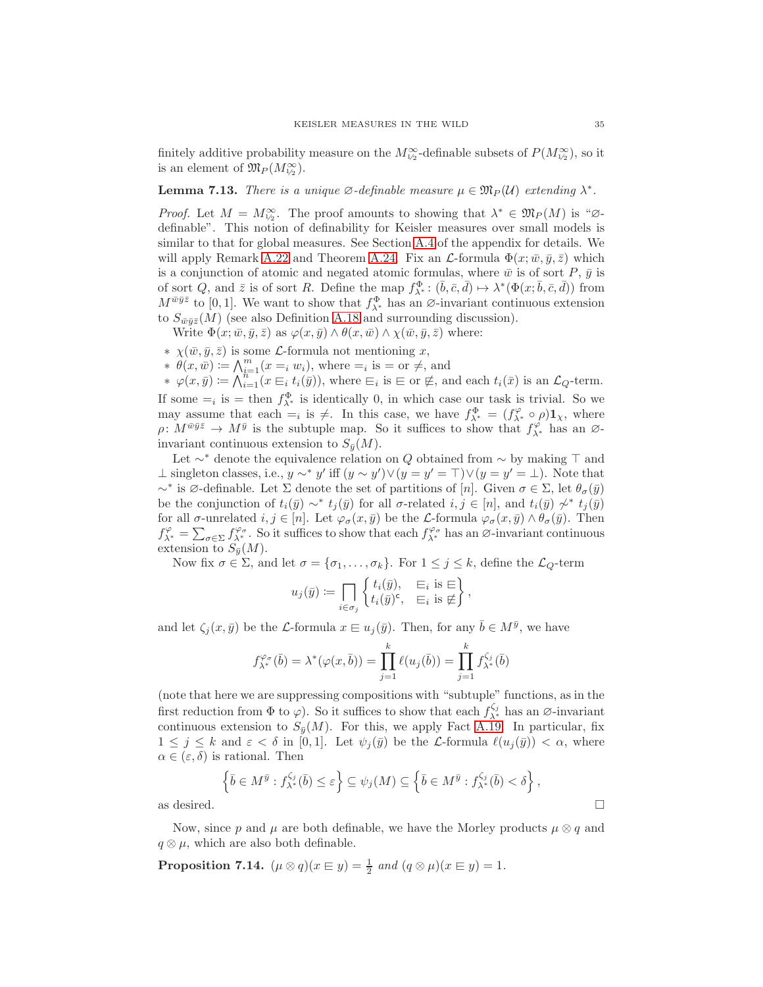finitely additive probability measure on the  $M_{1/2}^{\infty}$ -definable subsets of  $P(M_{1/2}^{\infty})$ , so it is an element of  $\mathfrak{M}_P(M_{1/2}^{\infty})$ .

<span id="page-34-1"></span>**Lemma 7.13.** There is a unique  $\emptyset$ -definable measure  $\mu \in \mathfrak{M}_P(\mathcal{U})$  extending  $\lambda^*$ .

*Proof.* Let  $M = M_{\nu_2}^{\infty}$ . The proof amounts to showing that  $\lambda^* \in \mathfrak{M}_P(M)$  is " $\varnothing$ definable". This notion of definability for Keisler measures over small models is similar to that for global measures. See Section [A.4](#page-49-0) of the appendix for details. We will apply Remark [A.22](#page-50-0) and Theorem [A.24.](#page-50-1) Fix an  $\mathcal{L}$ -formula  $\Phi(x; \bar{w}, \bar{y}, \bar{z})$  which is a conjunction of atomic and negated atomic formulas, where  $\bar{w}$  is of sort P,  $\bar{y}$  is of sort Q, and  $\bar{z}$  is of sort R. Define the map  $f^{\Phi}_{\lambda^*}: (\bar{b}, \bar{c}, \bar{d}) \mapsto \lambda^*(\Phi(x; \bar{b}, \bar{c}, \bar{d}))$  from  $M^{\bar{w}\bar{y}\bar{z}}$  to [0, 1]. We want to show that  $f_{\lambda^*}^{\Phi}$  has an  $\varnothing$ -invariant continuous extension to  $S_{\bar{w}\bar{u}\bar{z}}(M)$  (see also Definition [A.18](#page-50-2) and surrounding discussion).

Write  $\Phi(x; \bar{w}, \bar{y}, \bar{z})$  as  $\varphi(x, \bar{y}) \wedge \theta(x, \bar{w}) \wedge \chi(\bar{w}, \bar{y}, \bar{z})$  where:

- $\star \chi(\bar{w}, \bar{y}, \bar{z})$  is some *L*-formula not mentioning x,
- \*  $\theta(x,\bar{w}) \coloneqq \bigwedge_{i=1}^{m} (x =_{i} w_{i}), \text{ where } =_{i} \text{ is } = \text{or } \neq, \text{ and}$

 $*\varphi(x,\bar{y}) \coloneqq \bigwedge_{i=1}^{n-1} (x \in_i t_i(\bar{y})),$  where  $\in_i$  is  $\infty$  or  $\notin$ , and each  $t_i(\bar{x})$  is an  $\mathcal{L}_Q$ -term. If some  $=$ <sub>i</sub> is  $=$  then  $f^{\Phi}_{\lambda^*}$  is identically 0, in which case our task is trivial. So we may assume that each  $=$ <sub>i</sub> is  $\neq$ . In this case, we have  $f_{\lambda^*}^{\Phi} = (f_{\lambda^*}^{\varphi} \circ \rho) \mathbf{1}_{\chi}$ , where  $\rho: M^{\bar w \bar y \bar z} \to M^{\bar y}$  is the subtuple map. So it suffices to show that  $f^{\varphi}_{\lambda^*}$  has an  $\varnothing$ invariant continuous extension to  $S_{\bar{y}}(M)$ .

Let  $\sim$ <sup>∗</sup> denote the equivalence relation on Q obtained from  $\sim$  by making ⊤ and ⊥ singleton classes, i.e.,  $y \sim^* y'$  iff  $(y \sim y') \lor (y = y' = \top) \lor (y = y' = \bot)$ . Note that  $\sim^*$  is ∅-definable. Let  $\Sigma$  denote the set of partitions of [n]. Given  $\sigma \in \Sigma$ , let  $\theta_{\sigma}(\bar{y})$ be the conjunction of  $t_i(\bar{y}) \sim^* t_j(\bar{y})$  for all  $\sigma$ -related  $i, j \in [n]$ , and  $t_i(\bar{y}) \not\sim^* t_j(\bar{y})$ for all  $\sigma$ -unrelated  $i, j \in [n]$ . Let  $\varphi_{\sigma}(x, \bar{y})$  be the L-formula  $\varphi_{\sigma}(x, \bar{y}) \wedge \theta_{\sigma}(\bar{y})$ . Then  $f_{\lambda^*}^{\varphi} = \sum_{\sigma \in \Sigma} f_{\lambda^*}^{\varphi_{\sigma}}$ . So it suffices to show that each  $f_{\lambda^*}^{\varphi_{\sigma}}$  has an  $\varnothing$ -invariant continuous extension to  $S_{\bar{y}}(M)$ .

Now fix  $\sigma \in \Sigma$ , and let  $\sigma = {\sigma_1, \ldots, \sigma_k}$ . For  $1 \leq j \leq k$ , define the  $\mathcal{L}_Q$ -term

$$
u_j(\bar{y}) \coloneqq \prod_{i \in \sigma_j} \left\{ \begin{matrix} t_i(\bar{y}), & \sqsubseteq_i \text{ is } \sqsubseteq \\ t_i(\bar{y})^{\mathsf{c}}, & \sqsubseteq_i \text{ is } \not\models \end{matrix} \right\},\
$$

and let  $\zeta_j(x, \bar{y})$  be the L-formula  $x \in u_j(\bar{y})$ . Then, for any  $\bar{b} \in M^{\bar{y}}$ , we have

$$
f_{\lambda^*}^{\varphi_{\sigma}}(\bar{b}) = \lambda^*(\varphi(x,\bar{b})) = \prod_{j=1}^k \ell(u_j(\bar{b})) = \prod_{j=1}^k f_{\lambda^*}^{\zeta_j}(\bar{b})
$$

(note that here we are suppressing compositions with "subtuple" functions, as in the first reduction from  $\Phi$  to  $\varphi$ ). So it suffices to show that each  $f_{\lambda^*}^{\zeta_j}$  has an  $\varnothing$ -invariant continuous extension to  $S_{\bar{y}}(M)$ . For this, we apply Fact [A.19.](#page-50-3) In particular, fix  $1 \leq j \leq k$  and  $\varepsilon < \delta$  in [0,1]. Let  $\psi_i(\bar{y})$  be the L-formula  $\ell(u_i(\bar{y})) < \alpha$ , where  $\alpha \in (\varepsilon, \delta)$  is rational. Then

$$
\left\{\bar{b}\in M^{\bar{y}}:f^{\zeta_j}_{\lambda^*}(\bar{b})\leq \varepsilon\right\}\subseteq \psi_j(M)\subseteq \left\{\bar{b}\in M^{\bar{y}}:f^{\zeta_j}_{\lambda^*}(\bar{b})<\delta\right\},
$$
 as desired.  $\square$ 

Now, since p and  $\mu$  are both definable, we have the Morley products  $\mu \otimes q$  and  $q \otimes \mu$ , which are also both definable.

<span id="page-34-0"></span>**Proposition 7.14.**  $(\mu \otimes q)(x \in y) = \frac{1}{2}$  and  $(q \otimes \mu)(x \in y) = 1$ .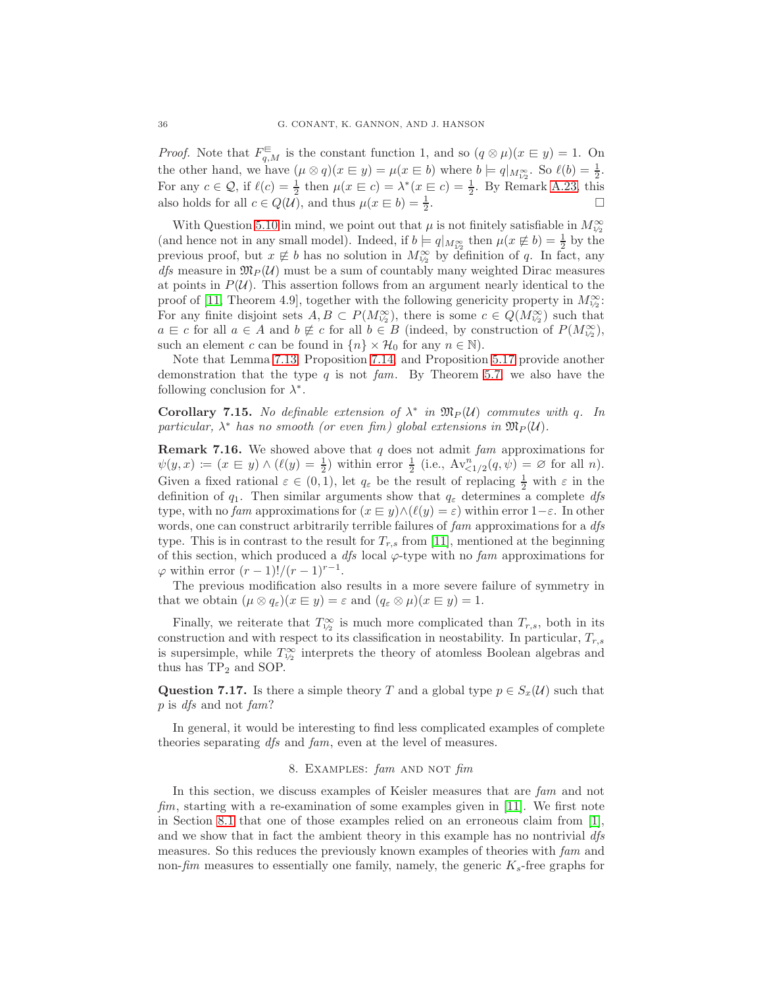*Proof.* Note that  $F_{q,M}^{\text{E}}$  is the constant function 1, and so  $(q \otimes \mu)(x \in y) = 1$ . On the other hand, we have  $(\mu \otimes q)(x \in y) = \mu(x \in b)$  where  $b \models q|_{M_{1/2}^{\infty}}$ . So  $\ell(b) = \frac{1}{2}$ . For any  $c \in \mathcal{Q}$ , if  $\ell(c) = \frac{1}{2}$  then  $\mu(x \in c) = \lambda^*(x \in c) = \frac{1}{2}$ . By Remark [A.23,](#page-50-4) this also holds for all  $c \in Q(\mathcal{U})$ , and thus  $\mu(x \in b) = \frac{1}{2}$ .

With Question [5.10](#page-23-3) in mind, we point out that  $\mu$  is not finitely satisfiable in  $M_{1/2}^{\infty}$ (and hence not in any small model). Indeed, if  $b = q|_{M_{1/2}^{\infty}}$  then  $\mu(x \notin b) = \frac{1}{2}$  by the previous proof, but  $x \notin b$  has no solution in  $M_{\gamma_2}^{\infty}$  by definition of q. In fact, any *dfs* measure in  $\mathfrak{M}_P(u)$  must be a sum of countably many weighted Dirac measures at points in  $P(\mathcal{U})$ . This assertion follows from an argument nearly identical to the proof of [\[11,](#page-52-10) Theorem 4.9], together with the following genericity property in  $M_{1/2}^{\infty}$ : For any finite disjoint sets  $A, B \subset P(M_{1/2}^{\infty})$ , there is some  $c \in Q(M_{1/2}^{\infty})$  such that  $a \in c$  for all  $a \in A$  and  $b \notin c$  for all  $b \in B$  (indeed, by construction of  $P(M_{1/2}^{\infty})$ , such an element c can be found in  $\{n\} \times \mathcal{H}_0$  for any  $n \in \mathbb{N}$ .

Note that Lemma [7.13,](#page-34-1) Proposition [7.14,](#page-34-0) and Proposition [5.17](#page-25-2) provide another demonstration that the type q is not fam. By Theorem [5.7,](#page-22-0) we also have the following conclusion for  $\lambda^*$ .

Corollary 7.15. No definable extension of  $\lambda^*$  in  $\mathfrak{M}_P(\mathcal{U})$  commutes with q. In particular,  $\lambda^*$  has no smooth (or even fim) global extensions in  $\mathfrak{M}_P(u)$ .

**Remark 7.16.** We showed above that q does not admit fam approximations for  $\psi(y,x) := (x \in y) \wedge (\ell(y) = \frac{1}{2})$  within error  $\frac{1}{2}$  (i.e.,  $Av_{\leq 1/2}^n(q,\psi) = \emptyset$  for all n). Given a fixed rational  $\varepsilon \in (0,1)$ , let  $q_{\varepsilon}$  be the result of replacing  $\frac{1}{2}$  with  $\varepsilon$  in the definition of  $q_1$ . Then similar arguments show that  $q_\varepsilon$  determines a complete dfs type, with no fam approximations for  $(x \in y) \land (\ell(y) = \varepsilon)$  within error  $1-\varepsilon$ . In other words, one can construct arbitrarily terrible failures of fam approximations for a dfs type. This is in contrast to the result for  $T_{r,s}$  from [\[11\]](#page-52-10), mentioned at the beginning of this section, which produced a  $dfs$  local  $\varphi$ -type with no fam approximations for  $\varphi$  within error  $(r-1)!/(r-1)^{r-1}$ .

The previous modification also results in a more severe failure of symmetry in that we obtain  $(\mu \otimes q_{\varepsilon})(x \in y) = \varepsilon$  and  $(q_{\varepsilon} \otimes \mu)(x \in y) = 1$ .

Finally, we reiterate that  $T_{\nu_2}^{\infty}$  is much more complicated than  $T_{r,s}$ , both in its construction and with respect to its classification in neostability. In particular,  $T_{r,s}$ is supersimple, while  $T_{1/2}^{\infty}$  interprets the theory of atomless Boolean algebras and thus has  $TP_2$  and SOP.

Question 7.17. Is there a simple theory T and a global type  $p \in S_x(\mathcal{U})$  such that p is dfs and not fam?

<span id="page-35-0"></span>In general, it would be interesting to find less complicated examples of complete theories separating dfs and fam, even at the level of measures.

## 8. EXAMPLES:  $\text{fam}$  and not  $\text{fim}$

In this section, we discuss examples of Keisler measures that are fam and not fim, starting with a re-examination of some examples given in  $[11]$ . We first note in Section [8.1](#page-36-2) that one of those examples relied on an erroneous claim from [\[1\]](#page-52-11), and we show that in fact the ambient theory in this example has no nontrivial dfs measures. So this reduces the previously known examples of theories with fam and non-fim measures to essentially one family, namely, the generic  $K_s$ -free graphs for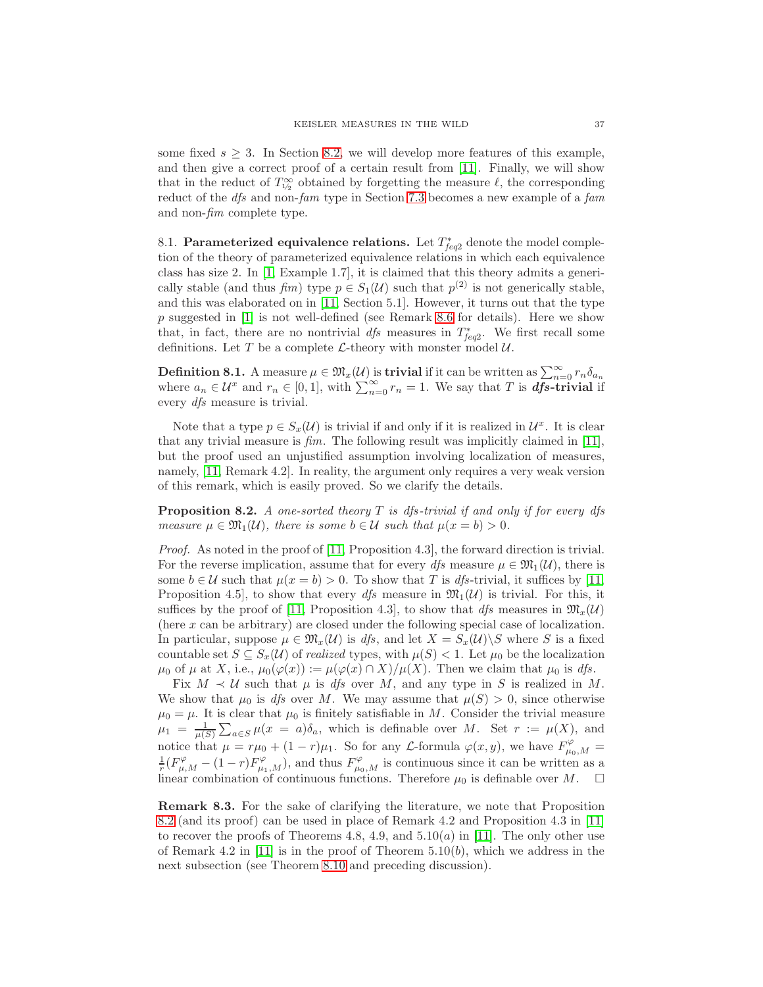some fixed  $s \geq 3$ . In Section [8.2,](#page-38-0) we will develop more features of this example, and then give a correct proof of a certain result from [\[11\]](#page-52-10). Finally, we will show that in the reduct of  $T_{1/2}^{\infty}$  obtained by forgetting the measure  $\ell$ , the corresponding reduct of the *dfs* and non-fam type in Section [7.3](#page-30-1) becomes a new example of a fam and non-fim complete type.

<span id="page-36-2"></span>8.1. Parameterized equivalence relations. Let  $T_{feq2}^*$  denote the model completion of the theory of parameterized equivalence relations in which each equivalence class has size 2. In [\[1,](#page-52-11) Example 1.7], it is claimed that this theory admits a generically stable (and thus  $\lim_{n \to \infty} f(m)$ ) type  $p \in S_1(\mathcal{U})$  such that  $p^{(2)}$  is not generically stable, and this was elaborated on in [\[11,](#page-52-10) Section 5.1]. However, it turns out that the type  $p$  suggested in [\[1\]](#page-52-11) is not well-defined (see Remark [8.6](#page-38-1) for details). Here we show that, in fact, there are no nontrivial  $dfs$  measures in  $T_{feq2}^*$ . We first recall some definitions. Let T be a complete  $\mathcal{L}\text{-theory}$  with monster model  $\mathcal{U}\text{.}$ 

<span id="page-36-3"></span>**Definition 8.1.** A measure  $\mu \in \mathfrak{M}_x(\mathcal{U})$  is **trivial** if it can be written as  $\sum_{n=0}^{\infty} r_n \delta_{a_n}$ where  $a_n \in \mathcal{U}^x$  and  $r_n \in [0, 1]$ , with  $\sum_{n=0}^{\infty} r_n = 1$ . We say that T is **dfs-trivial** if every dfs measure is trivial.

Note that a type  $p \in S_x(\mathcal{U})$  is trivial if and only if it is realized in  $\mathcal{U}^x$ . It is clear that any trivial measure is  $\lim_{m \to \infty}$ . The following result was implicitly claimed in [\[11\]](#page-52-10), but the proof used an unjustified assumption involving localization of measures, namely, [\[11,](#page-52-10) Remark 4.2]. In reality, the argument only requires a very weak version of this remark, which is easily proved. So we clarify the details.

<span id="page-36-0"></span>**Proposition 8.2.** A one-sorted theory  $T$  is dfs-trivial if and only if for every dfs measure  $\mu \in \mathfrak{M}_1(\mathcal{U})$ , there is some  $b \in \mathcal{U}$  such that  $\mu(x = b) > 0$ .

*Proof.* As noted in the proof of [\[11,](#page-52-10) Proposition 4.3], the forward direction is trivial. For the reverse implication, assume that for every dfs measure  $\mu \in \mathfrak{M}_1(\mathcal{U})$ , there is some  $b \in \mathcal{U}$  such that  $\mu(x = b) > 0$ . To show that T is *dfs*-trivial, it suffices by [\[11,](#page-52-10) Proposition 4.5, to show that every dfs measure in  $\mathfrak{M}_1(\mathcal{U})$  is trivial. For this, it suffices by the proof of [\[11,](#page-52-10) Proposition 4.3], to show that dfs measures in  $\mathfrak{M}_{x}(\mathcal{U})$ (here  $x$  can be arbitrary) are closed under the following special case of localization. In particular, suppose  $\mu \in \mathfrak{M}_{x}(\mathcal{U})$  is dfs, and let  $X = S_{x}(\mathcal{U}) \setminus S$  where S is a fixed countable set  $S \subseteq S_x(\mathcal{U})$  of realized types, with  $\mu(S) < 1$ . Let  $\mu_0$  be the localization  $\mu_0$  of  $\mu$  at X, i.e.,  $\mu_0(\varphi(x)) := \mu(\varphi(x) \cap X)/\mu(X)$ . Then we claim that  $\mu_0$  is dfs.

Fix  $M \prec U$  such that  $\mu$  is dfs over M, and any type in S is realized in M. We show that  $\mu_0$  is dfs over M. We may assume that  $\mu(S) > 0$ , since otherwise  $\mu_0 = \mu$ . It is clear that  $\mu_0$  is finitely satisfiable in M. Consider the trivial measure  $\mu_1 = \frac{1}{\mu(S)} \sum_{a \in S} \mu(x = a) \delta_a$ , which is definable over M. Set  $r := \mu(X)$ , and notice that  $\mu = r\mu_0 + (1 - r)\mu_1$ . So for any *L*-formula  $\varphi(x, y)$ , we have  $F^{\varphi}_{\mu_0, M} = \frac{1}{r}(F^{\varphi}_{\mu, M} - (1 - r)F^{\varphi}_{\mu_1, M})$ , and thus  $F^{\varphi}_{\mu_0, M}$  is continuous since it can be written as a linear combination of continuous functions. Therefore  $\mu_0$  is definable over M.  $\Box$ 

<span id="page-36-1"></span>Remark 8.3. For the sake of clarifying the literature, we note that Proposition [8.2](#page-36-0) (and its proof) can be used in place of Remark 4.2 and Proposition 4.3 in [\[11\]](#page-52-10) to recover the proofs of Theorems 4.8, 4.9, and  $5.10(a)$  in [\[11\]](#page-52-10). The only other use of Remark 4.2 in [\[11\]](#page-52-10) is in the proof of Theorem  $5.10(b)$ , which we address in the next subsection (see Theorem [8.10](#page-39-0) and preceding discussion).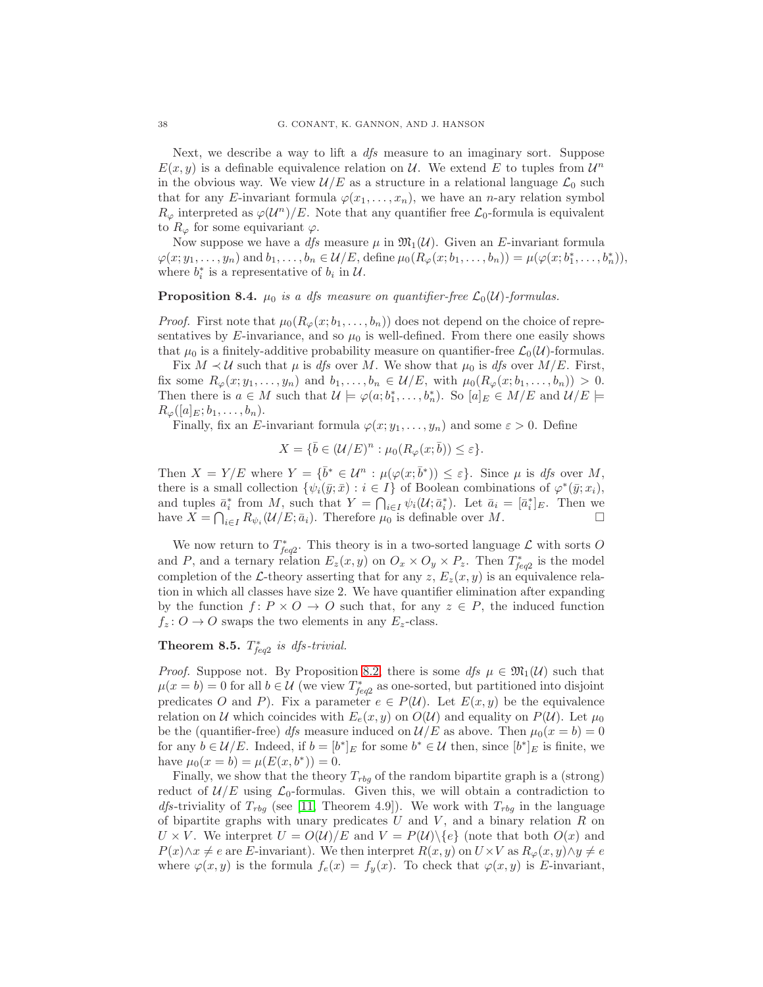Next, we describe a way to lift a *dfs* measure to an imaginary sort. Suppose  $E(x, y)$  is a definable equivalence relation on U. We extend E to tuples from  $\mathcal{U}^n$ in the obvious way. We view  $\mathcal{U}/E$  as a structure in a relational language  $\mathcal{L}_0$  such that for any E-invariant formula  $\varphi(x_1, \ldots, x_n)$ , we have an *n*-ary relation symbol  $R_{\varphi}$  interpreted as  $\varphi(\mathcal{U}^n)/E$ . Note that any quantifier free  $\mathcal{L}_0$ -formula is equivalent to  $R_{\varphi}$  for some equivariant  $\varphi$ .

Now suppose we have a *dfs* measure  $\mu$  in  $\mathfrak{M}_1(\mathcal{U})$ . Given an E-invariant formula  $\varphi(x; y_1, \ldots, y_n)$  and  $b_1, \ldots, b_n \in \mathcal{U}/E$ , define  $\mu_0(R_\varphi(x; b_1, \ldots, b_n)) = \mu(\varphi(x; b_1^*, \ldots, b_n^*)),$ where  $b_i^*$  is a representative of  $b_i$  in  $\mathcal{U}$ .

## **Proposition 8.4.**  $\mu_0$  is a dfs measure on quantifier-free  $\mathcal{L}_0(\mathcal{U})$ -formulas.

*Proof.* First note that  $\mu_0(R_\varphi(x; b_1, \ldots, b_n))$  does not depend on the choice of representatives by  $E$ -invariance, and so  $\mu_0$  is well-defined. From there one easily shows that  $\mu_0$  is a finitely-additive probability measure on quantifier-free  $\mathcal{L}_0(\mathcal{U})$ -formulas.

Fix  $M \prec U$  such that  $\mu$  is dfs over M. We show that  $\mu_0$  is dfs over  $M/E$ . First, fix some  $R_{\varphi}(x; y_1, \ldots, y_n)$  and  $b_1, \ldots, b_n \in \mathcal{U}/E$ , with  $\mu_0(R_{\varphi}(x; b_1, \ldots, b_n)) > 0$ . Then there is  $a \in M$  such that  $\mathcal{U} \models \varphi(a; b_1^*, \ldots, b_n^*)$ . So  $[a]_E \in M/E$  and  $\mathcal{U}/E \models$  $R_{\varphi}([a]_E; b_1, \ldots, b_n).$ 

Finally, fix an E-invariant formula  $\varphi(x; y_1, \ldots, y_n)$  and some  $\varepsilon > 0$ . Define

$$
X = \{\bar{b} \in (\mathcal{U}/E)^n : \mu_0(R_\varphi(x;\bar{b})) \le \varepsilon\}.
$$

Then  $X = Y/E$  where  $Y = {\bar{b}^* \in \mathcal{U}^n : \mu(\varphi(x; \bar{b}^*)) \leq \varepsilon}.$  Since  $\mu$  is dfs over M, there is a small collection  $\{\psi_i(\bar{y}; \bar{x}) : i \in I\}$  of Boolean combinations of  $\varphi^*(\bar{y}; x_i)$ , and tuples  $\bar{a}_i^*$  from M, such that  $Y = \bigcap_{i \in I} \psi_i(\mathcal{U}; \bar{a}_i^*)$ . Let  $\bar{a}_i = [\bar{a}_i^*]_E$ . Then we have  $X = \bigcap_{i \in I} R_{\psi_i}(\mathcal{U}/E; \bar{a}_i)$ . Therefore  $\mu_0$  is definable over  $M$ .

We now return to  $T_{\text{req2}}^*$ . This theory is in a two-sorted language  $\mathcal{L}$  with sorts O and P, and a ternary relation  $E_z(x, y)$  on  $O_x \times O_y \times P_z$ . Then  $T_{feq2}^*$  is the model completion of the L-theory asserting that for any z,  $E_z(x, y)$  is an equivalence relation in which all classes have size 2. We have quantifier elimination after expanding by the function  $f: P \times O \to O$  such that, for any  $z \in P$ , the induced function  $f_z: O \to O$  swaps the two elements in any  $E_z$ -class.

# <span id="page-37-0"></span>**Theorem 8.5.**  $T_{feq2}^*$  is dfs-trivial.

*Proof.* Suppose not. By Proposition [8.2,](#page-36-0) there is some dfs  $\mu \in \mathfrak{M}_1(\mathcal{U})$  such that  $\mu(x = b) = 0$  for all  $b \in \mathcal{U}$  (we view  $T_{feq2}^*$  as one-sorted, but partitioned into disjoint predicates O and P). Fix a parameter  $e \in P(\mathcal{U})$ . Let  $E(x, y)$  be the equivalence relation on U which coincides with  $E_e(x, y)$  on  $O(U)$  and equality on  $P(U)$ . Let  $\mu_0$ be the (quantifier-free) *dfs* measure induced on  $\mathcal{U}/E$  as above. Then  $\mu_0(x = b) = 0$ for any  $b \in \mathcal{U}/E$ . Indeed, if  $b = [b^*]_E$  for some  $b^* \in \mathcal{U}$  then, since  $[b^*]_E$  is finite, we have  $\mu_0(x = b) = \mu(E(x, b^*)) = 0.$ 

Finally, we show that the theory  $T_{rbq}$  of the random bipartite graph is a (strong) reduct of  $\mathcal{U}/E$  using  $\mathcal{L}_0$ -formulas. Given this, we will obtain a contradiction to *dfs*-triviality of  $T_{rbg}$  (see [\[11,](#page-52-10) Theorem 4.9]). We work with  $T_{rbg}$  in the language of bipartite graphs with unary predicates  $U$  and  $V$ , and a binary relation  $R$  on  $U \times V$ . We interpret  $U = O(U)/E$  and  $V = P(U)\setminus \{e\}$  (note that both  $O(x)$  and  $P(x) \wedge x \neq e$  are E-invariant). We then interpret  $R(x, y)$  on  $U \times V$  as  $R_{\varphi}(x, y) \wedge y \neq e$ where  $\varphi(x, y)$  is the formula  $f_e(x) = f_y(x)$ . To check that  $\varphi(x, y)$  is E-invariant,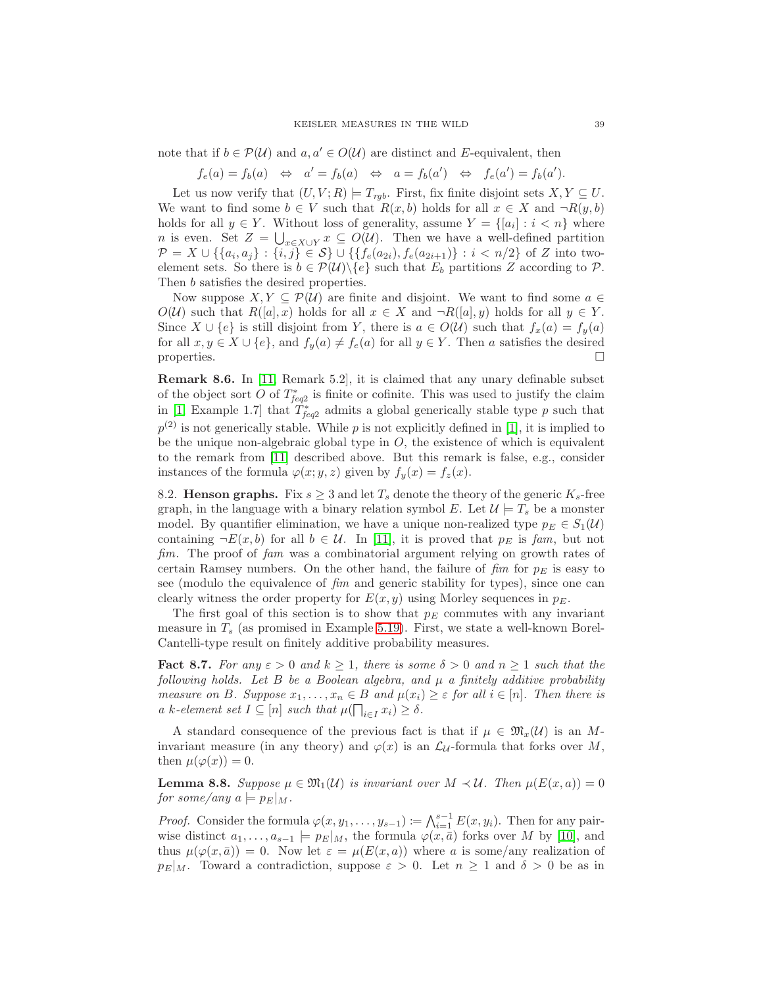note that if  $b \in \mathcal{P}(\mathcal{U})$  and  $a, a' \in O(\mathcal{U})$  are distinct and E-equivalent, then

$$
f_e(a) = f_b(a) \Leftrightarrow a' = f_b(a) \Leftrightarrow a = f_b(a') \Leftrightarrow f_e(a') = f_b(a').
$$

Let us now verify that  $(U, V; R) \models T_{rgb}$ . First, fix finite disjoint sets  $X, Y \subseteq U$ . We want to find some  $b \in V$  such that  $R(x, b)$  holds for all  $x \in X$  and  $\neg R(y, b)$ holds for all  $y \in Y$ . Without loss of generality, assume  $Y = \{ [a_i] : i < n \}$  where *n* is even. Set  $Z = \bigcup_{x \in X \cup Y} x \subseteq O(U)$ . Then we have a well-defined partition  $\mathcal{P} = X \cup \{\{a_i,a_j\} : \{i,j\} \in \mathcal{S}\} \cup \{\{f_e(a_{2i}),f_e(a_{2i+1})\} : i < n/2\}$  of  $Z$  into twoelement sets. So there is  $b \in \mathcal{P}(\mathcal{U})\backslash\{e\}$  such that  $E_b$  partitions Z according to P. Then b satisfies the desired properties.

Now suppose  $X, Y \subseteq \mathcal{P}(\mathcal{U})$  are finite and disjoint. We want to find some  $a \in \mathcal{U}$  $O(\mathcal{U})$  such that  $R([a], x)$  holds for all  $x \in X$  and  $\neg R([a], y)$  holds for all  $y \in Y$ . Since  $X \cup \{e\}$  is still disjoint from Y, there is  $a \in O(U)$  such that  $f_x(a) = f_y(a)$ for all  $x, y \in X \cup \{e\}$ , and  $f_y(a) \neq f_e(a)$  for all  $y \in Y$ . Then a satisfies the desired properties.  $\Box$ 

<span id="page-38-1"></span>Remark 8.6. In [\[11,](#page-52-10) Remark 5.2], it is claimed that any unary definable subset of the object sort O of  $T_{feq2}^*$  is finite or cofinite. This was used to justify the claim in [\[1,](#page-52-11) Example 1.7] that  $\hat{T}_{f \neq q2}^*$  admits a global generically stable type p such that  $p<sup>(2)</sup>$  is not generically stable. While p is not explicitly defined in [\[1\]](#page-52-11), it is implied to be the unique non-algebraic global type in  $O$ , the existence of which is equivalent to the remark from [\[11\]](#page-52-10) described above. But this remark is false, e.g., consider instances of the formula  $\varphi(x; y, z)$  given by  $f_y(x) = f_z(x)$ .

<span id="page-38-0"></span>8.2. Henson graphs. Fix  $s \geq 3$  and let  $T_s$  denote the theory of the generic  $K_s$ -free graph, in the language with a binary relation symbol E. Let  $\mathcal{U} = T_s$  be a monster model. By quantifier elimination, we have a unique non-realized type  $p_E \in S_1(\mathcal{U})$ containing  $\neg E(x, b)$  for all  $b \in U$ . In [\[11\]](#page-52-10), it is proved that  $p_E$  is fam, but not fim. The proof of fam was a combinatorial argument relying on growth rates of certain Ramsey numbers. On the other hand, the failure of  $\lim_{n \to \infty}$  is easy to see (modulo the equivalence of fim and generic stability for types), since one can clearly witness the order property for  $E(x, y)$  using Morley sequences in  $p_E$ .

The first goal of this section is to show that  $p_E$  commutes with any invariant measure in  $T_s$  (as promised in Example [5.19\)](#page-25-3). First, we state a well-known Borel-Cantelli-type result on finitely additive probability measures.

<span id="page-38-2"></span>**Fact 8.7.** For any  $\varepsilon > 0$  and  $k \ge 1$ , there is some  $\delta > 0$  and  $n \ge 1$  such that the following holds. Let B be a Boolean algebra, and  $\mu$  a finitely additive probability measure on B. Suppose  $x_1, \ldots, x_n \in B$  and  $\mu(x_i) \geq \varepsilon$  for all  $i \in [n]$ . Then there is a k-element set  $I \subseteq [n]$  such that  $\mu(\prod_{i \in I} x_i) \ge \delta$ .

A standard consequence of the previous fact is that if  $\mu \in \mathfrak{M}_x(\mathcal{U})$  is an Minvariant measure (in any theory) and  $\varphi(x)$  is an  $\mathcal{L}_{\mathcal{U}}$ -formula that forks over M, then  $\mu(\varphi(x)) = 0$ .

<span id="page-38-3"></span>**Lemma 8.8.** Suppose  $\mu \in \mathfrak{M}_1(\mathcal{U})$  is invariant over  $M \prec \mathcal{U}$ . Then  $\mu(E(x, a)) = 0$ for some/any  $a \models p_E|_M$ .

*Proof.* Consider the formula  $\varphi(x, y_1, \ldots, y_{s-1}) \coloneqq \bigwedge_{i=1}^{s-1} E(x, y_i)$ . Then for any pairwise distinct  $a_1, \ldots, a_{s-1} \models p_E|_M$ , the formula  $\varphi(x, \bar{a})$  forks over M by [\[10\]](#page-52-23), and thus  $\mu(\varphi(x,\bar a)) = 0$ . Now let  $\varepsilon = \mu(E(x,a))$  where a is some/any realization of  $p_E|_M$ . Toward a contradiction, suppose  $\varepsilon > 0$ . Let  $n \geq 1$  and  $\delta > 0$  be as in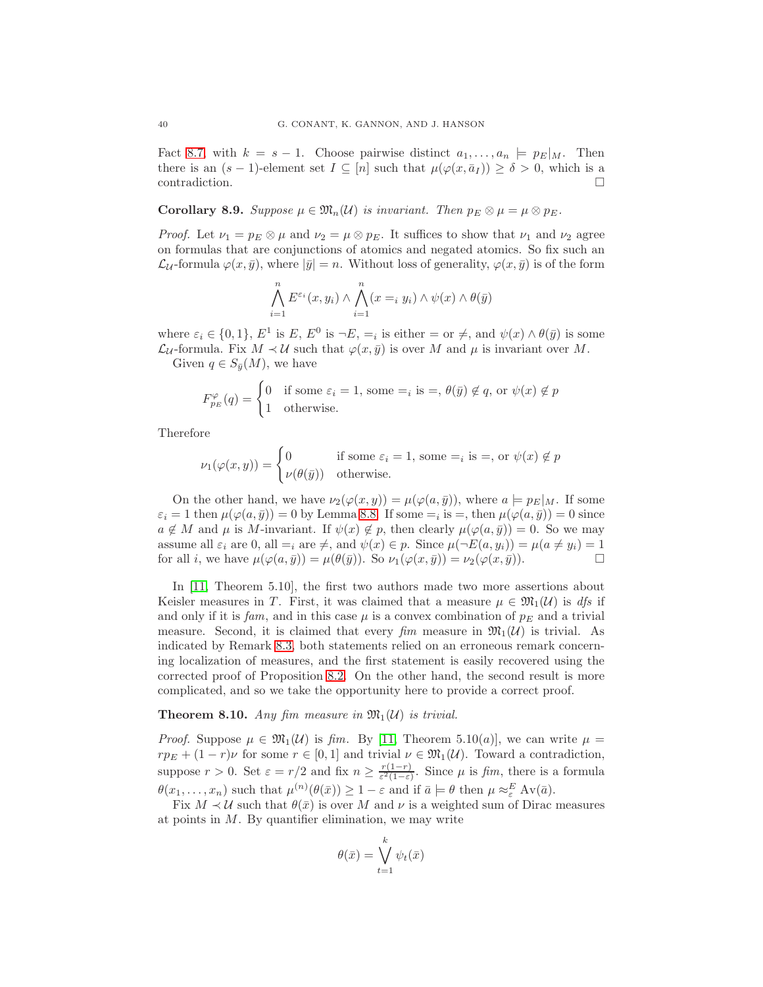Fact [8.7,](#page-38-2) with  $k = s - 1$ . Choose pairwise distinct  $a_1, \ldots, a_n \models p_E|_M$ . Then there is an  $(s-1)$ -element set  $I \subseteq [n]$  such that  $\mu(\varphi(x, \bar{a}_I)) \ge \delta > 0$ , which is a  $\Box$ contradiction.

**Corollary 8.9.** Suppose  $\mu \in \mathfrak{M}_n(\mathcal{U})$  is invariant. Then  $p_E \otimes \mu = \mu \otimes p_E$ .

*Proof.* Let  $\nu_1 = p_E \otimes \mu$  and  $\nu_2 = \mu \otimes p_E$ . It suffices to show that  $\nu_1$  and  $\nu_2$  agree on formulas that are conjunctions of atomics and negated atomics. So fix such an  $\mathcal{L}_{\mathcal{U}}$ -formula  $\varphi(x,\bar{y})$ , where  $|\bar{y}| = n$ . Without loss of generality,  $\varphi(x,\bar{y})$  is of the form

$$
\bigwedge_{i=1}^{n} E^{\varepsilon_i}(x, y_i) \wedge \bigwedge_{i=1}^{n} (x =_i y_i) \wedge \psi(x) \wedge \theta(\bar{y})
$$

where  $\varepsilon_i \in \{0,1\}, E^1$  is  $E, E^0$  is  $\neg E, =_i$  is either  $=$  or  $\neq$ , and  $\psi(x) \wedge \theta(\bar{y})$  is some  $\mathcal{L}_{\mathcal{U}}$ -formula. Fix  $M \prec \mathcal{U}$  such that  $\varphi(x, \bar{y})$  is over M and  $\mu$  is invariant over M. Given  $q \in S_{\bar{y}}(M)$ , we have

$$
F_{p_E}^{\varphi}(q) = \begin{cases} 0 & \text{if some } \varepsilon_i = 1 \text{, some } =_i \text{ is } =_i \theta(\bar{y}) \notin q \text{, or } \psi(x) \notin p \\ 1 & \text{otherwise.} \end{cases}
$$

Therefore

$$
\nu_1(\varphi(x,y)) = \begin{cases} 0 & \text{if some } \varepsilon_i = 1, \text{ some } =_i \text{ is } =, \text{ or } \psi(x) \notin p \\ \nu(\theta(\bar{y})) & \text{otherwise.} \end{cases}
$$

On the other hand, we have  $\nu_2(\varphi(x, y)) = \mu(\varphi(a, \bar{y}))$ , where  $a \models p_E|_M$ . If some  $\varepsilon_i = 1$  then  $\mu(\varphi(a, \bar{y})) = 0$  by Lemma [8.8.](#page-38-3) If some  $=_i$  is  $=$ , then  $\mu(\varphi(a, \bar{y})) = 0$  since  $a \notin M$  and  $\mu$  is M-invariant. If  $\psi(x) \notin p$ , then clearly  $\mu(\varphi(a, \bar{y})) = 0$ . So we may assume all  $\varepsilon_i$  are 0, all  $=$ <sub>i</sub> are  $\neq$ , and  $\psi(x) \in p$ . Since  $\mu(\neg E(a, y_i)) = \mu(a \neq y_i) = 1$ for all *i*, we have  $\mu(\varphi(a, \bar{y})) = \mu(\theta(\bar{y}))$ . So  $\nu_1(\varphi(x, \bar{y})) = \nu_2(\varphi(x, \bar{y}))$ .

In [\[11,](#page-52-10) Theorem 5.10], the first two authors made two more assertions about Keisler measures in T. First, it was claimed that a measure  $\mu \in \mathfrak{M}_1(\mathcal{U})$  is dfs if and only if it is fam, and in this case  $\mu$  is a convex combination of  $p_E$  and a trivial measure. Second, it is claimed that every fim measure in  $\mathfrak{M}_1(\mathcal{U})$  is trivial. As indicated by Remark [8.3,](#page-36-1) both statements relied on an erroneous remark concerning localization of measures, and the first statement is easily recovered using the corrected proof of Proposition [8.2.](#page-36-0) On the other hand, the second result is more complicated, and so we take the opportunity here to provide a correct proof.

<span id="page-39-0"></span>**Theorem 8.10.** Any fim measure in  $\mathfrak{M}_1(\mathcal{U})$  is trivial.

*Proof.* Suppose  $\mu \in \mathfrak{M}_1(\mathcal{U})$  is fim. By [\[11,](#page-52-10) Theorem 5.10(a)], we can write  $\mu =$  $rp_E + (1 - r)\nu$  for some  $r \in [0, 1]$  and trivial  $\nu \in \mathfrak{M}_1(\mathcal{U})$ . Toward a contradiction, suppose  $r > 0$ . Set  $\varepsilon = r/2$  and fix  $n \geq \frac{r(1-r)}{\varepsilon^2(1-\varepsilon)}$  $\frac{r(1-r)}{\varepsilon^2(1-\varepsilon)}$ . Since  $\mu$  is fim, there is a formula  $\theta(x_1,\ldots,x_n)$  such that  $\mu^{(n)}(\theta(\bar{x})) \geq 1-\varepsilon$  and if  $\bar{a} \models \theta$  then  $\mu \approx_{\varepsilon}^E \text{Av}(\bar{a})$ .

Fix  $M \prec U$  such that  $\theta(\bar{x})$  is over M and  $\nu$  is a weighted sum of Dirac measures at points in  $M$ . By quantifier elimination, we may write

$$
\theta(\bar{x}) = \bigvee_{t=1}^{k} \psi_t(\bar{x})
$$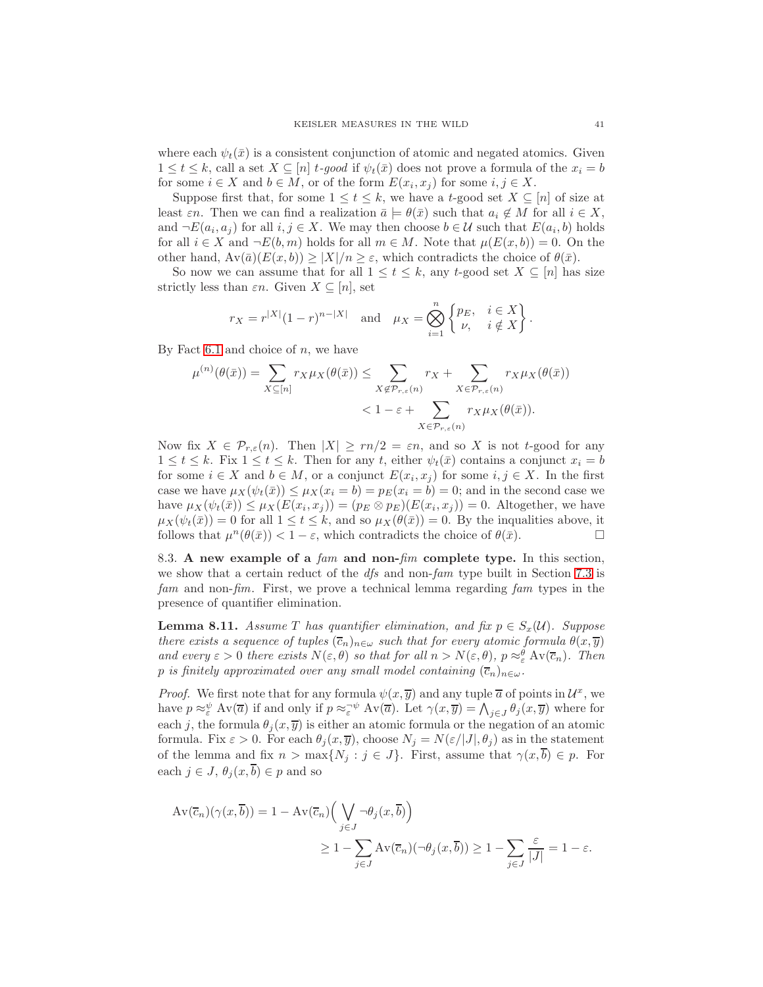where each  $\psi_t(\bar{x})$  is a consistent conjunction of atomic and negated atomics. Given  $1 \leq t \leq k$ , call a set  $X \subseteq [n]$  t-good if  $\psi_t(\bar{x})$  does not prove a formula of the  $x_i = b$ for some  $i \in X$  and  $b \in M$ , or of the form  $E(x_i, x_j)$  for some  $i, j \in X$ .

Suppose first that, for some  $1 \le t \le k$ , we have a t-good set  $X \subseteq [n]$  of size at least  $\varepsilon n$ . Then we can find a realization  $\bar{a} \models \theta(\bar{x})$  such that  $a_i \notin M$  for all  $i \in X$ , and  $\neg E(a_i, a_j)$  for all  $i, j \in X$ . We may then choose  $b \in \mathcal{U}$  such that  $E(a_i, b)$  holds for all  $i \in X$  and  $\neg E(b, m)$  holds for all  $m \in M$ . Note that  $\mu(E(x, b)) = 0$ . On the other hand,  $Av(\bar{a})(E(x, b)) \geq |X|/n \geq \varepsilon$ , which contradicts the choice of  $\theta(\bar{x})$ .

So now we can assume that for all  $1 \le t \le k$ , any  $t$ -good set  $X \subseteq [n]$  has size strictly less than  $\varepsilon n$ . Given  $X \subseteq [n]$ , set

$$
r_X = r^{|X|}(1-r)^{n-|X|} \quad \text{and} \quad \mu_X = \bigotimes_{i=1}^n \begin{Bmatrix} p_E, & i \in X \\ \nu, & i \notin X \end{Bmatrix}.
$$

By Fact [6.1](#page-26-1) and choice of  $n$ , we have

$$
\mu^{(n)}(\theta(\bar{x})) = \sum_{X \subseteq [n]} r_X \mu_X(\theta(\bar{x})) \le \sum_{X \notin \mathcal{P}_{r,\varepsilon}(n)} r_X + \sum_{X \in \mathcal{P}_{r,\varepsilon}(n)} r_X \mu_X(\theta(\bar{x})) \n< 1 - \varepsilon + \sum_{X \in \mathcal{P}_{r,\varepsilon}(n)} r_X \mu_X(\theta(\bar{x})).
$$

Now fix  $X \in \mathcal{P}_{r,\varepsilon}(n)$ . Then  $|X| \geq rn/2 = \varepsilon n$ , and so X is not t-good for any  $1 \le t \le k$ . Fix  $1 \le t \le k$ . Then for any t, either  $\psi_t(\bar{x})$  contains a conjunct  $x_i = b$ for some  $i \in X$  and  $b \in M$ , or a conjunct  $E(x_i, x_j)$  for some  $i, j \in X$ . In the first case we have  $\mu_X(\psi_t(\bar{x})) \leq \mu_X(x_i = b) = p_E(x_i = b) = 0$ ; and in the second case we have  $\mu_X(\psi_t(\bar{x})) \leq \mu_X(E(x_i, x_j)) = (p_E \otimes p_E)(E(x_i, x_j)) = 0$ . Altogether, we have  $\mu_X(\psi_t(\bar{x})) = 0$  for all  $1 \le t \le k$ , and so  $\mu_X(\theta(\bar{x})) = 0$ . By the inqualities above, it follows that  $\mu^n(\theta(\bar{x})) < 1 - \varepsilon$ , which contradicts the choice of  $\theta(\bar{x})$ .

8.3. A new example of a fam and non-fim complete type. In this section, we show that a certain reduct of the  $dfs$  and non-fam type built in Section [7.3](#page-30-1) is fam and non-fim. First, we prove a technical lemma regarding fam types in the presence of quantifier elimination.

<span id="page-40-0"></span>**Lemma 8.11.** Assume T has quantifier elimination, and fix  $p \in S_x(\mathcal{U})$ . Suppose there exists a sequence of tuples  $(\overline{c}_n)_{n\in\omega}$  such that for every atomic formula  $\theta(x,\overline{y})$ and every  $\varepsilon > 0$  there exists  $N(\varepsilon, \theta)$  so that for all  $n > N(\varepsilon, \theta)$ ,  $p \approx_{\varepsilon}^{\theta} Av(\overline{c}_n)$ . Then p is finitely approximated over any small model containing  $(\overline{c}_n)_{n\in\omega}$ .

*Proof.* We first note that for any formula  $\psi(x, \overline{y})$  and any tuple  $\overline{a}$  of points in  $\mathcal{U}^x$ , we have  $p \approx_{\varepsilon}^{\psi} \text{Av}(\overline{a})$  if and only if  $p \approx_{\varepsilon}^{\psi} \text{Av}(\overline{a})$ . Let  $\gamma(x, \overline{y}) = \bigwedge_{j \in J} \theta_j(x, \overline{y})$  where for each j, the formula  $\theta_j(x, \overline{y})$  is either an atomic formula or the negation of an atomic formula. Fix  $\varepsilon > 0$ . For each  $\theta_i(x, \overline{y})$ , choose  $N_i = N(\varepsilon/|J|, \theta_i)$  as in the statement of the lemma and fix  $n > \max\{N_i : j \in J\}$ . First, assume that  $\gamma(x, \overline{b}) \in p$ . For each  $j \in J$ ,  $\theta_i(x, \overline{b}) \in p$  and so

$$
\begin{aligned} \operatorname{Av}(\overline{c}_n)(\gamma(x,\overline{b})) &= 1 - \operatorname{Av}(\overline{c}_n) \Big( \bigvee_{j \in J} \neg \theta_j(x,\overline{b}) \Big) \\ &\ge 1 - \sum_{j \in J} \operatorname{Av}(\overline{c}_n)(\neg \theta_j(x,\overline{b})) \ge 1 - \sum_{j \in J} \frac{\varepsilon}{|J|} = 1 - \varepsilon. \end{aligned}
$$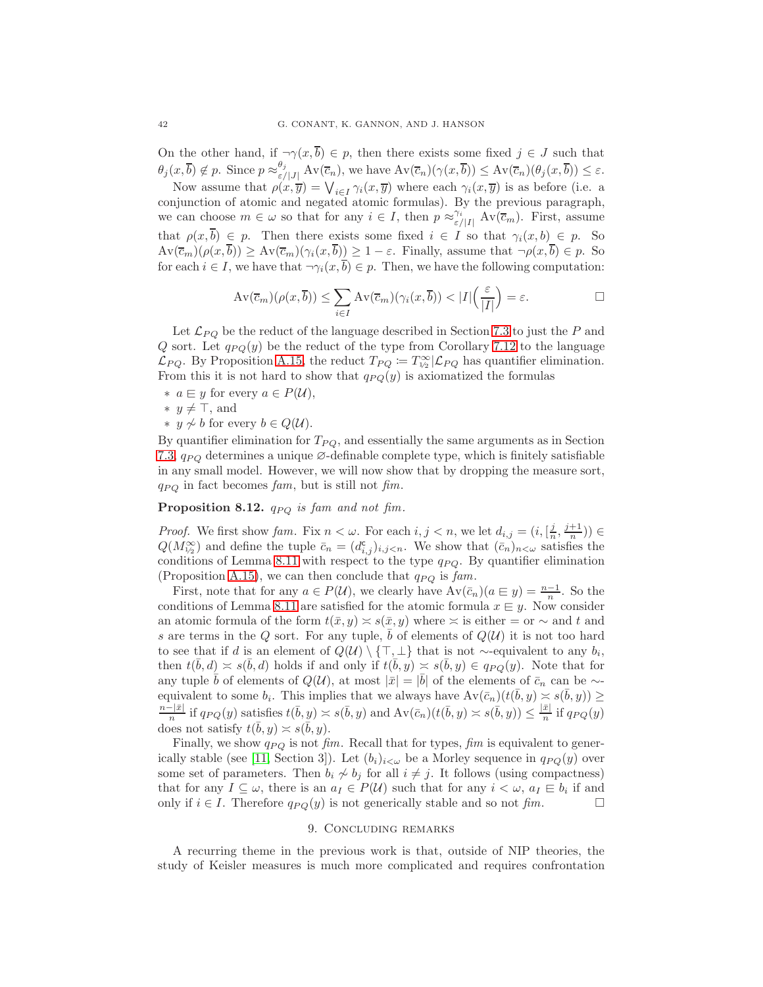On the other hand, if  $\neg \gamma(x, \overline{b}) \in p$ , then there exists some fixed  $j \in J$  such that  $\theta_j(x,\overline{b}) \notin p$ . Since  $p \approx_{\varepsilon/|J|}^{\theta_j} \mathrm{Av}(\overline{c}_n)$ , we have  $\mathrm{Av}(\overline{c}_n)(\gamma(x,\overline{b})) \leq \mathrm{Av}(\overline{c}_n)(\theta_j(x,\overline{b})) \leq \varepsilon$ .

Now assume that  $\rho(x,\overline{y}) = \bigvee_{i\in I} \gamma_i(x,\overline{y})$  where each  $\gamma_i(x,\overline{y})$  is as before (i.e. a conjunction of atomic and negated atomic formulas). By the previous paragraph, we can choose  $m \in \omega$  so that for any  $i \in I$ , then  $p \approx_{\varepsilon/|I|}^{\gamma_i} Av(\overline{c}_m)$ . First, assume that  $\rho(x,\overline{b}) \in p$ . Then there exists some fixed  $i \in I$  so that  $\gamma_i(x,b) \in p$ . So  $Av(\overline{c}_m)(\rho(x,\overline{b})) \ge Av(\overline{c}_m)(\gamma_i(x,\overline{b})) \ge 1-\varepsilon$ . Finally, assume that  $\neg \rho(x,\overline{b}) \in p$ . So for each  $i \in I$ , we have that  $\neg \gamma_i(x, \overline{b}) \in p$ . Then, we have the following computation:

$$
\operatorname{Av}(\overline{c}_m)(\rho(x,\overline{b})) \le \sum_{i \in I} \operatorname{Av}(\overline{c}_m)(\gamma_i(x,\overline{b})) < |I| \left(\frac{\varepsilon}{|I|}\right) = \varepsilon. \qquad \qquad \Box
$$

Let  $\mathcal{L}_{PQ}$  be the reduct of the language described in Section [7.3](#page-30-1) to just the P and Q sort. Let  $q_{PQ}(y)$  be the reduct of the type from Corollary [7.12](#page-33-2) to the language  $\mathcal{L}_{PQ}$ . By Proposition [A.15,](#page-46-0) the reduct  $T_{PQ} := T_{1/2}^{\infty} | \mathcal{L}_{PQ}$  has quantifier elimination. From this it is not hard to show that  $q_{PQ}(y)$  is axiomatized the formulas

- $∗ a ⊕ y for every a ∈ P(U),$
- ∗  $y \neq \top$ , and
- ∗ y  $\neq b$  for every  $b \in Q(\mathcal{U})$ .

By quantifier elimination for  $T_{PQ}$ , and essentially the same arguments as in Section [7.3,](#page-30-1)  $q_{PQ}$  determines a unique  $\varnothing$ -definable complete type, which is finitely satisfiable in any small model. However, we will now show that by dropping the measure sort,  $q_{PQ}$  in fact becomes fam, but is still not fim.

**Proposition 8.12.**  $q_{PQ}$  is fam and not fim.

*Proof.* We first show fam. Fix  $n < \omega$ . For each  $i, j < n$ , we let  $d_{i,j} = (i, \left[\frac{j}{n}, \frac{j+1}{n}\right)) \in$  $Q(M_{1/2}^{\infty})$  and define the tuple  $\bar{c}_n = (d_{i,j}^{\mathsf{c}})_{i,j \leq n}$ . We show that  $(\bar{c}_n)_{n \leq \omega}$  satisfies the conditions of Lemma [8.11](#page-40-0) with respect to the type  $q_{PQ}$ . By quantifier elimination (Proposition [A.15\)](#page-46-0), we can then conclude that  $q_{PQ}$  is fam.

First, note that for any  $a \in P(U)$ , we clearly have  $Av(\bar{c}_n)(a \in y) = \frac{n-1}{n}$ . So the conditions of Lemma [8.11](#page-40-0) are satisfied for the atomic formula  $x \in y$ . Now consider an atomic formula of the form  $t(\bar{x}, y) \approx s(\bar{x}, y)$  where  $\approx$  is either = or  $\sim$  and t and s are terms in the Q sort. For any tuple, b of elements of  $Q(\mathcal{U})$  it is not too hard to see that if d is an element of  $Q(\mathcal{U}) \setminus {\top, \bot}$  that is not ∼-equivalent to any  $b_i$ , then  $t(\bar{b}, d) \asymp s(\bar{b}, d)$  holds if and only if  $t(\bar{b}, y) \asymp s(\bar{b}, y) \in q_{PQ}(y)$ . Note that for any tuple  $\bar{b}$  of elements of  $Q(\mathcal{U})$ , at most  $|\bar{x}| = |\bar{b}|$  of the elements of  $\bar{c}_n$  can be ~equivalent to some  $b_i$ . This implies that we always have  $Av(\bar{c}_n)(t(\bar{b}, y) \approx s(\bar{b}, y)) \ge$  $n-|\bar{x}|$  $\frac{1}{n} \frac{1}{\sqrt{D}}$  if  $q_{PQ}(y)$  satisfies  $t(\bar{b}, y) \asymp s(\bar{b}, y)$  and  $Av(\bar{c}_n)(t(\bar{b}, y) \asymp s(\bar{b}, y)) \leq \frac{|\bar{x}|}{n}$  $\frac{x_1}{n}$  if  $q_{PQ}(y)$ does not satisfy  $t(\bar{b}, y) \approx s(\bar{b}, y)$ .

Finally, we show  $q_{PQ}$  is not fim. Recall that for types, fim is equivalent to gener-ically stable (see [\[11,](#page-52-10) Section 3]). Let  $(b_i)_{i<\omega}$  be a Morley sequence in  $q_{PQ}(y)$  over some set of parameters. Then  $b_i \nsim b_j$  for all  $i \neq j$ . It follows (using compactness) that for any  $I \subseteq \omega$ , there is an  $a_I \in P(\mathcal{U})$  such that for any  $i < \omega$ ,  $a_I \in b_i$  if and only if  $i \in I$ . Therefore  $q_{PQ}(y)$  is not generically stable and so not fim.

#### 9. Concluding remarks

<span id="page-41-0"></span>A recurring theme in the previous work is that, outside of NIP theories, the study of Keisler measures is much more complicated and requires confrontation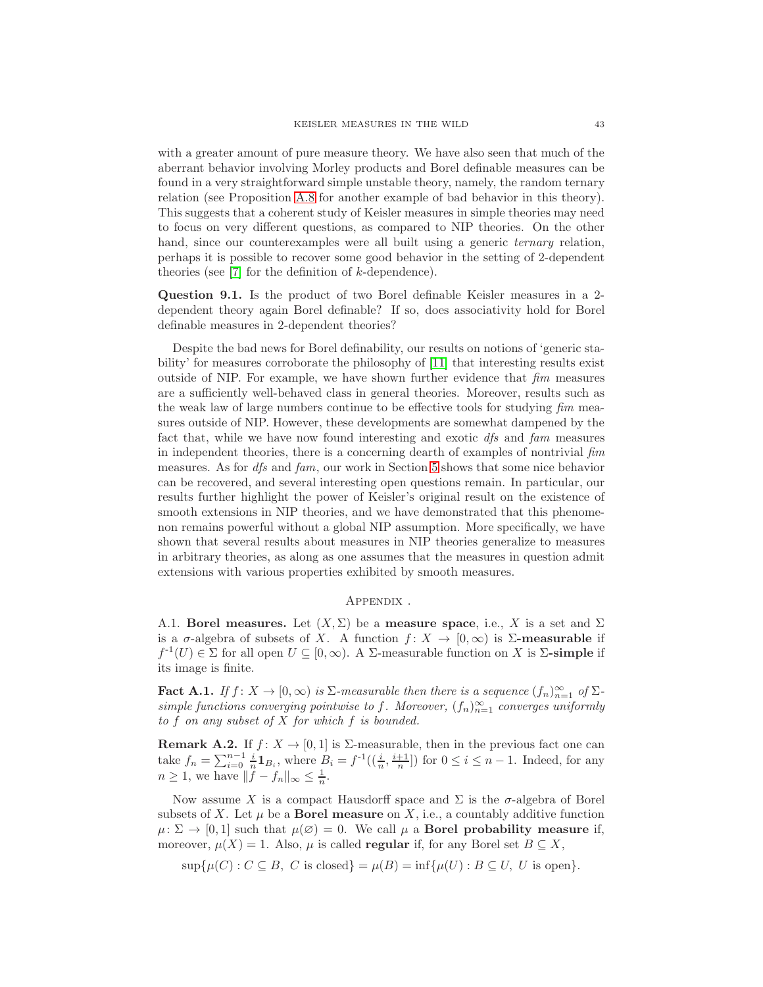with a greater amount of pure measure theory. We have also seen that much of the aberrant behavior involving Morley products and Borel definable measures can be found in a very straightforward simple unstable theory, namely, the random ternary relation (see Proposition [A.8](#page-44-0) for another example of bad behavior in this theory). This suggests that a coherent study of Keisler measures in simple theories may need to focus on very different questions, as compared to NIP theories. On the other hand, since our counterexamples were all built using a generic *ternary* relation, perhaps it is possible to recover some good behavior in the setting of 2-dependent theories (see [\[7\]](#page-52-24) for the definition of k-dependence).

Question 9.1. Is the product of two Borel definable Keisler measures in a 2 dependent theory again Borel definable? If so, does associativity hold for Borel definable measures in 2-dependent theories?

Despite the bad news for Borel definability, our results on notions of 'generic stability' for measures corroborate the philosophy of [\[11\]](#page-52-10) that interesting results exist outside of NIP. For example, we have shown further evidence that  $\lim$  measures are a sufficiently well-behaved class in general theories. Moreover, results such as the weak law of large numbers continue to be effective tools for studying  $\lim$  measures outside of NIP. However, these developments are somewhat dampened by the fact that, while we have now found interesting and exotic dfs and fam measures in independent theories, there is a concerning dearth of examples of nontrivial fim measures. As for dfs and fam, our work in Section [5](#page-20-0) shows that some nice behavior can be recovered, and several interesting open questions remain. In particular, our results further highlight the power of Keisler's original result on the existence of smooth extensions in NIP theories, and we have demonstrated that this phenomenon remains powerful without a global NIP assumption. More specifically, we have shown that several results about measures in NIP theories generalize to measures in arbitrary theories, as along as one assumes that the measures in question admit extensions with various properties exhibited by smooth measures.

#### Appendix .

<span id="page-42-1"></span><span id="page-42-0"></span>A.1. Borel measures. Let  $(X, \Sigma)$  be a measure space, i.e., X is a set and  $\Sigma$ is a  $\sigma$ -algebra of subsets of X. A function  $f: X \to [0, \infty)$  is  $\Sigma$ -measurable if  $f^{-1}(U) \in \Sigma$  for all open  $U \subseteq [0, \infty)$ . A  $\Sigma$ -measurable function on X is  $\Sigma$ -simple if its image is finite.

<span id="page-42-2"></span>**Fact A.1.** If  $f: X \to [0, \infty)$  is  $\Sigma$ -measurable then there is a sequence  $(f_n)_{n=1}^{\infty}$  of  $\Sigma$ simple functions converging pointwise to f. Moreover,  $(f_n)_{n=1}^{\infty}$  converges uniformly to f on any subset of X for which f is bounded.

**Remark A.2.** If  $f: X \to [0,1]$  is  $\Sigma$ -measurable, then in the previous fact one can take  $f_n = \sum_{i=0}^{n-1} \frac{i}{n} \mathbf{1}_{B_i}$ , where  $B_i = f^{-1}((\frac{i}{n}, \frac{i+1}{n}])$  for  $0 \le i \le n-1$ . Indeed, for any  $n \geq 1$ , we have  $||f - f_n||_{\infty} \leq \frac{1}{n}$ .

Now assume X is a compact Hausdorff space and  $\Sigma$  is the  $\sigma$ -algebra of Borel subsets of X. Let  $\mu$  be a **Borel measure** on X, i.e., a countably additive function  $\mu: \Sigma \to [0,1]$  such that  $\mu(\emptyset) = 0$ . We call  $\mu$  a **Borel probability measure if,** moreover,  $\mu(X) = 1$ . Also,  $\mu$  is called **regular** if, for any Borel set  $B \subseteq X$ ,

 $\sup\{\mu(C): C \subseteq B, C \text{ is closed}\} = \mu(B) = \inf\{\mu(U): B \subseteq U, U \text{ is open}\}.$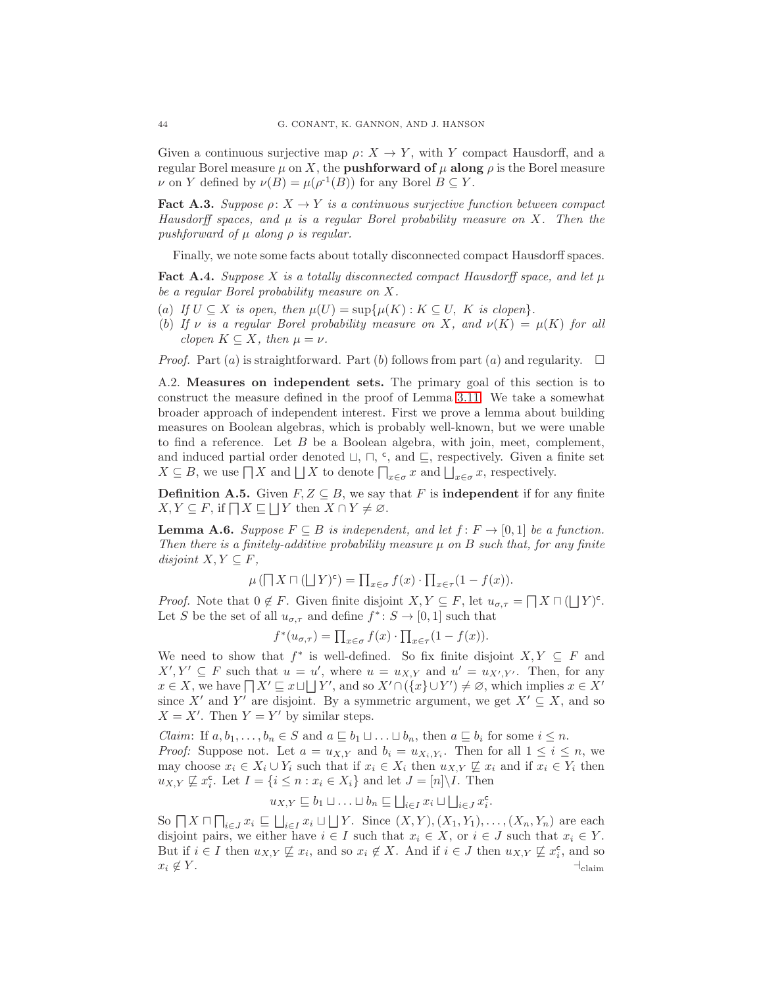Given a continuous surjective map  $\rho: X \to Y$ , with Y compact Hausdorff, and a regular Borel measure  $\mu$  on X, the **pushforward of**  $\mu$  **along**  $\rho$  is the Borel measure  $\nu$  on Y defined by  $\nu(B) = \mu(\rho^{-1}(B))$  for any Borel  $B \subseteq Y$ .

<span id="page-43-1"></span>**Fact A.3.** Suppose  $\rho: X \to Y$  is a continuous surjective function between compact Hausdorff spaces, and  $\mu$  is a regular Borel probability measure on X. Then the pushforward of  $\mu$  along  $\rho$  is regular.

Finally, we note some facts about totally disconnected compact Hausdorff spaces.

<span id="page-43-0"></span>**Fact A.4.** Suppose X is a totally disconnected compact Hausdorff space, and let  $\mu$ be a regular Borel probability measure on X.

- (a) If  $U \subseteq X$  is open, then  $\mu(U) = \sup \{ \mu(K) : K \subseteq U, K \text{ is clopen} \}.$
- (b) If  $\nu$  is a regular Borel probability measure on X, and  $\nu(K) = \mu(K)$  for all clopen  $K \subseteq X$ , then  $\mu = \nu$ .

<span id="page-43-2"></span>*Proof.* Part (a) is straightforward. Part (b) follows from part (a) and regularity.  $\square$ 

A.2. Measures on independent sets. The primary goal of this section is to construct the measure defined in the proof of Lemma [3.11.](#page-16-2) We take a somewhat broader approach of independent interest. First we prove a lemma about building measures on Boolean algebras, which is probably well-known, but we were unable to find a reference. Let B be a Boolean algebra, with join, meet, complement, and induced partial order denoted  $\sqcup$ ,  $\sqcap$ ,  $\in$ , and  $\sqsubseteq$ , respectively. Given a finite set  $X \subseteq B$ , we use  $\prod X$  and  $\bigsqcup X$  to denote  $\prod_{x \in \sigma} x$  and  $\bigsqcup_{x \in \sigma} x$ , respectively.

**Definition A.5.** Given  $F, Z \subseteq B$ , we say that F is **independent** if for any finite  $X, Y \subseteq F$ , if  $\Box X \sqsubseteq \Box Y$  then  $X \cap Y \neq \emptyset$ .

<span id="page-43-3"></span>**Lemma A.6.** Suppose  $F \subseteq B$  is independent, and let  $f: F \to [0, 1]$  be a function. Then there is a finitely-additive probability measure  $\mu$  on B such that, for any finite disjoint  $X, Y \subseteq F$ ,

$$
\mu\left(\prod X\sqcap (\bigsqcup Y)^{\mathsf{c}}\right)=\prod_{x\in\sigma}f(x)\cdot\prod_{x\in\tau}(1-f(x)).
$$

*Proof.* Note that  $0 \notin F$ . Given finite disjoint  $X, Y \subseteq F$ , let  $u_{\sigma, \tau} = \bigcap X \sqcap (\bigcup Y)^c$ . Let S be the set of all  $u_{\sigma,\tau}$  and define  $f^*: S \to [0,1]$  such that

$$
f^*(u_{\sigma,\tau}) = \prod_{x \in \sigma} f(x) \cdot \prod_{x \in \tau} (1 - f(x)).
$$

We need to show that  $f^*$  is well-defined. So fix finite disjoint  $X, Y \subseteq F$  and  $X', Y' \subseteq F$  such that  $u = u'$ , where  $u = u_{X,Y}$  and  $u' = u_{X',Y'}$ . Then, for any  $x \in X$ , we have  $\prod X' \sqsubseteq x \sqcup \bigsqcup Y'$ , and so  $X' \cap (\{x\} \cup Y') \neq \emptyset$ , which implies  $x \in X'$ since X' and Y' are disjoint. By a symmetric argument, we get  $X' \subseteq X$ , and so  $X = X'$ . Then  $Y = Y'$  by similar steps.

*Claim*: If  $a, b_1, \ldots, b_n \in S$  and  $a \sqsubseteq b_1 \sqcup \ldots \sqcup b_n$ , then  $a \sqsubseteq b_i$  for some  $i \leq n$ . *Proof:* Suppose not. Let  $a = u_{X,Y}$  and  $b_i = u_{X_i,Y_i}$ . Then for all  $1 \leq i \leq n$ , we may choose  $x_i \in X_i \cup Y_i$  such that if  $x_i \in X_i$  then  $u_{X,Y} \not\sqsubseteq x_i$  and if  $x_i \in Y_i$  then  $u_{X,Y} \not\sqsubseteq x_i^{\mathsf{c}}$ . Let  $I = \{i \leq n : x_i \in X_i\}$  and let  $J = [n] \backslash I$ . Then

$$
u_{X,Y} \sqsubseteq b_1 \sqcup \ldots \sqcup b_n \sqsubseteq \bigsqcup_{i \in I} x_i \sqcup \bigsqcup_{i \in J} x_i^{\mathsf{c}}.
$$

So  $\prod X \sqcap \prod_{i \in J} x_i \sqsubseteq \bigsqcup_{i \in I} x_i \sqcup \bigsqcup Y$ . Since  $(X, Y), (X_1, Y_1), \ldots, (X_n, Y_n)$  are each disjoint pairs, we either have  $i \in I$  such that  $x_i \in X$ , or  $i \in J$  such that  $x_i \in Y$ . But if  $i \in I$  then  $u_{X,Y} \not\sqsubseteq x_i$ , and so  $x_i \not\in X$ . And if  $i \in J$  then  $u_{X,Y} \not\sqsubseteq x_i^{\mathsf{c}}$ , and so  $x_i \notin Y$ .  $\dashv_{\text{claim}}$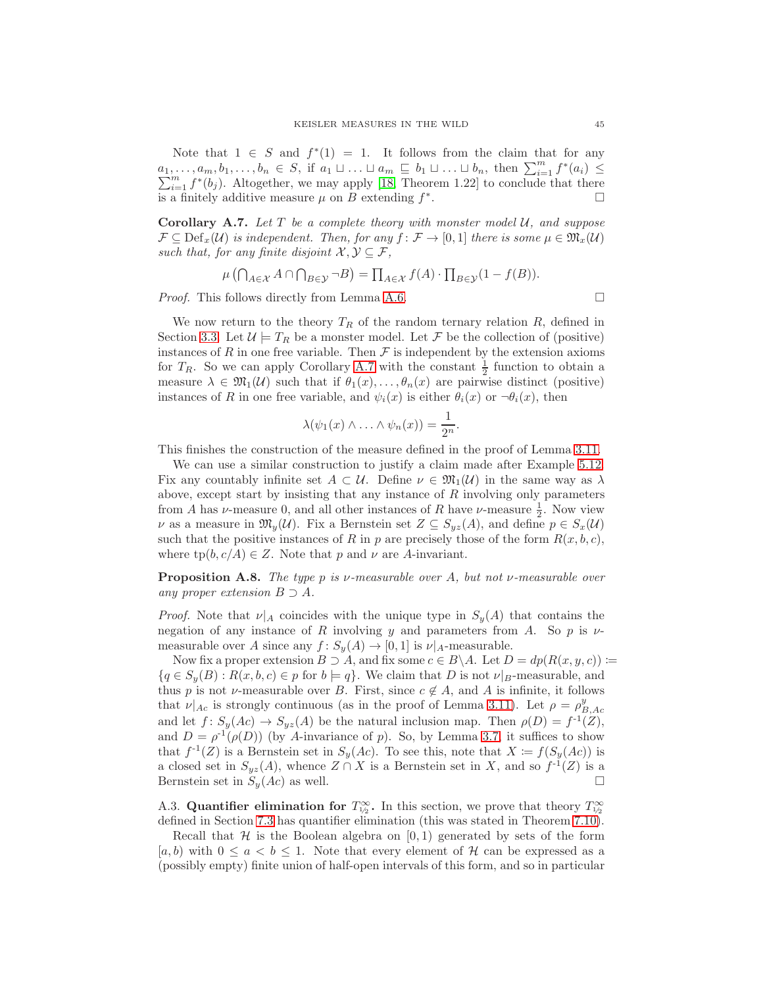Note that  $1 \in S$  and  $f^*(1) = 1$ . It follows from the claim that for any  $a_1, \ldots, a_m, b_1, \ldots, b_n \in S$ , if  $a_1 \sqcup \ldots \sqcup a_m \sqsubseteq b_1 \sqcup \ldots \sqcup b_n$ , then  $\sum_{i=1}^m f^*(a_i) \leq$  $\sum_{i=1}^{m} f^{*}(b_i)$ . Altogether, we may apply [\[18,](#page-52-25) Theorem 1.22] to conclude that there is a finitely additive measure  $\mu$  on B extending  $f^*$ . В последните последните под на приема в село в село в село в село в село в село в село в село в село в село <br>В село в село в село в село в село в село в село в село в село в село в село в село в село в село в село в сел

<span id="page-44-2"></span>**Corollary A.7.** Let T be a complete theory with monster model  $U$ , and suppose  $\mathcal{F} \subseteq \mathrm{Def}_{x}(\mathcal{U})$  is independent. Then, for any  $f : \mathcal{F} \to [0,1]$  there is some  $\mu \in \mathfrak{M}_{x}(\mathcal{U})$ such that, for any finite disjoint  $\mathcal{X}, \mathcal{Y} \subseteq \mathcal{F}$ ,

$$
\mu\left(\bigcap_{A\in\mathcal{X}}A\cap\bigcap_{B\in\mathcal{Y}}\neg B\right)=\prod_{A\in\mathcal{X}}f(A)\cdot\prod_{B\in\mathcal{Y}}(1-f(B)).
$$

*Proof.* This follows directly from Lemma [A.6.](#page-43-3)

We now return to the theory  $T_R$  of the random ternary relation  $R$ , defined in Section [3.3.](#page-14-2) Let  $\mathcal{U} \models T_R$  be a monster model. Let F be the collection of (positive) instances of R in one free variable. Then  $\mathcal F$  is independent by the extension axioms for  $T_R$ . So we can apply Corollary [A.7](#page-44-2) with the constant  $\frac{1}{2}$  function to obtain a measure  $\lambda \in \mathfrak{M}_1(\mathcal{U})$  such that if  $\theta_1(x), \ldots, \theta_n(x)$  are pairwise distinct (positive) instances of R in one free variable, and  $\psi_i(x)$  is either  $\theta_i(x)$  or  $\neg \theta_i(x)$ , then

$$
\lambda(\psi_1(x)\wedge\ldots\wedge\psi_n(x))=\frac{1}{2^n}.
$$

This finishes the construction of the measure defined in the proof of Lemma [3.11.](#page-16-2)

We can use a similar construction to justify a claim made after Example [5.12.](#page-23-2) Fix any countably infinite set  $A \subset \mathcal{U}$ . Define  $\nu \in \mathfrak{M}_1(\mathcal{U})$  in the same way as  $\lambda$ above, except start by insisting that any instance of  $R$  involving only parameters from A has  $\nu$ -measure 0, and all other instances of R have  $\nu$ -measure  $\frac{1}{2}$ . Now view  $\nu$  as a measure in  $\mathfrak{M}_y(\mathcal{U})$ . Fix a Bernstein set  $Z \subseteq S_{yz}(A)$ , and define  $p \in S_x(\mathcal{U})$ such that the positive instances of R in p are precisely those of the form  $R(x, b, c)$ , where  $tp(b, c/A) \in Z$ . Note that p and  $\nu$  are A-invariant.

<span id="page-44-0"></span>**Proposition A.8.** The type p is v-measurable over A, but not v-measurable over any proper extension  $B \supset A$ .

*Proof.* Note that  $\nu|_A$  coincides with the unique type in  $S_y(A)$  that contains the negation of any instance of R involving y and parameters from A. So p is  $\nu$ measurable over A since any  $f: S_y(A) \to [0,1]$  is  $\nu|_A$ -measurable.

Now fix a proper extension  $B \supset A$ , and fix some  $c \in B \backslash A$ . Let  $D = dp(R(x, y, c)) :=$  ${q \in S_y(B) : R(x, b, c) \in p \text{ for } b \models q}.$  We claim that D is not  $\nu|_B$ -measurable, and thus p is not v-measurable over B. First, since  $c \notin A$ , and A is infinite, it follows that  $\nu|_{Ac}$  is strongly continuous (as in the proof of Lemma [3.11\)](#page-16-2). Let  $\rho = \rho_{B,Ac}^y$ and let  $f: S_y(Ac) \to S_{yz}(A)$  be the natural inclusion map. Then  $\rho(D) = f^{-1}(Z)$ , and  $D = \rho^{-1}(\rho(D))$  (by A-invariance of p). So, by Lemma [3.7,](#page-13-0) it suffices to show that  $f^{-1}(Z)$  is a Bernstein set in  $S_y(Ac)$ . To see this, note that  $X := f(S_y(Ac))$  is a closed set in  $S_{yz}(A)$ , whence  $Z \cap X$  is a Bernstein set in X, and so  $f^{-1}(Z)$  is a Bernstein set in  $S_y(Ac)$  as well.

<span id="page-44-1"></span>A.3. Quantifier elimination for  $T_{\nu_2}^{\infty}$ . In this section, we prove that theory  $T_{\nu_2}^{\infty}$ defined in Section [7.3](#page-30-1) has quantifier elimination (this was stated in Theorem [7.10\)](#page-33-3).

Recall that  $H$  is the Boolean algebra on  $[0,1)$  generated by sets of the form  $[a, b]$  with  $0 \le a < b \le 1$ . Note that every element of H can be expressed as a (possibly empty) finite union of half-open intervals of this form, and so in particular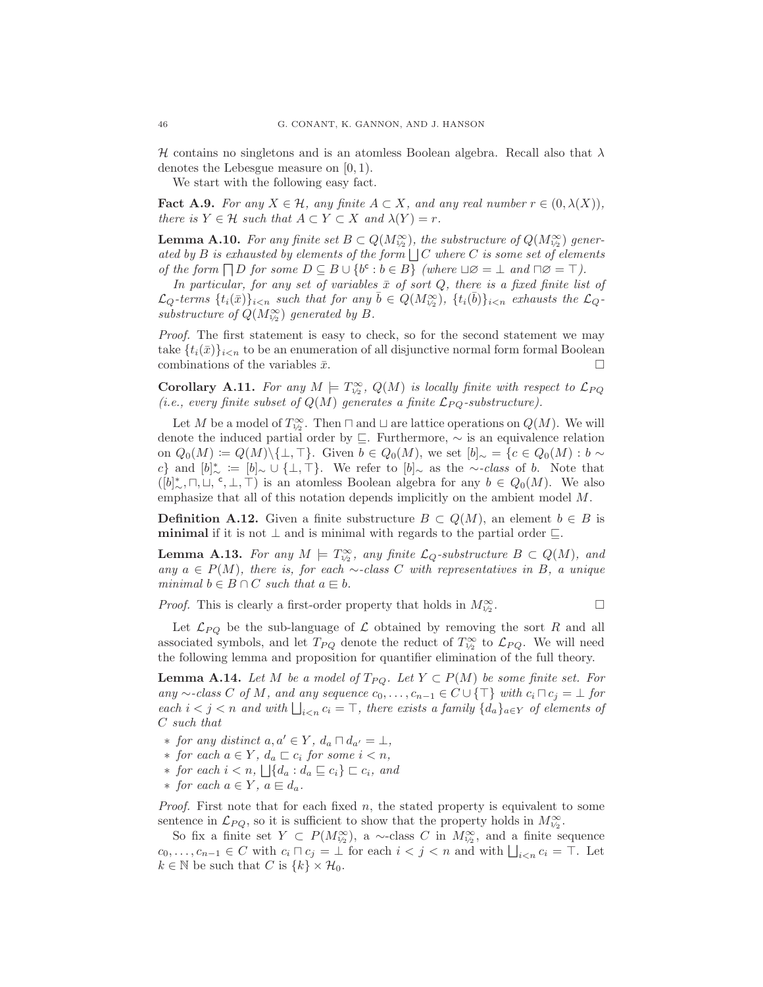H contains no singletons and is an atomless Boolean algebra. Recall also that  $\lambda$ denotes the Lebesgue measure on [0, 1).

We start with the following easy fact.

**Fact A.9.** For any  $X \in \mathcal{H}$ , any finite  $A \subset X$ , and any real number  $r \in (0, \lambda(X)),$ there is  $Y \in \mathcal{H}$  such that  $A \subset Y \subset X$  and  $\lambda(Y) = r$ .

<span id="page-45-2"></span>**Lemma A.10.** For any finite set  $B \subset Q(M_{\nu_2}^{\infty})$ , the substructure of  $Q(M_{\nu_2}^{\infty})$  generated by B is exhausted by elements of the form  $\Box C$  where C is some set of elements of the form  $\Box D$  for some  $D \subseteq B \cup \{b^c : b \in B\}$  (where  $\Box \varnothing = \bot$  and  $\Box \varnothing = \top$ ).

In particular, for any set of variables  $\bar{x}$  of sort Q, there is a fixed finite list of  $\mathcal{L}_Q$ -terms  $\{t_i(\bar{x})\}_{i\leq n}$  such that for any  $\bar{b} \in Q(M_{1/2}^{\infty})$ ,  $\{t_i(\bar{b})\}_{i\leq n}$  exhausts the  $\mathcal{L}_Q$ substructure of  $Q(M_{1/2}^{\infty})$  generated by B.

Proof. The first statement is easy to check, so for the second statement we may take  $\{t_i(\bar{x})\}_{i\leq n}$  to be an enumeration of all disjunctive normal form formal Boolean combinations of the variables  $\bar{x}$ .

**Corollary A.11.** For any  $M \models T^{\infty}_{1/2}$ ,  $Q(M)$  is locally finite with respect to  $\mathcal{L}_{PQ}$ (i.e., every finite subset of  $Q(M)$  generates a finite  $\mathcal{L}_{PQ}$ -substructure).

Let M be a model of  $T^{\infty}_{\nu_2}$ . Then  $\sqcap$  and  $\sqcup$  are lattice operations on  $Q(M)$ . We will denote the induced partial order by ⊑. Furthermore, ∼ is an equivalence relation on  $Q_0(M) \coloneqq Q(M) \setminus \{\bot, \top\}.$  Given  $b \in Q_0(M)$ , we set  $[b]_{\sim} = \{c \in Q_0(M) : b \sim$ c} and  $[b]_\sim^* := [b]_\sim \cup \{\perp,\top\}.$  We refer to  $[b]_\sim$  as the ∼-class of b. Note that  $([b]_{\sim}^*, \sqcap, \sqcup, \lvert \cdot, \perp, \top)$  is an atomless Boolean algebra for any  $b \in Q_0(M)$ . We also emphasize that all of this notation depends implicitly on the ambient model M.

**Definition A.12.** Given a finite substructure  $B \subset Q(M)$ , an element  $b \in B$  is **minimal** if it is not  $\perp$  and is minimal with regards to the partial order  $\sqsubseteq$ .

<span id="page-45-0"></span>**Lemma A.13.** For any  $M \models T^{\infty}_{1/2}$ , any finite  $\mathcal{L}_Q$ -substructure  $B \subset Q(M)$ , and any  $a \in P(M)$ , there is, for each ∼-class C with representatives in B, a unique minimal  $b \in B \cap C$  such that  $a \in b$ .

*Proof.* This is clearly a first-order property that holds in  $M_{\frac{1}{2}}^{\infty}$ . . — Пример, на пример, на пример, на пример, на пример, на пример, на пример, на пример, на пример, на пример,<br>В село на пример, на пример, на пример, на пример, на пример, на пример, на пример, на пример, на пример, на п

$$
\qquad \qquad \Box
$$

Let  $\mathcal{L}_{PQ}$  be the sub-language of  $\mathcal L$  obtained by removing the sort R and all associated symbols, and let  $T_{PQ}$  denote the reduct of  $T_{1/2}^{\infty}$  to  $\mathcal{L}_{PQ}$ . We will need the following lemma and proposition for quantifier elimination of the full theory.

<span id="page-45-1"></span>**Lemma A.14.** Let M be a model of  $T_{PQ}$ . Let  $Y \subset P(M)$  be some finite set. For any ∼-class C of M, and any sequence  $c_0, \ldots, c_{n-1} \in C \cup \{\top\}$  with  $c_i \sqcap c_j = \bot$  for each  $i < j < n$  and with  $\bigsqcup_{i < n} c_i = \top$ , there exists a family  $\{d_a\}_{a \in Y}$  of elements of C such that

- *∗* for any distinct  $a, a' \in Y$ ,  $d_a ∩ d_{a'} = ⊥$ ,
- $∗$  for each  $a ∈ Y$ ,  $d_a ⊂ c_i$  for some  $i < n$ ,
- $\ast$  for each  $i < n$ ,  $\bigcup \{d_a : d_a \sqsubseteq c_i\} \sqsubset c_i$ , and
- ∗ for each  $a \in Y$ ,  $a \in d_a$ .

*Proof.* First note that for each fixed  $n$ , the stated property is equivalent to some sentence in  $\mathcal{L}_{PQ}$ , so it is sufficient to show that the property holds in  $M_{\nu_2}^{\infty}$ .

So fix a finite set  $Y \subset P(M_{\nu_2}^{\infty})$ , a ~-class C in  $M_{\nu_2}^{\infty}$ , and a finite sequence  $c_0, \ldots, c_{n-1} \in C$  with  $c_i \sqcap c_j = \bot$  for each  $i < j < n$  and with  $\bigsqcup_{i < n} c_i = \top$ . Let  $k \in \mathbb{N}$  be such that C is  $\{k\} \times \mathcal{H}_0$ .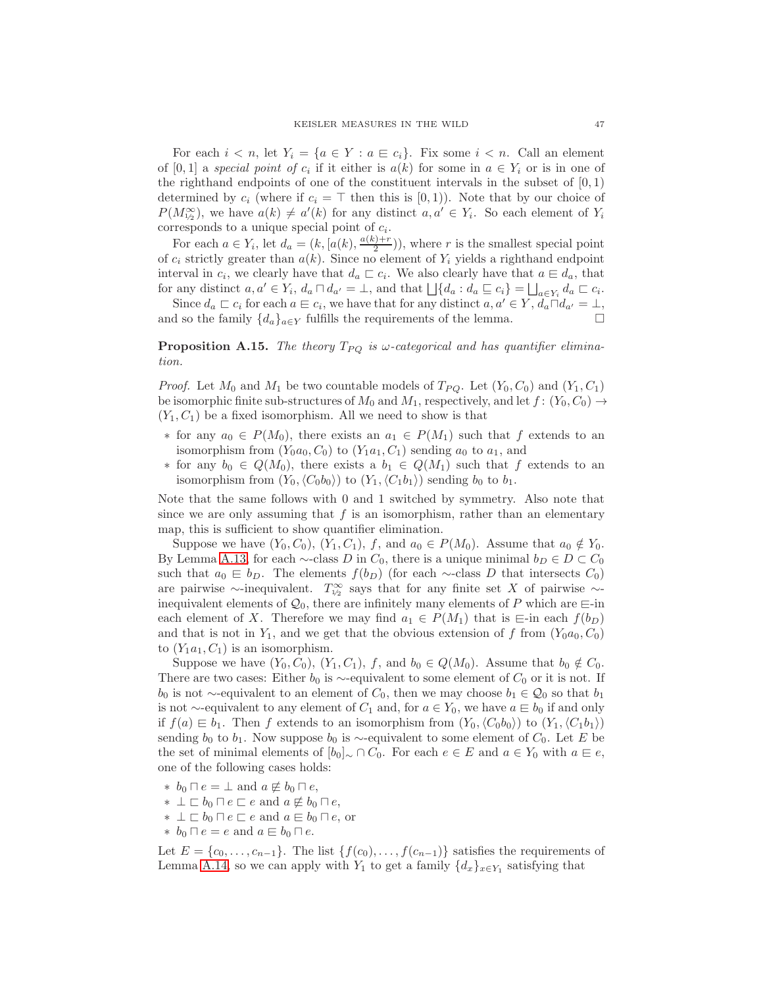For each  $i < n$ , let  $Y_i = \{a \in Y : a \in c_i\}$ . Fix some  $i < n$ . Call an element of [0, 1] a special point of  $c_i$  if it either is  $a(k)$  for some in  $a \in Y_i$  or is in one of the righthand endpoints of one of the constituent intervals in the subset of  $[0,1)$ determined by  $c_i$  (where if  $c_i = \top$  then this is [0, 1)). Note that by our choice of  $P(M_{1/2}^{\infty})$ , we have  $a(k) \neq a'(k)$  for any distinct  $a, a' \in Y_i$ . So each element of  $Y_i$ corresponds to a unique special point of  $c_i$ .

For each  $a \in Y_i$ , let  $d_a = (k, [a(k), \frac{a(k)+r}{2}]$  $\binom{p+r}{2}$ , where r is the smallest special point of  $c_i$  strictly greater than  $a(k)$ . Since no element of  $Y_i$  yields a righthand endpoint interval in  $c_i$ , we clearly have that  $d_a \sqsubset c_i$ . We also clearly have that  $a \sqsubset d_a$ , that for any distinct  $a, a' \in Y_i$ ,  $d_a \sqcap d_{a'} = \bot$ , and that  $\bigcup \{d_a : d_a \sqsubseteq c_i\} = \bigcup_{a \in Y_i} d_a \sqsubset c_i$ .

Since  $d_a \sqsubset c_i$  for each  $a \in c_i$ , we have that for any distinct  $a, a' \in Y$ ,  $\widetilde{d_a \sqcap d_{a'}} = \bot$ , and so the family  $\{d_a\}_{a\in Y}$  fulfills the requirements of the lemma.

# <span id="page-46-0"></span>**Proposition A.15.** The theory  $T_{PQ}$  is  $\omega$ -categorical and has quantifier elimination.

*Proof.* Let  $M_0$  and  $M_1$  be two countable models of  $T_{PQ}$ . Let  $(Y_0, C_0)$  and  $(Y_1, C_1)$ be isomorphic finite sub-structures of  $M_0$  and  $M_1$ , respectively, and let  $f: (Y_0, C_0) \rightarrow$  $(Y_1, C_1)$  be a fixed isomorphism. All we need to show is that

- $∗$  for any  $a_0 ∈ P(M_0)$ , there exists an  $a_1 ∈ P(M_1)$  such that f extends to an isomorphism from  $(Y_0a_0, C_0)$  to  $(Y_1a_1, C_1)$  sending  $a_0$  to  $a_1$ , and
- ∗ for any  $b_0 \text{ } \in \text{ } Q(M_0)$ , there exists a  $b_1 \text{ } \in \text{ } Q(M_1)$  such that f extends to an isomorphism from  $(Y_0,\langle C_0b_0\rangle)$  to  $(Y_1,\langle C_1b_1\rangle)$  sending  $b_0$  to  $b_1$ .

Note that the same follows with 0 and 1 switched by symmetry. Also note that since we are only assuming that  $f$  is an isomorphism, rather than an elementary map, this is sufficient to show quantifier elimination.

Suppose we have  $(Y_0, C_0)$ ,  $(Y_1, C_1)$ , f, and  $a_0 \in P(M_0)$ . Assume that  $a_0 \notin Y_0$ . By Lemma [A.13,](#page-45-0) for each  $\sim$ -class D in  $C_0$ , there is a unique minimal  $b_D \in D \subset C_0$ such that  $a_0 \in b_D$ . The elements  $f(b_D)$  (for each ∼-class D that intersects  $C_0$ ) are pairwise ∼-inequivalent.  $T^{\infty}_{\nu_2}$  says that for any finite set X of pairwise ∼inequivalent elements of  $\mathcal{Q}_0$ , there are infinitely many elements of P which are  $\equiv$ -in each element of X. Therefore we may find  $a_1 \in P(M_1)$  that is  $\equiv$ -in each  $f(b_D)$ and that is not in  $Y_1$ , and we get that the obvious extension of f from  $(Y_0a_0, C_0)$ to  $(Y_1a_1, C_1)$  is an isomorphism.

Suppose we have  $(Y_0, C_0)$ ,  $(Y_1, C_1)$ , f, and  $b_0 \in Q(M_0)$ . Assume that  $b_0 \notin C_0$ . There are two cases: Either  $b_0$  is ∼-equivalent to some element of  $C_0$  or it is not. If  $b_0$  is not ∼-equivalent to an element of  $C_0$ , then we may choose  $b_1 \in \mathcal{Q}_0$  so that  $b_1$ is not ∼-equivalent to any element of  $C_1$  and, for  $a \in Y_0$ , we have  $a \in b_0$  if and only if  $f(a) \equiv b_1$ . Then f extends to an isomorphism from  $(Y_0, \langle C_0b_0 \rangle)$  to  $(Y_1, \langle C_1b_1 \rangle)$ sending  $b_0$  to  $b_1$ . Now suppose  $b_0$  is ∼-equivalent to some element of  $C_0$ . Let E be the set of minimal elements of  $[b_0] \sim \cap C_0$ . For each  $e \in E$  and  $a \in Y_0$  with  $a \in e$ , one of the following cases holds:

- ∗  $b_0 \sqcap e = \bot$  and  $a \not\equiv b_0 \sqcap e$ ,
- ∗  $\perp$   $\sqsubset$   $b_0 \sqcap e \sqsubset e$  and  $a \not\equiv b_0 \sqcap e$ ,
- ∗  $\perp$   $\sqsubset$   $b_0 \sqcap e \sqsubset e$  and  $a \in b_0 \sqcap e$ , or
- ∗  $b_0 \square e = e$  and  $a \sqsubseteq b_0 \square e$ .

Let  $E = \{c_0, \ldots, c_{n-1}\}\$ . The list  $\{f(c_0), \ldots, f(c_{n-1})\}$  satisfies the requirements of Lemma [A.14,](#page-45-1) so we can apply with  $Y_1$  to get a family  $\{d_x\}_{x \in Y_1}$  satisfying that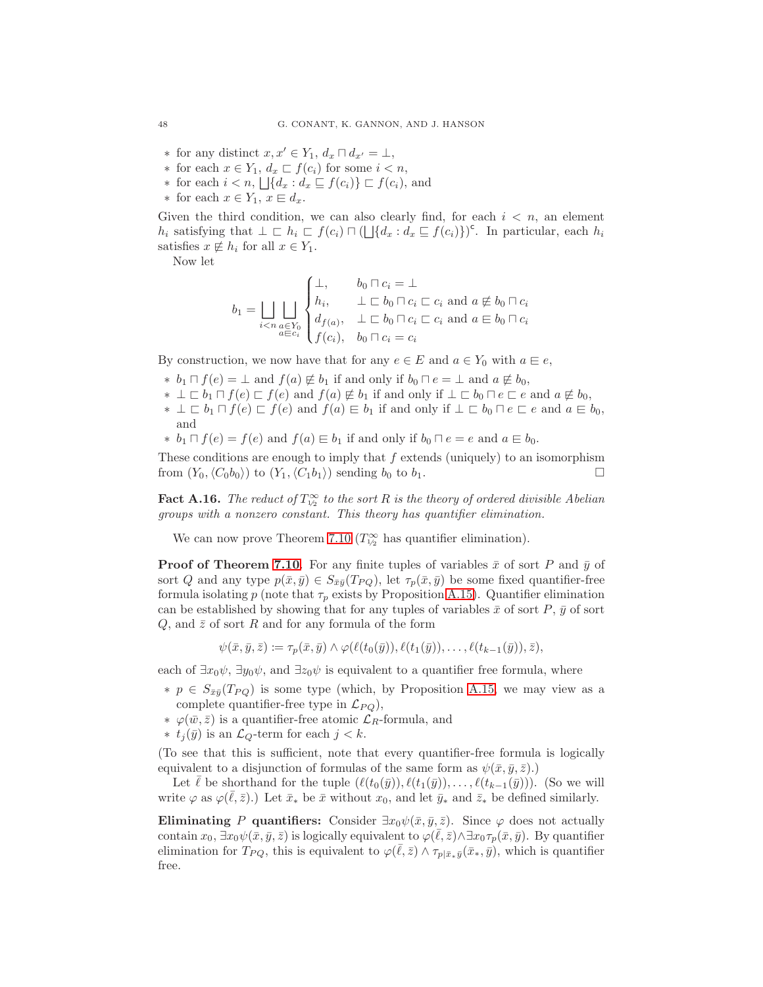- ∗ for any distinct  $x, x' \in Y_1$ ,  $d_x \sqcap d_{x'} = \bot$ ,
- ∗ for each  $x \in Y_1$ ,  $d_x \sqsubset f(c_i)$  for some  $i < n$ ,
- ∗ for each  $i < n$ ,  $\bigcup \{d_x : d_x \sqsubseteq f(c_i)\}$  ⊏  $f(c_i)$ , and
- ∗ for each  $x \in Y_1$ ,  $x \in d_x$ .

Given the third condition, we can also clearly find, for each  $i < n$ , an element  $h_i$  satisfying that  $\bot \sqsubset h_i \sqsubset f(c_i) \sqcap (\bot \{d_x : d_x \sqsubseteq f(c_i)\})^c$ . In particular, each  $h_i$ satisfies  $x \notin h_i$  for all  $x \in Y_1$ .

Now let

$$
b_1 = \bigsqcup_{i < n} \bigsqcup_{\substack{a \in Y_0 \\ a \in c_i}} \begin{cases} \bot, & b_0 \sqcap c_i = \bot \\ h_i, & \bot \sqsubset b_0 \sqcap c_i \sqsubset c_i \text{ and } a \not\equiv b_0 \sqcap c_i \\ d_{f(a)}, & \bot \sqsubset b_0 \sqcap c_i \sqsubset c_i \text{ and } a \equiv b_0 \sqcap c_i \\ f(c_i), & b_0 \sqcap c_i = c_i \end{cases}
$$

By construction, we now have that for any  $e \in E$  and  $a \in Y_0$  with  $a \in e$ ,

- ∗  $b_1 \sqcap f(e) = \perp$  and  $f(a) \not\in b_1$  if and only if  $b_0 \sqcap e = \perp$  and  $a \not\in b_0$ ,
- ∗  $\perp \Box b_1 \sqcap f(e) \sqsubset f(e)$  and  $f(a) \not\in b_1$  if and only if  $\perp \Box b_0 \sqcap e \sqsubset e$  and  $a \not\equiv b_0$ ,
- ∗  $\perp \sqsubset b_1 \sqcap f(e) \sqsubset f(e)$  and  $f(a) \sqsubseteq b_1$  if and only if  $\perp \sqsubset b_0 \sqcap e \sqsubset e$  and  $a \sqsubseteq b_0$ , and
- ∗  $b_1 \sqcap f(e) = f(e)$  and  $f(a) \sqsubseteq b_1$  if and only if  $b_0 \sqcap e = e$  and  $a \sqsubseteq b_0$ .

These conditions are enough to imply that  $f$  extends (uniquely) to an isomorphism from  $(Y_0, \langle C_0b_0 \rangle)$  to  $(Y_1, \langle C_1b_1 \rangle)$  sending  $b_0$  to  $b_1$ .

**Fact A.16.** The reduct of  $T_{1/2}^{\infty}$  to the sort R is the theory of ordered divisible Abelian groups with a nonzero constant. This theory has quantifier elimination.

We can now prove Theorem [7.10](#page-33-3) ( $T_{1/2}^{\infty}$  has quantifier elimination).

**Proof of Theorem [7.10](#page-33-3).** For any finite tuples of variables  $\bar{x}$  of sort P and  $\bar{y}$  of sort Q and any type  $p(\bar{x}, \bar{y}) \in S_{\bar{x}\bar{y}}(T_{PQ})$ , let  $\tau_p(\bar{x}, \bar{y})$  be some fixed quantifier-free formula isolating p (note that  $\tau_p$  exists by Proposition [A.15\)](#page-46-0). Quantifier elimination can be established by showing that for any tuples of variables  $\bar{x}$  of sort P,  $\bar{y}$  of sort  $Q$ , and  $\bar{z}$  of sort R and for any formula of the form

$$
\psi(\bar{x},\bar{y},\bar{z}) \coloneqq \tau_p(\bar{x},\bar{y}) \wedge \varphi(\ell(t_0(\bar{y})),\ell(t_1(\bar{y})),\ldots,\ell(t_{k-1}(\bar{y})),\bar{z}),
$$

each of  $\exists x_0 \psi$ ,  $\exists y_0 \psi$ , and  $\exists z_0 \psi$  is equivalent to a quantifier free formula, where

- $\ast$  *p* ∈  $S_{\bar{x}\bar{y}}(T_{PO})$  is some type (which, by Proposition [A.15,](#page-46-0) we may view as a complete quantifier-free type in  $\mathcal{L}_{PQ}$ ),
- $\ast$  φ( $\bar{w}, \bar{z}$ ) is a quantifier-free atomic  $\mathcal{L}_R$ -formula, and
- ∗  $t_j(\bar{y})$  is an  $\mathcal{L}_Q$ -term for each  $j < k$ .

(To see that this is sufficient, note that every quantifier-free formula is logically equivalent to a disjunction of formulas of the same form as  $\psi(\bar{x}, \bar{y}, \bar{z})$ .)

Let  $\bar{\ell}$  be shorthand for the tuple  $(\ell(t_0(\bar{y})), \ell(t_1(\bar{y})), \ldots, \ell(t_{k-1}(\bar{y})))$ . (So we will write  $\varphi$  as  $\varphi(\bar{\ell}, \bar{z})$ .) Let  $\bar{x}_*$  be  $\bar{x}$  without  $x_0$ , and let  $\bar{y}_*$  and  $\bar{z}_*$  be defined similarly.

Eliminating P quantifiers: Consider  $\exists x_0 \psi(\bar{x}, \bar{y}, \bar{z})$ . Since  $\varphi$  does not actually contain  $x_0$ ,  $\exists x_0 \psi(\bar{x}, \bar{y}, \bar{z})$  is logically equivalent to  $\varphi(\bar{\ell}, \bar{z}) \wedge \exists x_0 \tau_p(\bar{x}, \bar{y})$ . By quantifier elimination for  $T_{PQ}$ , this is equivalent to  $\varphi(\bar{\ell},\bar{z}) \wedge \tau_{p|\bar{x}*\bar{y}}(\bar{x}_*,\bar{y})$ , which is quantifier free.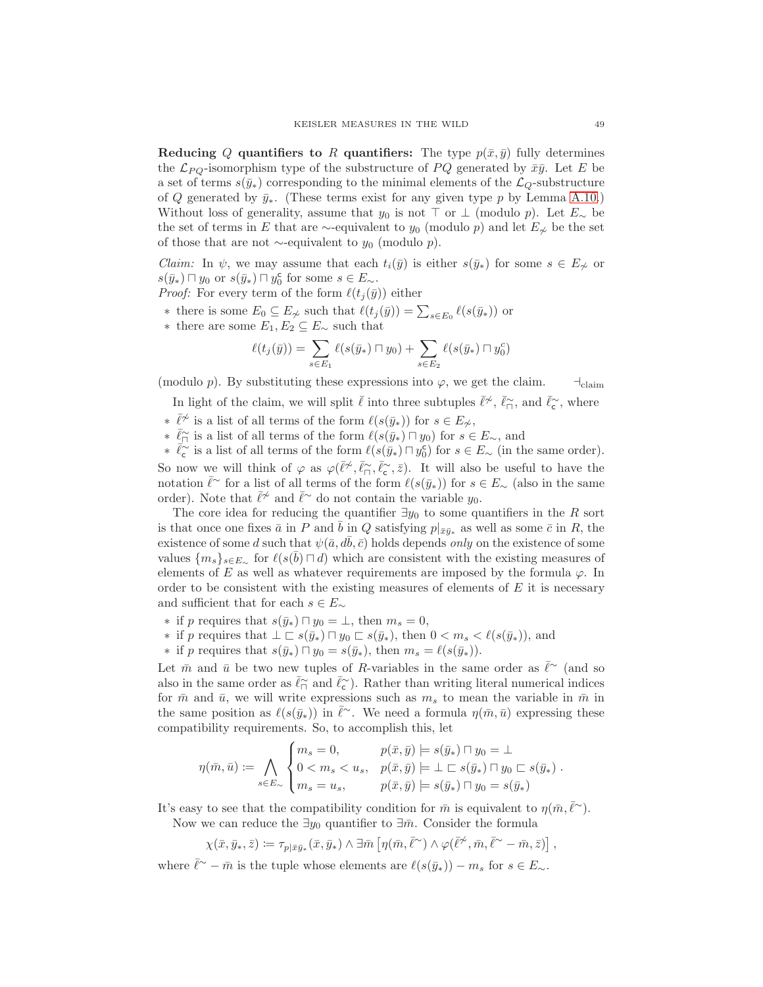Reducing Q quantifiers to R quantifiers: The type  $p(\bar{x}, \bar{y})$  fully determines the  $\mathcal{L}_{PQ}$ -isomorphism type of the substructure of PQ generated by  $\bar{x}\bar{y}$ . Let E be a set of terms  $s(\bar{y}_*)$  corresponding to the minimal elements of the  $\mathcal{L}_Q$ -substructure of Q generated by  $\bar{y}_*$ . (These terms exist for any given type p by Lemma [A.10.](#page-45-2)) Without loss of generality, assume that  $y_0$  is not ⊤ or ⊥ (modulo p). Let  $E_{\sim}$  be the set of terms in E that are  $\sim$ -equivalent to y<sub>0</sub> (modulo p) and let  $E_{\nless}$  be the set of those that are not  $\sim$ -equivalent to  $y_0$  (modulo p).

*Claim:* In  $\psi$ , we may assume that each  $t_i(\bar{y})$  is either  $s(\bar{y}_*)$  for some  $s \in E_{\gamma}$  or  $s(\bar{y}_*) \sqcap y_0$  or  $s(\bar{y}_*) \sqcap y_0^c$  for some  $s \in E_{\sim}$ .

- *Proof:* For every term of the form  $\ell(t_i(\bar{y}))$  either
- ∗ there is some  $E_0 \subseteq E_{\ncong}$  such that  $\ell(t_j(\bar{y})) = \sum_{s \in E_0} \ell(s(\bar{y}_*))$  or
- ∗ there are some  $E_1, E_2 \subseteq E_∼$  such that

$$
\ell(t_j(\bar{y})) = \sum_{s \in E_1} \ell(s(\bar{y}_*) \sqcap y_0) + \sum_{s \in E_2} \ell(s(\bar{y}_*) \sqcap y_0^c)
$$

(modulo p). By substituting these expressions into  $\varphi$ , we get the claim.  $\lnot$ claim

In light of the claim, we will split  $\bar{\ell}$  into three subtuples  $\bar{\ell}^{\not\sim}$ ,  $\bar{\ell}_{\Gamma}^{\sim}$ , and  $\bar{\ell}_{\mathsf{c}}^{\sim}$ , where

- ∗  $\bar{\ell}^{\nsim}$  is a list of all terms of the form  $\ell(s(\bar{y}_*))$  for  $s \in E_{\nsim}$ ,
- ∗  $\bar{\ell}_{\Box}$  is a list of all terms of the form  $\ell(s(\bar{y}_*) \cap y_0)$  for  $s \in E_{\sim}$ , and

 $\overline{\ell}_{\mathsf{c}}^{\sim}$  is a list of all terms of the form  $\ell(s(\overline{y}_*)\cap y_0^{\mathsf{c}})$  for  $s\in E_{\sim}$  (in the same order).

So now we will think of  $\varphi$  as  $\varphi(\bar{\ell}^{\not\sim}, \bar{\ell}_{\sqcap}^{\sim}, \bar{\ell}_{\sqsubset}^{\sim}, \bar{z})$ . It will also be useful to have the notation  $\bar{\ell}$ <sup>∼</sup> for a list of all terms of the form  $\ell(s(\bar{y}_*))$  for  $s \in E_{\sim}$  (also in the same order). Note that  $\bar{\ell}^{\not\sim}$  and  $\bar{\ell}^{\sim}$  do not contain the variable  $y_0$ .

The core idea for reducing the quantifier  $\exists y_0$  to some quantifiers in the R sort is that once one fixes  $\bar{a}$  in P and  $\bar{b}$  in Q satisfying  $p|_{\bar{x}\bar{y}*}$  as well as some  $\bar{c}$  in R, the existence of some d such that  $\psi(\bar{a}, d\bar{b}, \bar{c})$  holds depends only on the existence of some values  $\{m_s\}_{s\in E_\infty}$  for  $\ell(s(\bar b)\sqcap d)$  which are consistent with the existing measures of elements of E as well as whatever requirements are imposed by the formula  $\varphi$ . In order to be consistent with the existing measures of elements of  $E$  it is necessary and sufficient that for each  $s \in E_{\sim}$ 

- ∗ if p requires that  $s(\bar{y}_*) \sqcap y_0 = \bot$ , then  $m_s = 0$ ,
- ∗ if p requires that  $\bot \sqsubset s(\bar{y}_*) \sqcap y_0 \sqsubset s(\bar{y}_*)$ , then  $0 < m_s < \ell(s(\bar{y}_*))$ , and
- ∗ if p requires that  $s(\bar{y}_*) \cap y_0 = s(\bar{y}_*)$ , then  $m_s = \ell(s(\bar{y}_*))$ .

Let  $\bar{m}$  and  $\bar{u}$  be two new tuples of R-variables in the same order as  $\bar{l}^{\sim}$  (and so also in the same order as  $\bar{\ell}_{\square}^{\sim}$  and  $\bar{\ell}_{\subset}^{\sim}$ ). Rather than writing literal numerical indices for  $\bar{m}$  and  $\bar{u}$ , we will write expressions such as  $m_s$  to mean the variable in  $\bar{m}$  in the same position as  $\ell(s(\bar{y}_*))$  in  $\bar{\ell}^{\sim}$ . We need a formula  $\eta(\bar{m}, \bar{u})$  expressing these compatibility requirements. So, to accomplish this, let

$$
\eta(\bar{m}, \bar{u}) \coloneqq \bigwedge_{s \in E_{\sim}} \begin{cases} m_s = 0, & p(\bar{x}, \bar{y}) \models s(\bar{y}_*) \sqcap y_0 = \bot \\ 0 < m_s < u_s, \quad p(\bar{x}, \bar{y}) \models \bot \sqsubset s(\bar{y}_*) \sqcap y_0 \sqsubset s(\bar{y}_*) \\ m_s = u_s, & p(\bar{x}, \bar{y}) \models s(\bar{y}_*) \sqcap y_0 = s(\bar{y}_*) \end{cases}.
$$

It's easy to see that the compatibility condition for  $\bar{m}$  is equivalent to  $\eta(\bar{m}, \bar{\ell}^{\sim})$ . Now we can reduce the  $\exists y_0$  quantifier to  $\exists \bar{m}$ . Consider the formula

$$
\chi(\bar{x},\bar{y}_*,\bar{z})\coloneqq \tau_{p|\bar{x}\bar{y}_*}(\bar{x},\bar{y}_*)\land \exists \bar{m}\left[\eta(\bar{m},\bar{\ell}^\sim)\land \varphi(\bar{\ell}^\not\sim,\bar{m},\bar{\ell}^\sim-\bar{m},\bar{z})\right],
$$

where  $\bar{\ell}^{\sim} - \bar{m}$  is the tuple whose elements are  $\ell(s(\bar{y}_*)) - m_s$  for  $s \in E_{\sim}$ .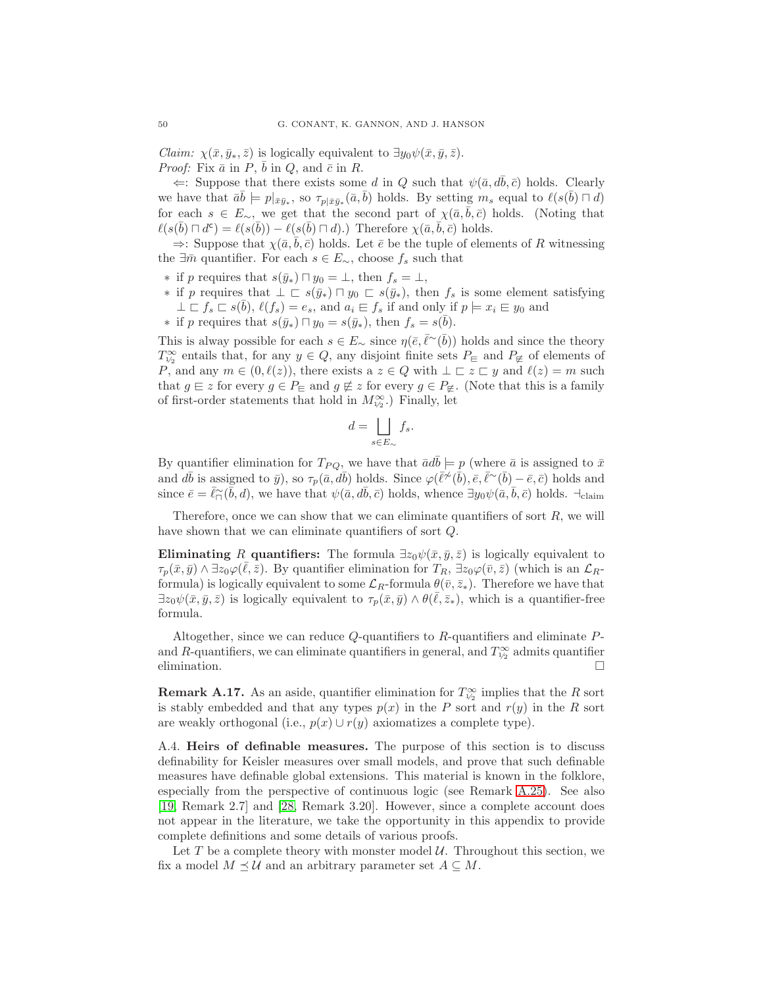*Claim:*  $\chi(\bar{x}, \bar{y}_*, \bar{z})$  is logically equivalent to  $\exists y_0 \psi(\bar{x}, \bar{y}, \bar{z})$ . *Proof:* Fix  $\bar{a}$  in  $\bar{P}$ ,  $\bar{b}$  in  $Q$ , and  $\bar{c}$  in  $R$ .

 $\Leftarrow$ : Suppose that there exists some d in Q such that  $\psi(\bar{a}, d\bar{b}, \bar{c})$  holds. Clearly we have that  $\bar{a}\bar{b} \models p|_{\bar{x}\bar{y}_*}$ , so  $\tau_{p|\bar{x}\bar{y}_*}(\bar{a}, \bar{b})$  holds. By setting  $m_s$  equal to  $\ell(s(\bar{b}) \sqcap d)$ for each  $s \in E_{\sim}$ , we get that the second part of  $\chi(\bar{a}, \bar{b}, \bar{c})$  holds. (Noting that  $\ell(s(\bar{b}) \sqcap d^c) = \ell(s(\bar{b})) - \ell(s(\bar{b}) \sqcap d)$ .) Therefore  $\chi(\bar{a}, \bar{b}, \bar{c})$  holds.

 $\Rightarrow$ : Suppose that  $\chi(\bar{a}, \bar{b}, \bar{c})$  holds. Let  $\bar{e}$  be the tuple of elements of R witnessing the ∃ $\overline{m}$  quantifier. For each  $s \in E_{\sim}$ , choose  $f_s$  such that

- ∗ if p requires that  $s(\bar{y}_*) \cap y_0 = \bot$ , then  $f_s = \bot$ ,
- ∗ if p requires that  $\bot \sqsubset s(\bar{y}_*) \sqcap y_0 \sqsubset s(\bar{y}_*)$ , then  $f_s$  is some element satisfying  $\bot \sqsubset f_s \sqsubset s(\overline{b}), \ell(f_s) = e_s$ , and  $a_i \sqsubset f_s$  if and only if  $p \models x_i \sqsubset y_0$  and
- ∗ if p requires that  $s(\bar{y}_*) \sqcap y_0 = s(\bar{y}_*)$ , then  $f_s = s(\bar{b})$ .

This is alway possible for each  $s \in E_{\sim}$  since  $\eta(\bar{e}, \bar{\ell}^{\sim}(\bar{b}))$  holds and since the theory  $T_{\frac{1}{2}}^{\infty}$  entails that, for any  $y \in Q$ , any disjoint finite sets  $P_{\text{E}}$  and  $P_{\text{E}}$  of elements of P, and any  $m \in (0, \ell(z))$ , there exists a  $z \in Q$  with  $\bot \sqsubset z \sqsubset y$  and  $\ell(z) = m$  such that  $g \in z$  for every  $g \in P_{\sqsubseteq}$  and  $g \not\equiv z$  for every  $g \in P_{\not\sqsubseteq}$ . (Note that this is a family of first-order statements that hold in  $M_{\frac{1}{2}}^{\infty}$ . Finally, let

$$
d = \bigsqcup_{s \in E_{\sim}} f_s.
$$

By quantifier elimination for  $T_{PQ}$ , we have that  $\bar{a}db \models p$  (where  $\bar{a}$  is assigned to  $\bar{x}$ and  $d\bar{b}$  is assigned to  $\bar{y}$ ), so  $\tau_p(\bar{a}, d\bar{b})$  holds. Since  $\varphi(\bar{\ell} \neq \bar{b}), \bar{e}, \bar{\ell} \neq \bar{b}) - \bar{e}, \bar{c}$ ) holds and since  $\bar{e} = \bar{\ell}_{\Box}(\bar{b}, d)$ , we have that  $\psi(\bar{a}, d\bar{b}, \bar{c})$  holds, whence  $\exists y_0 \psi(\bar{a}, \bar{b}, \bar{c})$  holds.  $\neg$ -claim

Therefore, once we can show that we can eliminate quantifiers of sort  $R$ , we will have shown that we can eliminate quantifiers of sort Q.

Eliminating R quantifiers: The formula  $\exists z_0 \psi(\bar{x}, \bar{y}, \bar{z})$  is logically equivalent to  $\tau_p(\bar{x}, \bar{y}) \wedge \exists \bar{z_0} \varphi(\bar{\ell}, \bar{z})$ . By quantifier elimination for  $T_R$ ,  $\exists z_0 \varphi(\bar{v}, \bar{z})$  (which is an  $\mathcal{L}_R$ formula) is logically equivalent to some  $\mathcal{L}_R$ -formula  $\theta(\bar{v}, \bar{z}_*)$ . Therefore we have that  $\exists z_0 \psi(\bar{x}, \bar{y}, \bar{z})$  is logically equivalent to  $\tau_p(\bar{x}, \bar{y}) \wedge \theta(\bar{\ell}, \bar{z}_*)$ , which is a quantifier-free formula.

Altogether, since we can reduce  $Q$ -quantifiers to  $R$ -quantifiers and eliminate  $P$ and R-quantifiers, we can eliminate quantifiers in general, and  $T_{\frac{1}{2}}^{\infty}$  admits quantifier elimination.  $\Box$ 

**Remark A.17.** As an aside, quantifier elimination for  $T^{\infty}_{1/2}$  implies that the R sort is stably embedded and that any types  $p(x)$  in the P sort and  $r(y)$  in the R sort are weakly orthogonal (i.e.,  $p(x) \cup r(y)$  axiomatizes a complete type).

<span id="page-49-0"></span>A.4. Heirs of definable measures. The purpose of this section is to discuss definability for Keisler measures over small models, and prove that such definable measures have definable global extensions. This material is known in the folklore, especially from the perspective of continuous logic (see Remark [A.25\)](#page-51-0). See also [\[19,](#page-52-26) Remark 2.7] and [\[28,](#page-52-27) Remark 3.20]. However, since a complete account does not appear in the literature, we take the opportunity in this appendix to provide complete definitions and some details of various proofs.

Let T be a complete theory with monster model  $\mathcal U$ . Throughout this section, we fix a model  $M \preceq U$  and an arbitrary parameter set  $A \subseteq M$ .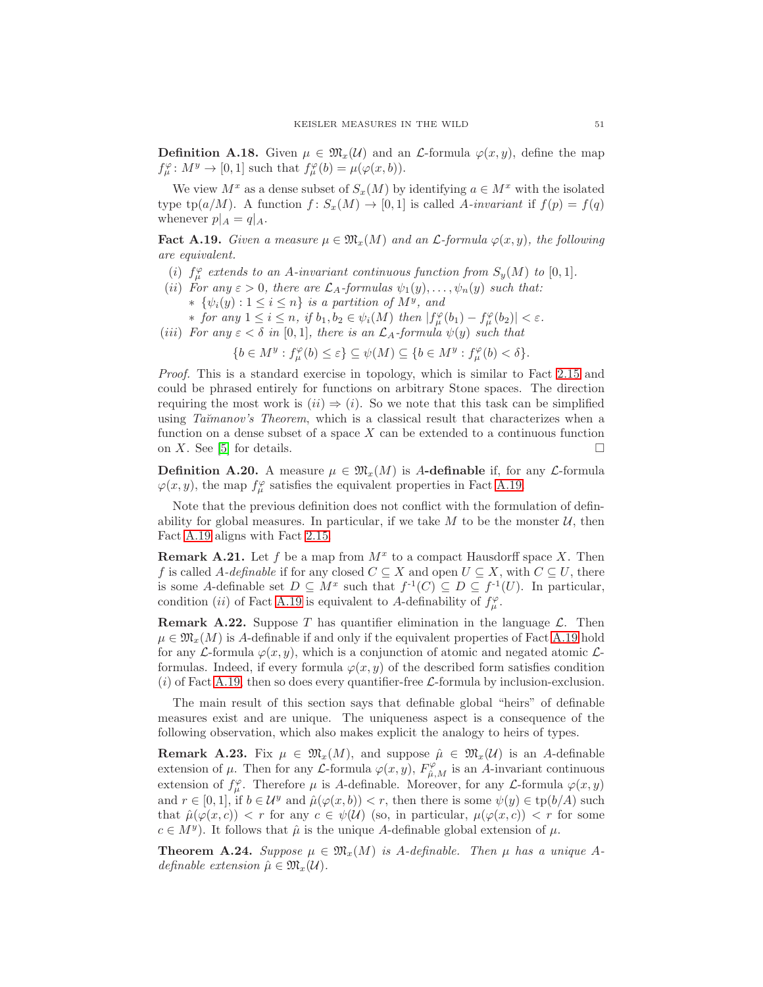<span id="page-50-2"></span>**Definition A.18.** Given  $\mu \in \mathfrak{M}_x(\mathcal{U})$  and an L-formula  $\varphi(x, y)$ , define the map  $f_{\mu}^{\varphi} : M^y \to [0, 1]$  such that  $f_{\mu}^{\varphi}(b) = \mu(\varphi(x, b)).$ 

We view  $M^x$  as a dense subset of  $S_x(M)$  by identifying  $a \in M^x$  with the isolated type tp(a/M). A function  $f: S_x(M) \to [0,1]$  is called A-invariant if  $f(p) = f(q)$ whenever  $p|_A = q|_A$ .

<span id="page-50-3"></span>**Fact A.19.** Given a measure  $\mu \in \mathfrak{M}_x(M)$  and an  $\mathcal{L}$ -formula  $\varphi(x, y)$ , the following are equivalent.

- (i)  $f^{\varphi}_{\mu}$  extends to an A-invariant continuous function from  $S_y(M)$  to [0,1].
- (ii) For any  $\varepsilon > 0$ , there are  $\mathcal{L}_A$ -formulas  $\psi_1(y), \ldots, \psi_n(y)$  such that:  $* \{\psi_i(y): 1 \leq i \leq n\}$  is a partition of  $M^y$ , and
	- ∗ for any  $1 \leq i \leq n$ , if  $b_1, b_2 \in \psi_i(M)$  then  $|f^{\varphi}_{\mu}(b_1) f^{\varphi}_{\mu}(b_2)| < \varepsilon$ .

(iii) For any  $\varepsilon < \delta$  in [0,1], there is an  $\mathcal{L}_A$ -formula  $\psi(y)$  such that

 $\{b \in M^y : f^{\varphi}_{\mu}(b) \leq \varepsilon\} \subseteq \psi(M) \subseteq \{b \in M^y : f^{\varphi}_{\mu}(b) < \delta\}.$ 

Proof. This is a standard exercise in topology, which is similar to Fact [2.15](#page-10-0) and could be phrased entirely for functions on arbitrary Stone spaces. The direction requiring the most work is  $(ii) \Rightarrow (i)$ . So we note that this task can be simplified using Ta $\check{t}$  Theorem, which is a classical result that characterizes when a function on a dense subset of a space  $X$  can be extended to a continuous function on X. See [\[5\]](#page-52-28) for details.  $\square$ 

**Definition A.20.** A measure  $\mu \in \mathfrak{M}_x(M)$  is A-definable if, for any *L*-formula  $\varphi(x, y)$ , the map  $f^{\varphi}_{\mu}$  satisfies the equivalent properties in Fact [A.19.](#page-50-3)

Note that the previous definition does not conflict with the formulation of definability for global measures. In particular, if we take  $M$  to be the monster  $\mathcal{U}$ , then Fact [A.19](#page-50-3) aligns with Fact [2.15.](#page-10-0)

**Remark A.21.** Let f be a map from  $M^x$  to a compact Hausdorff space X. Then f is called A-definable if for any closed  $C \subseteq X$  and open  $U \subseteq X$ , with  $C \subseteq U$ , there is some A-definable set  $D \subseteq M^x$  such that  $f^{-1}(C) \subseteq D \subseteq f^{-1}(U)$ . In particular, condition (*ii*) of Fact [A.19](#page-50-3) is equivalent to A-definability of  $f^{\varphi}_{\mu}$ .

<span id="page-50-0"></span>**Remark A.22.** Suppose T has quantifier elimination in the language  $\mathcal{L}$ . Then  $\mu \in \mathfrak{M}_x(M)$  is A-definable if and only if the equivalent properties of Fact [A.19](#page-50-3) hold for any L-formula  $\varphi(x, y)$ , which is a conjunction of atomic and negated atomic Lformulas. Indeed, if every formula  $\varphi(x, y)$  of the described form satisfies condition  $(i)$  of Fact [A.19,](#page-50-3) then so does every quantifier-free  $\mathcal{L}$ -formula by inclusion-exclusion.

The main result of this section says that definable global "heirs" of definable measures exist and are unique. The uniqueness aspect is a consequence of the following observation, which also makes explicit the analogy to heirs of types.

<span id="page-50-4"></span>**Remark A.23.** Fix  $\mu \in \mathfrak{M}_x(M)$ , and suppose  $\hat{\mu} \in \mathfrak{M}_x(U)$  is an A-definable extension of  $\mu$ . Then for any *L*-formula  $\varphi(x, y)$ ,  $F^{\varphi}_{\hat{\mu}, M}$  is an *A*-invariant continuous extension of  $f^{\varphi}_{\mu}$ . Therefore  $\mu$  is A-definable. Moreover, for any *L*-formula  $\varphi(x, y)$ and  $r \in [0,1]$ , if  $b \in \mathcal{U}^y$  and  $\hat{\mu}(\varphi(x,b)) < r$ , then there is some  $\psi(y) \in \text{tp}(b/A)$  such that  $\hat{\mu}(\varphi(x,c)) < r$  for any  $c \in \psi(\mathcal{U})$  (so, in particular,  $\mu(\varphi(x,c)) < r$  for some  $c \in M^y$ ). It follows that  $\hat{\mu}$  is the unique A-definable global extension of  $\mu$ .

<span id="page-50-1"></span>**Theorem A.24.** Suppose  $\mu \in \mathfrak{M}_x(M)$  is A-definable. Then  $\mu$  has a unique Adefinable extension  $\hat{\mu} \in \mathfrak{M}_x(\mathcal{U})$ .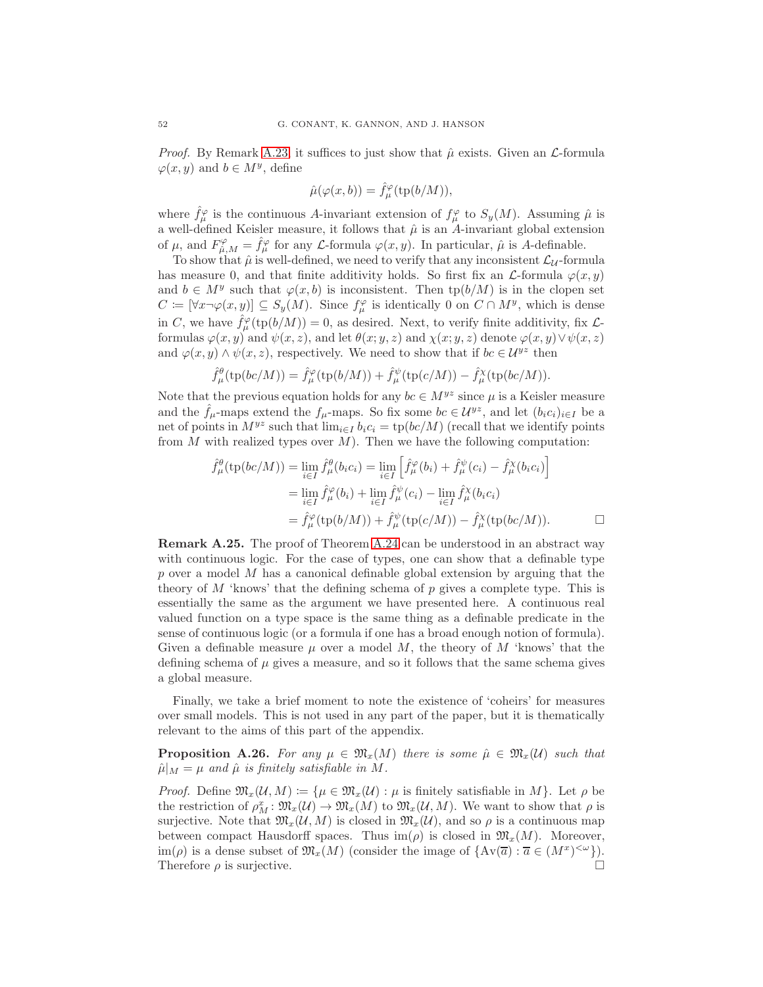*Proof.* By Remark [A.23,](#page-50-4) it suffices to just show that  $\hat{\mu}$  exists. Given an L-formula  $\varphi(x, y)$  and  $b \in M^y$ , define

$$
\hat{\mu}(\varphi(x,b)) = \hat{f}_\mu^\varphi(\operatorname{tp}(b/M)),
$$

where  $\hat{f}^{\varphi}_{\mu}$  is the continuous A-invariant extension of  $f^{\varphi}_{\mu}$  to  $S_y(M)$ . Assuming  $\hat{\mu}$  is a well-defined Keisler measure, it follows that  $\hat{\mu}$  is an A-invariant global extension of  $\mu$ , and  $F^{\varphi}_{\hat{\mu},M} = \hat{f}^{\varphi}_{\mu}$  for any *L*-formula  $\varphi(x, y)$ . In particular,  $\hat{\mu}$  is *A*-definable.

To show that  $\hat{\mu}$  is well-defined, we need to verify that any inconsistent  $\mathcal{L}_{\mathcal{U}}$ -formula has measure 0, and that finite additivity holds. So first fix an  $\mathcal{L}$ -formula  $\varphi(x, y)$ and  $b \in M^y$  such that  $\varphi(x, b)$  is inconsistent. Then  $tp(b/M)$  is in the clopen set  $C \coloneqq [\forall x \neg \varphi(x, y)] \subseteq S_y(M)$ . Since  $f^{\varphi}_{\mu}$  is identically 0 on  $C \cap M^y$ , which is dense in C, we have  $\hat{f}^{\varphi}_{\mu}(\text{tp}(b/M)) = 0$ , as desired. Next, to verify finite additivity, fix  $\mathcal{L}$ formulas  $\varphi(x, y)$  and  $\psi(x, z)$ , and let  $\theta(x; y, z)$  and  $\chi(x; y, z)$  denote  $\varphi(x, y) \vee \psi(x, z)$ and  $\varphi(x, y) \wedge \psi(x, z)$ , respectively. We need to show that if  $bc \in \mathcal{U}^{yz}$  then

$$
\hat{f}^{\theta}_{\mu}(\text{tp}(bc/M)) = \hat{f}^{\varphi}_{\mu}(\text{tp}(b/M)) + \hat{f}^{\psi}_{\mu}(\text{tp}(c/M)) - \hat{f}^{\chi}_{\mu}(\text{tp}(bc/M)).
$$

Note that the previous equation holds for any  $bc \in M^{yz}$  since  $\mu$  is a Keisler measure and the  $\hat{f}_{\mu}$ -maps extend the  $f_{\mu}$ -maps. So fix some  $bc \in \mathcal{U}^{yz}$ , and let  $(b_i c_i)_{i \in I}$  be a net of points in  $M^{yz}$  such that  $\lim_{i \in I} b_i c_i = \text{tp}(bc/M)$  (recall that we identify points from M with realized types over  $M$ ). Then we have the following computation:

$$
\hat{f}^{\theta}_{\mu}(\text{tp}(bc/M)) = \lim_{i \in I} \hat{f}^{\theta}_{\mu}(b_{i}c_{i}) = \lim_{i \in I} \left[ \hat{f}^{\varphi}_{\mu}(b_{i}) + \hat{f}^{\psi}_{\mu}(c_{i}) - \hat{f}^{\chi}_{\mu}(b_{i}c_{i}) \right]
$$
\n
$$
= \lim_{i \in I} \hat{f}^{\varphi}_{\mu}(b_{i}) + \lim_{i \in I} \hat{f}^{\psi}_{\mu}(c_{i}) - \lim_{i \in I} \hat{f}^{\chi}_{\mu}(b_{i}c_{i})
$$
\n
$$
= \hat{f}^{\varphi}_{\mu}(\text{tp}(b/M)) + \hat{f}^{\psi}_{\mu}(\text{tp}(c/M)) - \hat{f}^{\chi}_{\mu}(\text{tp}(bc/M)). \qquad \Box
$$

<span id="page-51-0"></span>Remark A.25. The proof of Theorem [A.24](#page-50-1) can be understood in an abstract way with continuous logic. For the case of types, one can show that a definable type  $p$  over a model  $M$  has a canonical definable global extension by arguing that the theory of  $M$  'knows' that the defining schema of p gives a complete type. This is essentially the same as the argument we have presented here. A continuous real valued function on a type space is the same thing as a definable predicate in the sense of continuous logic (or a formula if one has a broad enough notion of formula). Given a definable measure  $\mu$  over a model M, the theory of M 'knows' that the defining schema of  $\mu$  gives a measure, and so it follows that the same schema gives a global measure.

Finally, we take a brief moment to note the existence of 'coheirs' for measures over small models. This is not used in any part of the paper, but it is thematically relevant to the aims of this part of the appendix.

**Proposition A.26.** For any  $\mu \in \mathfrak{M}_x(M)$  there is some  $\hat{\mu} \in \mathfrak{M}_x(U)$  such that  $\hat{\mu}|_M = \mu$  and  $\hat{\mu}$  is finitely satisfiable in M.

*Proof.* Define  $\mathfrak{M}_x(\mathcal{U}, M) := \{ \mu \in \mathfrak{M}_x(\mathcal{U}) : \mu \text{ is finitely satisfiable in } M \}$ . Let  $\rho$  be the restriction of  $\rho_M^x \colon \mathfrak{M}_x(\mathcal{U}) \to \mathfrak{M}_x(\mathcal{U})$  to  $\mathfrak{M}_x(\mathcal{U}, M)$ . We want to show that  $\rho$  is surjective. Note that  $\mathfrak{M}_x(\mathcal{U}, M)$  is closed in  $\mathfrak{M}_x(\mathcal{U})$ , and so  $\rho$  is a continuous map between compact Hausdorff spaces. Thus  $\text{im}(\rho)$  is closed in  $\mathfrak{M}_x(M)$ . Moreover, im( $\rho$ ) is a dense subset of  $\mathfrak{M}_x(M)$  (consider the image of  $\{Av(\overline{a}) : \overline{a} \in (M^x)^{&\omega}\}\.$ Therefore  $\rho$  is surjective.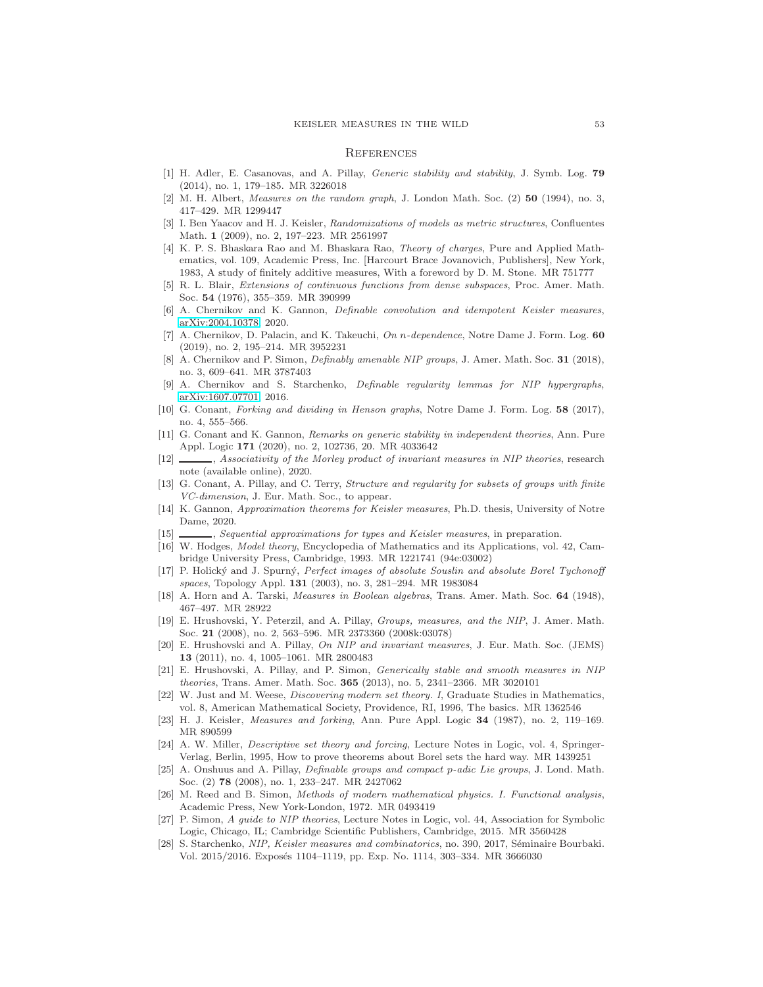#### <span id="page-52-0"></span>**REFERENCES**

- <span id="page-52-21"></span><span id="page-52-11"></span>[1] H. Adler, E. Casanovas, and A. Pillay, Generic stability and stability, J. Symb. Log. 79 (2014), no. 1, 179–185. MR 3226018
- <span id="page-52-7"></span>[2] M. H. Albert, Measures on the random graph, J. London Math. Soc. (2) 50 (1994), no. 3, 417–429. MR 1299447
- [3] I. Ben Yaacov and H. J. Keisler, Randomizations of models as metric structures, Confluentes Math. 1 (2009), no. 2, 197–223. MR 2561997
- <span id="page-52-17"></span>[4] K. P. S. Bhaskara Rao and M. Bhaskara Rao, Theory of charges, Pure and Applied Mathematics, vol. 109, Academic Press, Inc. [Harcourt Brace Jovanovich, Publishers], New York, 1983, A study of finitely additive measures, With a foreword by D. M. Stone. MR 751777
- <span id="page-52-28"></span>[5] R. L. Blair, Extensions of continuous functions from dense subspaces, Proc. Amer. Math. Soc. 54 (1976), 355–359. MR 390999
- <span id="page-52-18"></span>[6] A. Chernikov and K. Gannon, Definable convolution and idempotent Keisler measures, [arXiv:2004.10378,](http://arxiv.org/abs/2004.10378) 2020.
- <span id="page-52-24"></span>[7] A. Chernikov, D. Palacin, and K. Takeuchi, On n-dependence, Notre Dame J. Form. Log. 60 (2019), no. 2, 195–214. MR 3952231
- <span id="page-52-3"></span>[8] A. Chernikov and P. Simon, *Definably amenable NIP groups*, J. Amer. Math. Soc. **31** (2018), no. 3, 609–641. MR 3787403
- <span id="page-52-5"></span>[9] A. Chernikov and S. Starchenko, Definable regularity lemmas for NIP hypergraphs, [arXiv:1607.07701,](http://arxiv.org/abs/1607.07701) 2016.
- <span id="page-52-23"></span>[10] G. Conant, Forking and dividing in Henson graphs, Notre Dame J. Form. Log. 58 (2017), no. 4, 555–566.
- <span id="page-52-10"></span>[11] G. Conant and K. Gannon, Remarks on generic stability in independent theories, Ann. Pure Appl. Logic 171 (2020), no. 2, 102736, 20. MR 4033642
- <span id="page-52-15"></span>[12]  $\_\_\_\_\$ n, Associativity of the Morley product of invariant measures in NIP theories, research note (available online), 2020.
- <span id="page-52-6"></span>[13] G. Conant, A. Pillay, and C. Terry, Structure and regularity for subsets of groups with finite VC-dimension, J. Eur. Math. Soc., to appear.
- <span id="page-52-12"></span>[14] K. Gannon, Approximation theorems for Keisler measures, Ph.D. thesis, University of Notre Dame, 2020.
- <span id="page-52-22"></span><span id="page-52-20"></span>[15]  $\_\_\_\_\$ , Sequential approximations for types and Keisler measures, in preparation.
- [16] W. Hodges, Model theory, Encyclopedia of Mathematics and its Applications, vol. 42, Cambridge University Press, Cambridge, 1993. MR 1221741 (94e:03002)
- <span id="page-52-13"></span>[17] P. Holický and J. Spurný, Perfect images of absolute Souslin and absolute Borel Tychonoff spaces, Topology Appl. 131 (2003), no. 3, 281–294. MR 1983084
- <span id="page-52-26"></span><span id="page-52-25"></span>[18] A. Horn and A. Tarski, Measures in Boolean algebras, Trans. Amer. Math. Soc. **64** (1948), 467–497. MR 28922
- [19] E. Hrushovski, Y. Peterzil, and A. Pillay, Groups, measures, and the NIP, J. Amer. Math. Soc. 21 (2008), no. 2, 563–596. MR 2373360 (2008k:03078)
- <span id="page-52-8"></span>[20] E. Hrushovski and A. Pillay, On NIP and invariant measures, J. Eur. Math. Soc. (JEMS) 13 (2011), no. 4, 1005–1061. MR 2800483
- <span id="page-52-2"></span>[21] E. Hrushovski, A. Pillay, and P. Simon, Generically stable and smooth measures in NIP theories, Trans. Amer. Math. Soc. 365 (2013), no. 5, 2341–2366. MR 3020101
- <span id="page-52-19"></span>[22] W. Just and M. Weese, Discovering modern set theory. I, Graduate Studies in Mathematics, vol. 8, American Mathematical Society, Providence, RI, 1996, The basics. MR 1362546
- <span id="page-52-14"></span><span id="page-52-1"></span>[23] H. J. Keisler, Measures and forking, Ann. Pure Appl. Logic 34 (1987), no. 2, 119–169. MR 890599
- [24] A. W. Miller, Descriptive set theory and forcing, Lecture Notes in Logic, vol. 4, Springer-Verlag, Berlin, 1995, How to prove theorems about Borel sets the hard way. MR 1439251
- <span id="page-52-4"></span>[25] A. Onshuus and A. Pillay, Definable groups and compact p-adic Lie groups, J. Lond. Math. Soc. (2) 78 (2008), no. 1, 233-247. MR 2427062
- <span id="page-52-16"></span>[26] M. Reed and B. Simon, Methods of modern mathematical physics. I. Functional analysis, Academic Press, New York-London, 1972. MR 0493419
- <span id="page-52-9"></span>[27] P. Simon, A guide to NIP theories, Lecture Notes in Logic, vol. 44, Association for Symbolic Logic, Chicago, IL; Cambridge Scientific Publishers, Cambridge, 2015. MR 3560428
- <span id="page-52-27"></span>[28] S. Starchenko, NIP, Keisler measures and combinatorics, no. 390, 2017, Séminaire Bourbaki. Vol. 2015/2016. Exposés 1104-1119, pp. Exp. No. 1114, 303-334. MR 3666030